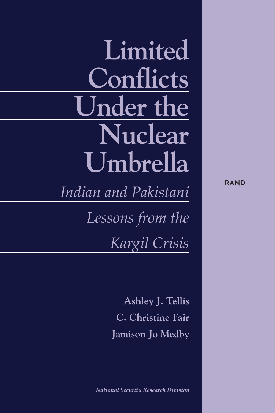# **Limited Conflicts [Under the](https://www.rand.org/pubs/monograph_reports/MR1450.html) Nuclear Umbrella**

*Indian and Pakistani*

*Lessons from the*

*Kargil Crisis*

**Ashley J. Tellis C. Christine Fair Jamison Jo Medby**

*National Security Research Division*

**[R](https://www.rand.org)AND**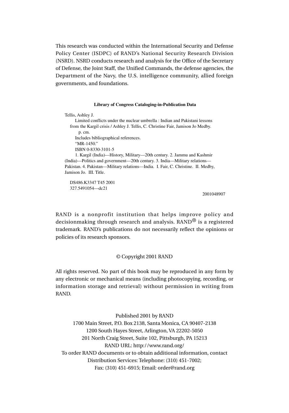This research was conducted within the International Security and Defense Policy Center (ISDPC) of RAND's National Security Research Division (NSRD). NSRD conducts research and analysis for the Office of the Secretary of Defense, the Joint Staff, the Unified Commands, the defense agencies, the Department of the Navy, the U.S. intelligence community, allied foreign governments, and foundations.

#### **Library of Congress Cataloging-in-Publication Data**

```
Tellis, Ashley J.
     Limited conflicts under the nuclear umbrella : Indian and Pakistani lessons 
  from the Kargil crisis / Ashley J. Tellis, C. Christine Fair, Jamison Jo Medby.
       p. cm.
     Includes bibliographical references.
     "MR-1450."
     ISBN 0-8330-3101-5
     1. Kargil (India)—History, Military—20th century. 2. Jammu and Kashmir
(India)—Politics and government—20th century. 3. India—Military relations—
Pakistan. 4. Pakistan—Military relations—India. I. Fair, C. Christine. II. Medby,
Jamison Jo. III. Title.
```
DS486.K3347 T45 2001 327.5491054—dc21

2001048907

RAND is a nonprofit institution that helps improve policy and decisionmaking through research and analysis. RAND® is a registered trademark. RAND's publications do not necessarily reflect the opinions or policies of its research sponsors.

© Copyright 2001 RAND

All rights reserved. No part of this book may be reproduced in any form by any electronic or mechanical means (including photocopying, recording, or information storage and retrieval) without permission in writing from RAND.

Published 2001 by RAND 1700 Main Street, P.O. Box 2138, Santa Monica, CA 90407-2138 1200 South Hayes Street, Arlington, VA 22202-5050 201 North Craig Street, Suite 102, Pittsburgh, PA 15213 RAND URL: http://www.rand.org/ To order RAND documents or to obtain additional information, contact Distribution Services: Telephone: (310) 451-7002; Fax: (310) 451-6915; Email: order@rand.org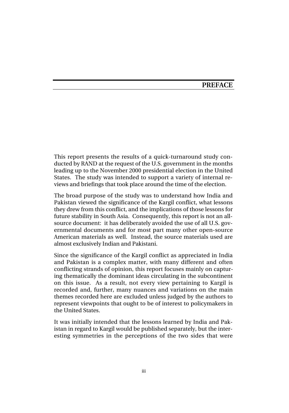# **PREFACE**

This report presents the results of a quick-turnaround study conducted by RAND at the request of the U.S. government in the months leading up to the November 2000 presidential election in the United States. The study was intended to support a variety of internal reviews and briefings that took place around the time of the election.

The broad purpose of the study was to understand how India and Pakistan viewed the significance of the Kargil conflict, what lessons they drew from this conflict, and the implications of those lessons for future stability in South Asia. Consequently, this report is not an allsource document: it has deliberately avoided the use of all U.S. governmental documents and for most part many other open-source American materials as well. Instead, the source materials used are almost exclusively Indian and Pakistani.

Since the significance of the Kargil conflict as appreciated in India and Pakistan is a complex matter, with many different and often conflicting strands of opinion, this report focuses mainly on capturing thematically the dominant ideas circulating in the subcontinent on this issue. As a result, not every view pertaining to Kargil is recorded and, further, many nuances and variations on the main themes recorded here are excluded unless judged by the authors to represent viewpoints that ought to be of interest to policymakers in the United States.

It was initially intended that the lessons learned by India and Pakistan in regard to Kargil would be published separately, but the interesting symmetries in the perceptions of the two sides that were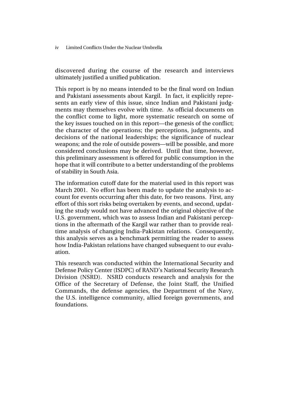discovered during the course of the research and interviews ultimately justified a unified publication.

This report is by no means intended to be the final word on Indian and Pakistani assessments about Kargil. In fact, it explicitly represents an early view of this issue, since Indian and Pakistani judgments may themselves evolve with time. As official documents on the conflict come to light, more systematic research on some of the key issues touched on in this report—the genesis of the conflict; the character of the operations; the perceptions, judgments, and decisions of the national leaderships; the significance of nuclear weapons; and the role of outside powers—will be possible, and more considered conclusions may be derived. Until that time, however, this preliminary assessment is offered for public consumption in the hope that it will contribute to a better understanding of the problems of stability in South Asia.

The information cutoff date for the material used in this report was March 2001. No effort has been made to update the analysis to account for events occurring after this date, for two reasons. First, any effort of this sort risks being overtaken by events, and second, updating the study would not have advanced the original objective of the U.S. government, which was to assess Indian and Pakistani perceptions in the aftermath of the Kargil war rather than to provide realtime analysis of changing India-Pakistan relations. Consequently, this analysis serves as a benchmark permitting the reader to assess how India-Pakistan relations have changed subsequent to our evaluation.

This research was conducted within the International Security and Defense Policy Center (ISDPC) of RAND's National Security Research Division (NSRD). NSRD conducts research and analysis for the Office of the Secretary of Defense, the Joint Staff, the Unified Commands, the defense agencies, the Department of the Navy, the U.S. intelligence community, allied foreign governments, and foundations.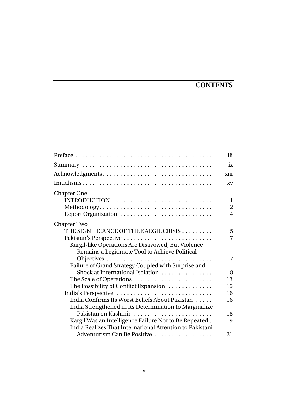# **CONTENTS**

|                                                          | iii            |
|----------------------------------------------------------|----------------|
|                                                          | ix             |
| Acknowledgments                                          | xiii           |
|                                                          | <b>XV</b>      |
| <b>Chapter One</b>                                       |                |
| INTRODUCTION                                             | 1              |
|                                                          | $\overline{2}$ |
|                                                          | $\overline{4}$ |
| Chapter Two                                              |                |
| THE SIGNIFICANCE OF THE KARGIL CRISIS                    | 5              |
| Pakistan's Perspective                                   | 7              |
| Kargil-like Operations Are Disavowed, But Violence       |                |
| Remains a Legitimate Tool to Achieve Political           |                |
|                                                          | 7              |
| Failure of Grand Strategy Coupled with Surprise and      |                |
| Shock at International Isolation                         | 8              |
| The Scale of Operations                                  | 13             |
| The Possibility of Conflict Expansion                    | 15             |
| India's Perspective                                      | 16             |
| India Confirms Its Worst Beliefs About Pakistan          | 16             |
| India Strengthened in Its Determination to Marginalize   |                |
| Pakistan on Kashmir                                      | 18             |
| Kargil Was an Intelligence Failure Not to Be Repeated    | 19             |
| India Realizes That International Attention to Pakistani |                |
| Adventurism Can Be Positive                              | 21             |
|                                                          |                |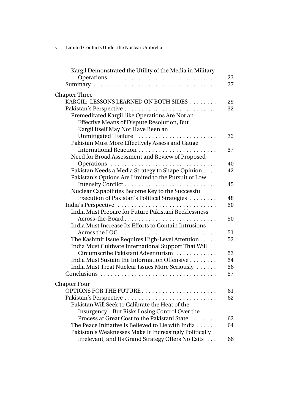| Kargil Demonstrated the Utility of the Media in Military |    |
|----------------------------------------------------------|----|
| Operations                                               | 23 |
|                                                          | 27 |
| <b>Chapter Three</b>                                     |    |
| KARGIL: LESSONS LEARNED ON BOTH SIDES                    | 29 |
| Pakistan's Perspective                                   | 32 |
| Premeditated Kargil-like Operations Are Not an           |    |
| <b>Effective Means of Dispute Resolution, But</b>        |    |
| Kargil Itself May Not Have Been an                       |    |
| Unmitigated "Failure"                                    | 32 |
| Pakistan Must More Effectively Assess and Gauge          |    |
|                                                          | 37 |
| Need for Broad Assessment and Review of Proposed         |    |
|                                                          | 40 |
| Pakistan Needs a Media Strategy to Shape Opinion         | 42 |
| Pakistan's Options Are Limited to the Pursuit of Low     |    |
|                                                          | 45 |
| Nuclear Capabilities Become Key to the Successful        |    |
| Execution of Pakistan's Political Strategies             | 48 |
| India's Perspective                                      | 50 |
| India Must Prepare for Future Pakistani Recklessness     |    |
| Across-the-Board                                         | 50 |
| India Must Increase Its Efforts to Contain Intrusions    |    |
| Across the LOC                                           | 51 |
| The Kashmir Issue Requires High-Level Attention          | 52 |
| India Must Cultivate International Support That Will     |    |
| Circumscribe Pakistani Adventurism                       | 53 |
| India Must Sustain the Information Offensive             | 54 |
| India Must Treat Nuclear Issues More Seriously           | 56 |
|                                                          | 57 |
| <b>Chapter Four</b>                                      |    |
|                                                          | 61 |
| Pakistan's Perspective                                   | 62 |
| Pakistan Will Seek to Calibrate the Heat of the          |    |
| Insurgency-But Risks Losing Control Over the             |    |
| Process at Great Cost to the Pakistani State             | 62 |
| The Peace Initiative Is Believed to Lie with India       | 64 |
| Pakistan's Weaknesses Make It Increasingly Politically   |    |
| Irrelevant, and Its Grand Strategy Offers No Exits       | 66 |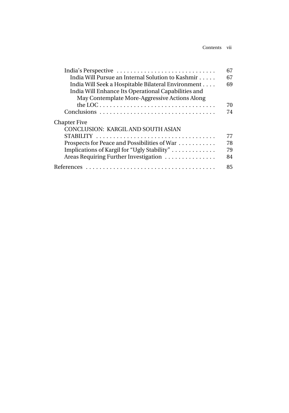| India's Perspective                                 | 67 |
|-----------------------------------------------------|----|
| India Will Pursue an Internal Solution to Kashmir   | 67 |
| India Will Seek a Hospitable Bilateral Environment  | 69 |
| India Will Enhance Its Operational Capabilities and |    |
| May Contemplate More-Aggressive Actions Along       |    |
|                                                     | 70 |
|                                                     | 74 |
| <b>Chapter Five</b>                                 |    |
| CONCLUSION: KARGIL AND SOUTH ASIAN                  |    |
| STABILITY                                           | 77 |
| Prospects for Peace and Possibilities of War        | 78 |
| Implications of Kargil for "Ugly Stability"         | 79 |
| Areas Requiring Further Investigation               | 84 |
|                                                     | 85 |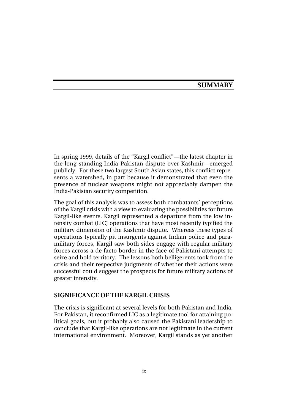# **SUMMARY**

In spring 1999, details of the "Kargil conflict"—the latest chapter in the long-standing India-Pakistan dispute over Kashmir—emerged publicly. For these two largest South Asian states, this conflict represents a watershed, in part because it demonstrated that even the presence of nuclear weapons might not appreciably dampen the India-Pakistan security competition.

The goal of this analysis was to assess both combatants' perceptions of the Kargil crisis with a view to evaluating the possibilities for future Kargil-like events. Kargil represented a departure from the low intensity combat (LIC) operations that have most recently typified the military dimension of the Kashmir dispute. Whereas these types of operations typically pit insurgents against Indian police and paramilitary forces, Kargil saw both sides engage with regular military forces across a de facto border in the face of Pakistani attempts to seize and hold territory. The lessons both belligerents took from the crisis and their respective judgments of whether their actions were successful could suggest the prospects for future military actions of greater intensity.

#### **SIGNIFICANCE OF THE KARGIL CRISIS**

The crisis is significant at several levels for both Pakistan and India. For Pakistan, it reconfirmed LIC as a legitimate tool for attaining political goals, but it probably also caused the Pakistani leadership to conclude that Kargil-like operations are not legitimate in the current international environment. Moreover, Kargil stands as yet another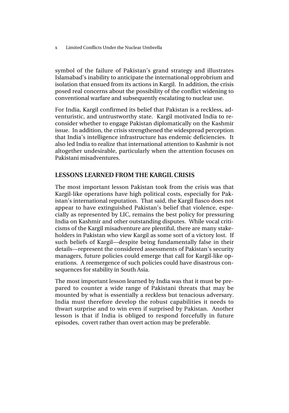symbol of the failure of Pakistan's grand strategy and illustrates Islamabad's inability to anticipate the international opprobrium and isolation that ensued from its actions in Kargil. In addition, the crisis posed real concerns about the possibility of the conflict widening to conventional warfare and subsequently escalating to nuclear use.

For India, Kargil confirmed its belief that Pakistan is a reckless, adventuristic, and untrustworthy state. Kargil motivated India to reconsider whether to engage Pakistan diplomatically on the Kashmir issue. In addition, the crisis strengthened the widespread perception that India's intelligence infrastructure has endemic deficiencies. It also led India to realize that international attention to Kashmir is not altogether undesirable, particularly when the attention focuses on Pakistani misadventures.

#### **LESSONS LEARNED FROM THE KARGIL CRISIS**

The most important lesson Pakistan took from the crisis was that Kargil-like operations have high political costs, especially for Pakistan's international reputation. That said, the Kargil fiasco does not appear to have extinguished Pakistan's belief that violence, especially as represented by LIC, remains the best policy for pressuring India on Kashmir and other outstanding disputes. While vocal criticisms of the Kargil misadventure are plentiful, there are many stakeholders in Pakistan who view Kargil as some sort of a victory lost. If such beliefs of Kargil—despite being fundamentally false in their details—represent the considered assessments of Pakistan's security managers, future policies could emerge that call for Kargil-like operations. A reemergence of such policies could have disastrous consequences for stability in South Asia.

The most important lesson learned by India was that it must be prepared to counter a wide range of Pakistani threats that may be mounted by what is essentially a reckless but tenacious adversary. India must therefore develop the robust capabilities it needs to thwart surprise and to win even if surprised by Pakistan. Another lesson is that if India is obliged to respond forcefully in future episodes, covert rather than overt action may be preferable.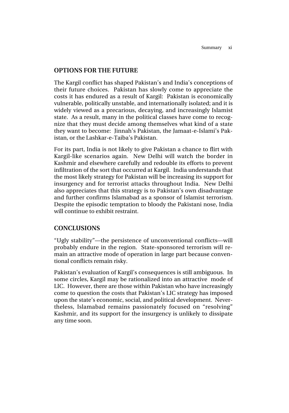#### **OPTIONS FOR THE FUTURE**

The Kargil conflict has shaped Pakistan's and India's conceptions of their future choices. Pakistan has slowly come to appreciate the costs it has endured as a result of Kargil: Pakistan is economically vulnerable, politically unstable, and internationally isolated; and it is widely viewed as a precarious, decaying, and increasingly Islamist state. As a result, many in the political classes have come to recognize that they must decide among themselves what kind of a state they want to become: Jinnah's Pakistan, the Jamaat-e-Islami's Pakistan, or the Lashkar-e-Taiba's Pakistan.

For its part, India is not likely to give Pakistan a chance to flirt with Kargil-like scenarios again. New Delhi will watch the border in Kashmir and elsewhere carefully and redouble its efforts to prevent infiltration of the sort that occurred at Kargil. India understands that the most likely strategy for Pakistan will be increasing its support for insurgency and for terrorist attacks throughout India. New Delhi also appreciates that this strategy is to Pakistan's own disadvantage and further confirms Islamabad as a sponsor of Islamist terrorism. Despite the episodic temptation to bloody the Pakistani nose, India will continue to exhibit restraint.

#### **CONCLUSIONS**

"Ugly stability"—the persistence of unconventional conflicts—will probably endure in the region. State-sponsored terrorism will remain an attractive mode of operation in large part because conventional conflicts remain risky.

Pakistan's evaluation of Kargil's consequences is still ambiguous. In some circles, Kargil may be rationalized into an attractive mode of LIC. However, there are those within Pakistan who have increasingly come to question the costs that Pakistan's LIC strategy has imposed upon the state's economic, social, and political development. Nevertheless, Islamabad remains passionately focused on "resolving" Kashmir, and its support for the insurgency is unlikely to dissipate any time soon.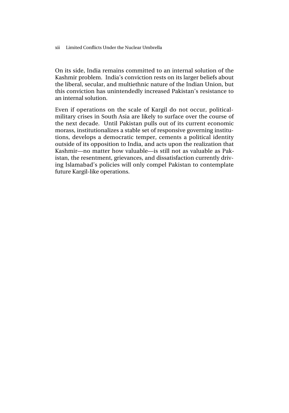On its side, India remains committed to an internal solution of the Kashmir problem. India's conviction rests on its larger beliefs about the liberal, secular, and multiethnic nature of the Indian Union, but this conviction has unintendedly increased Pakistan's resistance to an internal solution.

Even if operations on the scale of Kargil do not occur, politicalmilitary crises in South Asia are likely to surface over the course of the next decade. Until Pakistan pulls out of its current economic morass, institutionalizes a stable set of responsive governing institutions, develops a democratic temper, cements a political identity outside of its opposition to India, and acts upon the realization that Kashmir—no matter how valuable—is still not as valuable as Pakistan, the resentment, grievances, and dissatisfaction currently driving Islamabad's policies will only compel Pakistan to contemplate future Kargil-like operations.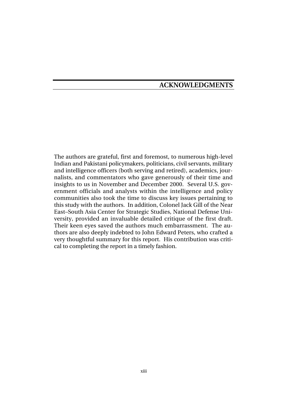# **ACKNOWLEDGMENTS**

The authors are grateful, first and foremost, to numerous high-level Indian and Pakistani policymakers, politicians, civil servants, military and intelligence officers (both serving and retired), academics, journalists, and commentators who gave generously of their time and insights to us in November and December 2000. Several U.S. government officials and analysts within the intelligence and policy communities also took the time to discuss key issues pertaining to this study with the authors. In addition, Colonel Jack Gill of the Near East–South Asia Center for Strategic Studies, National Defense University, provided an invaluable detailed critique of the first draft. Their keen eyes saved the authors much embarrassment. The authors are also deeply indebted to John Edward Peters, who crafted a very thoughtful summary for this report. His contribution was critical to completing the report in a timely fashion.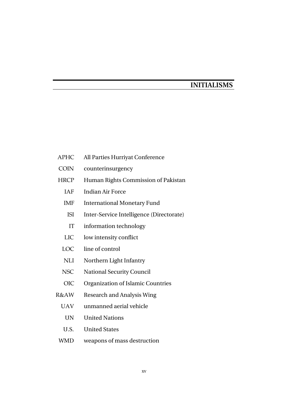# **INITIALISMS**

- APHC All Parties Hurriyat Conference
- COIN counterinsurgency
- HRCP Human Rights Commission of Pakistan
	- IAF Indian Air Force
	- IMF International Monetary Fund
		- ISI Inter-Service Intelligence (Directorate)
		- IT information technology
	- LIC low intensity conflict
	- LOC line of control
	- NLI Northern Light Infantry
	- NSC National Security Council
	- OIC Organization of Islamic Countries
- R&AW Research and Analysis Wing
	- UAV unmanned aerial vehicle
		- UN United Nations
	- U.S. United States
	- WMD weapons of mass destruction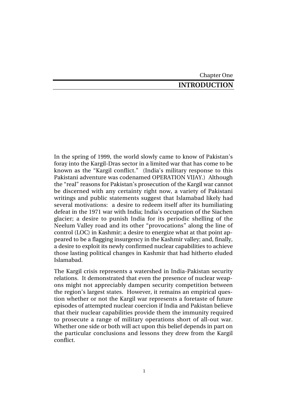Chapter One

# **INTRODUCTION**

In the spring of 1999, the world slowly came to know of Pakistan's foray into the Kargil-Dras sector in a limited war that has come to be known as the "Kargil conflict." (India's military response to this Pakistani adventure was codenamed OPERATION VIJAY.) Although the "real" reasons for Pakistan's prosecution of the Kargil war cannot be discerned with any certainty right now, a variety of Pakistani writings and public statements suggest that Islamabad likely had several motivations: a desire to redeem itself after its humiliating defeat in the 1971 war with India; India's occupation of the Siachen glacier; a desire to punish India for its periodic shelling of the Neelum Valley road and its other "provocations" along the line of control (LOC) in Kashmir; a desire to energize what at that point appeared to be a flagging insurgency in the Kashmir valley; and, finally, a desire to exploit its newly confirmed nuclear capabilities to achieve those lasting political changes in Kashmir that had hitherto eluded Islamabad.

The Kargil crisis represents a watershed in India-Pakistan security relations. It demonstrated that even the presence of nuclear weapons might not appreciably dampen security competition between the region's largest states. However, it remains an empirical question whether or not the Kargil war represents a foretaste of future episodes of attempted nuclear coercion if India and Pakistan believe that their nuclear capabilities provide them the immunity required to prosecute a range of military operations short of all-out war. Whether one side or both will act upon this belief depends in part on the particular conclusions and lessons they drew from the Kargil conflict.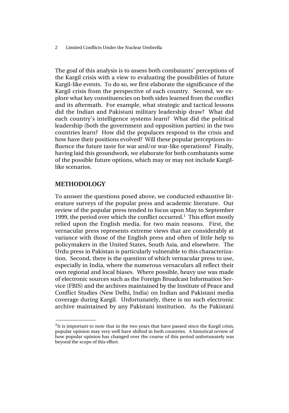The goal of this analysis is to assess both combatants' perceptions of the Kargil crisis with a view to evaluating the possibilities of future Kargil-like events. To do so, we first elaborate the significance of the Kargil crisis from the perspective of each country. Second, we explore what key constituencies on both sides learned from the conflict and its aftermath. For example, what strategic and tactical lessons did the Indian and Pakistani military leadership draw? What did each country's intelligence systems learn? What did the political leadership (both the government and opposition parties) in the two countries learn? How did the populaces respond to the crisis and how have their positions evolved? Will these popular perceptions influence the future taste for war and/or war-like operations? Finally, having laid this groundwork, we elaborate for both combatants some of the possible future options, which may or may not include Kargillike scenarios.

#### **METHODOLOGY**

 $\overline{\phantom{a}}$ 

To answer the questions posed above, we conducted exhaustive literature surveys of the popular press and academic literature. Our review of the popular press tended to focus upon May to September 1999, the period over which the conflict occurred.<sup>1</sup> This effort mostly relied upon the English media, for two main reasons. First, the vernacular press represents extreme views that are considerably at variance with those of the English press and often of little help to policymakers in the United States, South Asia, and elsewhere. The Urdu press in Pakistan is particularly vulnerable to this characterization. Second, there is the question of which vernacular press to use, especially in India, where the numerous vernaculars all reflect their own regional and local biases. Where possible, heavy use was made of electronic sources such as the Foreign Broadcast Information Service (FBIS) and the archives maintained by the Institute of Peace and Conflict Studies (New Delhi, India) on Indian and Pakistani media coverage during Kargil. Unfortunately, there is no such electronic archive maintained by any Pakistani institution. As the Pakistani

 $<sup>1</sup>$ It is important to note that in the two years that have passed since the Kargil crisis,</sup> popular opinion may very well have shifted in both countries. A historical review of how popular opinion has changed over the course of this period unfortunately was beyond the scope of this effort.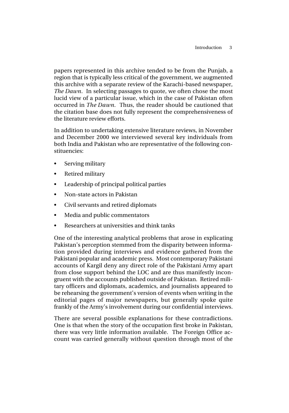papers represented in this archive tended to be from the Punjab, a region that is typically less critical of the government, we augmented this archive with a separate review of the Karachi-based newspaper, *The Dawn*. In selecting passages to quote, we often chose the most lucid view of a particular issue, which in the case of Pakistan often occurred in *The Dawn*. Thus, the reader should be cautioned that the citation base does not fully represent the comprehensiveness of the literature review efforts.

In addition to undertaking extensive literature reviews, in November and December 2000 we interviewed several key individuals from both India and Pakistan who are representative of the following constituencies:

- Serving military
- Retired military
- Leadership of principal political parties
- Non-state actors in Pakistan
- Civil servants and retired diplomats
- Media and public commentators
- Researchers at universities and think tanks

One of the interesting analytical problems that arose in explicating Pakistan's perception stemmed from the disparity between information provided during interviews and evidence gathered from the Pakistani popular and academic press. Most contemporary Pakistani accounts of Kargil deny any direct role of the Pakistani Army apart from close support behind the LOC and are thus manifestly incongruent with the accounts published outside of Pakistan. Retired military officers and diplomats, academics, and journalists appeared to be rehearsing the government's version of events when writing in the editorial pages of major newspapers, but generally spoke quite frankly of the Army's involvement during our confidential interviews.

There are several possible explanations for these contradictions. One is that when the story of the occupation first broke in Pakistan, there was very little information available. The Foreign Office account was carried generally without question through most of the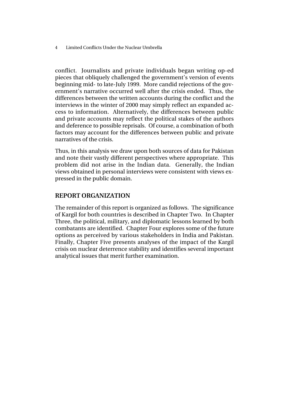conflict. Journalists and private individuals began writing op-ed pieces that obliquely challenged the government's version of events beginning mid- to late-July 1999. More candid rejections of the government's narrative occurred well after the crisis ended. Thus, the differences between the written accounts during the conflict and the interviews in the winter of 2000 may simply reflect an expanded access to information. Alternatively, the differences between public and private accounts may reflect the political stakes of the authors and deference to possible reprisals. Of course, a combination of both factors may account for the differences between public and private narratives of the crisis.

Thus, in this analysis we draw upon both sources of data for Pakistan and note their vastly different perspectives where appropriate. This problem did not arise in the Indian data. Generally, the Indian views obtained in personal interviews were consistent with views expressed in the public domain.

#### **REPORT ORGANIZATION**

The remainder of this report is organized as follows. The significance of Kargil for both countries is described in Chapter Two. In Chapter Three, the political, military, and diplomatic lessons learned by both combatants are identified. Chapter Four explores some of the future options as perceived by various stakeholders in India and Pakistan. Finally, Chapter Five presents analyses of the impact of the Kargil crisis on nuclear deterrence stability and identifies several important analytical issues that merit further examination.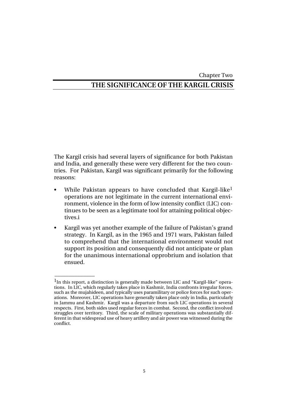Chapter Two

# **THE SIGNIFICANCE OF THE KARGIL CRISIS**

The Kargil crisis had several layers of significance for both Pakistan and India, and generally these were very different for the two countries. For Pakistan, Kargil was significant primarily for the following reasons:

- While Pakistan appears to have concluded that Kargil-like<sup>1</sup> operations are not legitimate in the current international environment, violence in the form of low intensity conflict (LIC) continues to be seen as a legitimate tool for attaining political objectives.i
- Kargil was yet another example of the failure of Pakistan's grand strategy. In Kargil, as in the 1965 and 1971 wars, Pakistan failed to comprehend that the international environment would not support its position and consequently did not anticipate or plan for the unanimous international opprobrium and isolation that ensued.

 $<sup>1</sup>$ In this report, a distinction is generally made between LIC and "Kargil-like" opera-</sup> tions. In LIC, which regularly takes place in Kashmir, India confronts irregular forces, such as the mujahideen, and typically uses paramilitary or police forces for such operations. Moreover, LIC operations have generally taken place only in India, particularly in Jammu and Kashmir. Kargil was a departure from such LIC operations in several respects. First, both sides used regular forces in combat. Second, the conflict involved struggles over territory. Third, the scale of military operations was substantially different in that widespread use of heavy artillery and air power was witnessed during the conflict.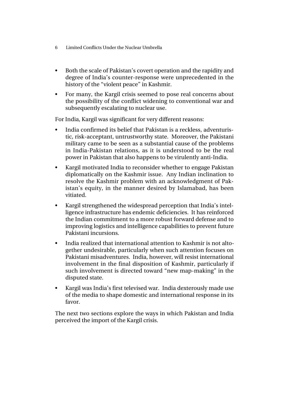- Both the scale of Pakistan's covert operation and the rapidity and degree of India's counter-response were unprecedented in the history of the "violent peace" in Kashmir.
- For many, the Kargil crisis seemed to pose real concerns about the possibility of the conflict widening to conventional war and subsequently escalating to nuclear use.

For India, Kargil was significant for very different reasons:

- India confirmed its belief that Pakistan is a reckless, adventuristic, risk-acceptant, untrustworthy state. Moreover, the Pakistani military came to be seen as a substantial cause of the problems in India-Pakistan relations, as it is understood to be the real power in Pakistan that also happens to be virulently anti-India.
- Kargil motivated India to reconsider whether to engage Pakistan diplomatically on the Kashmir issue. Any Indian inclination to resolve the Kashmir problem with an acknowledgment of Pakistan's equity, in the manner desired by Islamabad, has been vitiated.
- Kargil strengthened the widespread perception that India's intelligence infrastructure has endemic deficiencies. It has reinforced the Indian commitment to a more robust forward defense and to improving logistics and intelligence capabilities to prevent future Pakistani incursions.
- India realized that international attention to Kashmir is not altogether undesirable, particularly when such attention focuses on Pakistani misadventures. India, however, will resist international involvement in the final disposition of Kashmir, particularly if such involvement is directed toward "new map-making" in the disputed state.
- Kargil was India's first televised war. India dexterously made use of the media to shape domestic and international response in its favor.

The next two sections explore the ways in which Pakistan and India perceived the import of the Kargil crisis.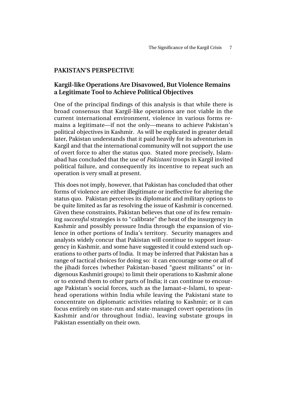#### **PAKISTAN'S PERSPECTIVE**

#### **Kargil-like Operations Are Disavowed, But Violence Remains a Legitimate Tool to Achieve Political Objectives**

One of the principal findings of this analysis is that while there is broad consensus that Kargil-like operations are not viable in the current international environment, violence in various forms remains a legitimate—if not the only—means to achieve Pakistan's political objectives in Kashmir. As will be explicated in greater detail later, Pakistan understands that it paid heavily for its adventurism in Kargil and that the international community will not support the use of overt force to alter the status quo. Stated more precisely, Islamabad has concluded that the use of *Pakistani* troops in Kargil invited political failure, and consequently its incentive to repeat such an operation is very small at present.

This does not imply, however, that Pakistan has concluded that other forms of violence are either illegitimate or ineffective for altering the status quo. Pakistan perceives its diplomatic and military options to be quite limited as far as resolving the issue of Kashmir is concerned. Given these constraints, Pakistan believes that one of its few remaining *successful* strategies is to "calibrate" the heat of the insurgency in Kashmir and possibly pressure India through the expansion of violence in other portions of India's territory. Security managers and analysts widely concur that Pakistan will continue to support insurgency in Kashmir, and some have suggested it could extend such operations to other parts of India. It may be inferred that Pakistan has a range of tactical choices for doing so: it can encourage some or all of the jihadi forces (whether Pakistan-based "guest militants" or indigenous Kashmiri groups) to limit their operations to Kashmir alone or to extend them to other parts of India; it can continue to encourage Pakistan's social forces, such as the Jamaat-e-Islami, to spearhead operations within India while leaving the Pakistani state to concentrate on diplomatic activities relating to Kashmir; or it can focus entirely on state-run and state-managed covert operations (in Kashmir and/or throughout India), leaving substate groups in Pakistan essentially on their own.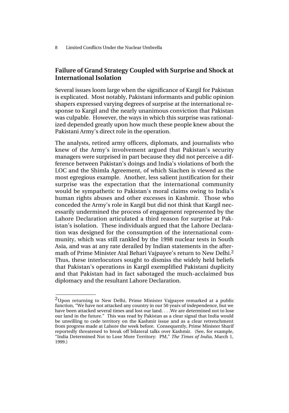#### **Failure of Grand Strategy Coupled with Surprise and Shock at International Isolation**

Several issues loom large when the significance of Kargil for Pakistan is explicated. Most notably, Pakistani informants and public opinion shapers expressed varying degrees of surprise at the international response to Kargil and the nearly unanimous conviction that Pakistan was culpable. However, the ways in which this surprise was rationalized depended greatly upon how much these people knew about the Pakistani Army's direct role in the operation.

The analysts, retired army officers, diplomats, and journalists who knew of the Army's involvement argued that Pakistan's security managers were surprised in part because they did not perceive a difference between Pakistan's doings and India's violations of both the LOC and the Shimla Agreement, of which Siachen is viewed as the most egregious example. Another, less salient justification for their surprise was the expectation that the international community would be sympathetic to Pakistan's moral claims owing to India's human rights abuses and other excesses in Kashmir. Those who conceded the Army's role in Kargil but did not think that Kargil necessarily undermined the process of engagement represented by the Lahore Declaration articulated a third reason for surprise at Pakistan's isolation. These individuals argued that the Lahore Declaration was designed for the consumption of the international community, which was still rankled by the 1998 nuclear tests in South Asia, and was at any rate derailed by Indian statements in the aftermath of Prime Minister Atal Behari Vajpayee's return to New Delhi.<sup>2</sup> Thus, these interlocutors sought to dismiss the widely held beliefs that Pakistan's operations in Kargil exemplified Pakistani duplicity and that Pakistan had in fact sabotaged the much-acclaimed bus diplomacy and the resultant Lahore Declaration.

 $\overline{\phantom{a}}$ 

 $2$ Upon returning to New Delhi, Prime Minister Vajpayee remarked at a public function, "We have not attacked any country in our 50 years of independence, but we have been attacked several times and lost our land. . . .We are determined not to lose our land in the future." This was read by Pakistan as a clear signal that India would be unwilling to cede territory on the Kashmir issue and as a clear retrenchment from progress made at Lahore the week before. Consequently, Prime Minister Sharif reportedly threatened to break off bilateral talks over Kashmir. (See, for example, "India Determined Not to Lose More Territory: PM," *The Times of India,* March 1, 1999.)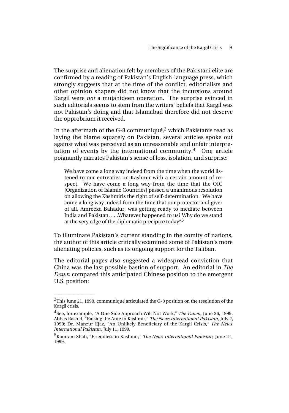The surprise and alienation felt by members of the Pakistani elite are confirmed by a reading of Pakistan's English-language press, which strongly suggests that at the time of the conflict, editorialists and other opinion shapers did not know that the incursions around Kargil were *not* a mujahideen operation. The surprise evinced in such editorials seems to stem from the writers' beliefs that Kargil was not Pakistan's doing and that Islamabad therefore did not deserve the opprobrium it received.

In the aftermath of the G-8 communiqué, $3$  which Pakistanis read as laying the blame squarely on Pakistan, several articles spoke out against what was perceived as an unreasonable and unfair interpretation of events by the international community.4 One article poignantly narrates Pakistan's sense of loss, isolation, and surprise:

We have come a long way indeed from the time when the world listened to our entreaties on Kashmir with a certain amount of respect. We have come a long way from the time that the OIC [Organization of Islamic Countries] passed a unanimous resolution on allowing the Kashmiris the right of self-determination. We have come a long way indeed from the time that our protector and giver of all, Amreeka Bahadur, was getting ready to mediate between India and Pakistan. . . .Whatever happened to us? Why do we stand at the very edge of the diplomatic precipice today?5

To illuminate Pakistan's current standing in the comity of nations, the author of this article critically examined some of Pakistan's more alienating policies, such as its ongoing support for the Taliban.

The editorial pages also suggested a widespread conviction that China was the last possible bastion of support. An editorial in *The Dawn* compared this anticipated Chinese position to the emergent U.S. position:

<sup>&</sup>lt;sup>3</sup>This June 21, 1999, communiqué articulated the G-8 position on the resolution of the Kargil crisis.

<sup>4</sup>See, for example, "A One Side Approach Will Not Work," *The Dawn*, June 26, 1999; Abbas Rashid, "Raising the Ante in Kashmir," *The News International Pakistan*, July 2, 1999; Dr. Manzur Ejaz, "An Unlikely Beneficiary of the Kargil Crisis," *The News International Pakistan*, July 11, 1999*.*

<sup>5</sup>Kamram Shafi, "Friendless in Kashmir," *The News International Pakistan*, June 21, 1999.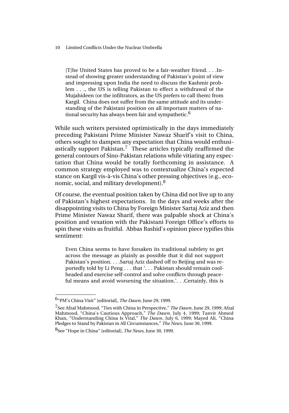[T]he United States has proved to be a fair-weather friend. . . .Instead of showing greater understanding of Pakistan's point of view and impressing upon India the need to discuss the Kashmir problem . . ., the US is telling Pakistan to effect a withdrawal of the Mujahideen (or the infiltrators, as the US prefers to call them) from Kargil. China does not suffer from the same attitude and its understanding of the Pakistani position on all important matters of national security has always been fair and sympathetic.<sup>6</sup>

While such writers persisted optimistically in the days immediately preceding Pakistani Prime Minister Nawaz Sharif's visit to China, others sought to dampen any expectation that China would enthusiastically support Pakistan.7 These articles typically reaffirmed the general contours of Sino-Pakistan relations while vitiating any expectation that China would be totally forthcoming in assistance. A common strategy employed was to contextualize China's expected stance on Kargil vis-à-vis China's other pressing objectives (e.g., economic, social, and military development).8

Of course, the eventual position taken by China did not live up to any of Pakistan's highest expectations. In the days and weeks after the disappointing visits to China by Foreign Minister Sartaj Aziz and then Prime Minister Nawaz Sharif, there was palpable shock at China's position and vexation with the Pakistani Foreign Office's efforts to spin these visits as fruitful. Abbas Rashid's opinion piece typifies this sentiment:

Even China seems to have forsaken its traditional subtlety to get across the message as plainly as possible that it did not support Pakistan's position. . . .Sartaj Aziz dashed off to Beijing and was reportedly told by Li Peng . . . that '. . . Pakistan should remain coolheaded and exercise self-control and solve conflicts through peaceful means and avoid worsening the situation.'. . .Certainly, this is

 $\overline{\phantom{a}}$ 

8See "Hope in China" [editorial], *The News*, June 30, 1999.

<sup>6&</sup>quot;PM's China Visit" [editorial], *The Dawn*, June 29, 1999.

<sup>7</sup>See Afzal Mahmood, "Ties with China in Perspective," *The Dawn*, June 29, 1999; Afzal Mahmood, "China's Cautious Approach," *The Dawn*, July 4, 1999; Tanvir Ahmed Khan, "Understanding China Is Vital," *The Dawn*, July 6, 1999; Mayed Ali, "China Pledges to Stand by Pakistan in All Circumstances," *The News*, June 30, 1999.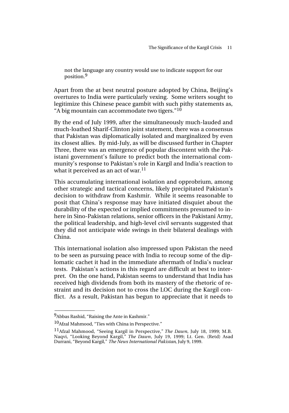not the language any country would use to indicate support for our position.9

Apart from the at best neutral posture adopted by China, Beijing's overtures to India were particularly vexing. Some writers sought to legitimize this Chinese peace gambit with such pithy statements as, "A big mountain can accommodate two tigers."<sup>10</sup>

By the end of July 1999, after the simultaneously much-lauded and much-loathed Sharif-Clinton joint statement, there was a consensus that Pakistan was diplomatically isolated and marginalized by even its closest allies. By mid-July, as will be discussed further in Chapter Three, there was an emergence of popular discontent with the Pakistani government's failure to predict both the international community's response to Pakistan's role in Kargil and India's reaction to what it perceived as an act of war.<sup>11</sup>

This accumulating international isolation and opprobrium, among other strategic and tactical concerns, likely precipitated Pakistan's decision to withdraw from Kashmir. While it seems reasonable to posit that China's response may have initiated disquiet about the durability of the expected or implied commitments presumed to inhere in Sino-Pakistan relations, senior officers in the Pakistani Army, the political leadership, and high-level civil servants suggested that they did not anticipate wide swings in their bilateral dealings with China.

This international isolation also impressed upon Pakistan the need to be seen as pursuing peace with India to recoup some of the diplomatic cachet it had in the immediate aftermath of India's nuclear tests. Pakistan's actions in this regard are difficult at best to interpret. On the one hand, Pakistan seems to understand that India has received high dividends from both its mastery of the rhetoric of restraint and its decision not to cross the LOC during the Kargil conflict. As a result, Pakistan has begun to appreciate that it needs to

<sup>9</sup>Abbas Rashid, "Raising the Ante in Kashmir."

<sup>10</sup>Afzal Mahmood, "Ties with China in Perspective."

<sup>11</sup>Afzal Mahmood, "Seeing Kargil in Perspective," *The Dawn,* July 18, 1999; M.B. Naqvi, "Looking Beyond Kargil," *The Dawn*, July 19, 1999; Lt. Gen. (Retd) Asad Durrani, "Beyond Kargil," *The News International Pakistan*, July 9, 1999.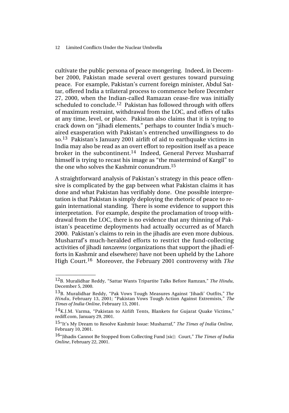cultivate the public persona of peace mongering. Indeed, in December 2000, Pakistan made several overt gestures toward pursuing peace. For example, Pakistan's current foreign minister, Abdul Sattar, offered India a trilateral process to commence before December 27, 2000, when the Indian-called Ramazan cease-fire was initially scheduled to conclude.<sup>12</sup> Pakistan has followed through with offers of maximum restraint, withdrawal from the LOC, and offers of talks at any time, level, or place. Pakistan also claims that it is trying to crack down on "jihadi elements," perhaps to counter India's muchaired exasperation with Pakistan's entrenched unwillingness to do so.13 Pakistan's January 2001 airlift of aid to earthquake victims in India may also be read as an overt effort to reposition itself as a peace broker in the subcontinent.14 Indeed, General Pervez Musharraf himself is trying to recast his image as "the mastermind of Kargil" to the one who solves the Kashmir conundrum.15

A straightforward analysis of Pakistan's strategy in this peace offensive is complicated by the gap between what Pakistan claims it has done and what Pakistan has verifiably done. One possible interpretation is that Pakistan is simply deploying the rhetoric of peace to regain international standing. There is some evidence to support this interpretation. For example, despite the proclamation of troop withdrawal from the LOC, there is no evidence that any thinning of Pakistan's peacetime deployments had actually occurred as of March 2000. Pakistan's claims to rein in the jihadis are even more dubious. Musharraf's much-heralded efforts to restrict the fund-collecting activities of jihadi *tanzeems* (organizations that support the jihadi efforts in Kashmir and elsewhere) have not been upheld by the Lahore High Court.16 Moreover, the February 2001 controversy with *The*

<sup>12</sup>B. Muralidhar Reddy, "Sattar Wants Tripartite Talks Before Ramzan," *The Hindu*, December 5, 2000.

<sup>13</sup>B. Muralidhar Reddy, "Pak Vows Tough Measures Against 'Jihadi' Outfits," *The Hindu*, February 13, 2001; "Pakistan Vows Tough Action Against Extremists," *The Times of India Online*, February 13, 2001.

 $14$ K.J.M. Varma, "Pakistan to Airlift Tents, Blankets for Gujarat Quake Victims," rediff.com*,* January 29, 2001.

<sup>15&</sup>quot;It's My Dream to Resolve Kashmir Issue: Musharraf," *The Times of India Online*, February 10, 2001.

<sup>16&</sup>quot;Jihadis Cannot Be Stopped from Collecting Fund [sic]: Court," *The Times of India Online*, February 22, 2001.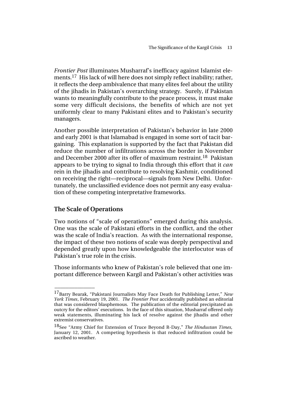*Frontier Post* illuminates Musharraf's inefficacy against Islamist elements.<sup>17</sup> His lack of will here does not simply reflect inability; rather, it reflects the deep ambivalence that many elites feel about the utility of the jihadis in Pakistan's overarching strategy. Surely, if Pakistan wants to meaningfully contribute to the peace process, it must make some very difficult decisions, the benefits of which are not yet uniformly clear to many Pakistani elites and to Pakistan's security managers.

Another possible interpretation of Pakistan's behavior in late 2000 and early 2001 is that Islamabad is engaged in some sort of tacit bargaining. This explanation is supported by the fact that Pakistan did reduce the number of infiltrations across the border in November and December 2000 after its offer of maximum restraint.<sup>18</sup> Pakistan appears to be trying to signal to India through this effort that it *can* rein in the jihadis and contribute to resolving Kashmir, conditioned on receiving the right—reciprocal—signals from New Delhi. Unfortunately, the unclassified evidence does not permit any easy evaluation of these competing interpretative frameworks.

#### **The Scale of Operations**

\_\_\_\_\_\_\_\_\_\_\_\_\_\_

Two notions of "scale of operations" emerged during this analysis. One was the scale of Pakistani efforts in the conflict, and the other was the scale of India's reaction. As with the international response, the impact of these two notions of scale was deeply perspectival and depended greatly upon how knowledgeable the interlocutor was of Pakistan's true role in the crisis.

Those informants who knew of Pakistan's role believed that one important difference between Kargil and Pakistan's other activities was

<sup>17</sup>Barry Bearak, "Pakistani Journalists May Face Death for Publishing Letter," *New York Times*, February 19, 2001. *The Frontier Post* accidentally published an editorial that was considered blasphemous. The publication of the editorial precipitated an outcry for the editors' executions. In the face of this situation, Musharraf offered only weak statements, illuminating his lack of resolve against the jihadis and other extremist conservatives.

<sup>18</sup>See "Army Chief for Extension of Truce Beyond R-Day," *The Hindustan Times,* January 12, 2001. A competing hypothesis is that reduced infiltration could be ascribed to weather.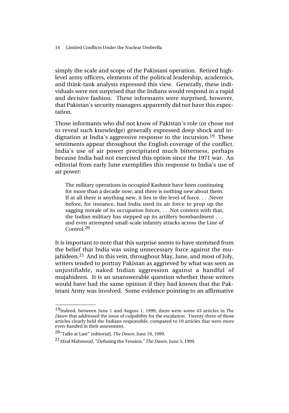simply the scale and scope of the Pakistani operation. Retired highlevel army officers, elements of the political leadership, academics, and think-tank analysts expressed this view. Generally, these individuals were not surprised that the Indians would respond in a rapid and decisive fashion. These informants were surprised, however, that Pakistan's security managers apparently did not have this expectation.

Those informants who did not know of Pakistan's role (or chose not to reveal such knowledge) generally expressed deep shock and indignation at India's aggressive response to the incursion.19 These sentiments appear throughout the English coverage of the conflict. India's use of air power precipitated much bitterness, perhaps because India had not exercised this option since the 1971 war. An editorial from early June exemplifies this response to India's use of air power:

The military operations in occupied Kashmir have been continuing for more than a decade now; and there is nothing new about them. If at all there is anything new, it lies in the level of force. . . .Never before, for instance, had India used its air force to prop up the sagging morale of its occupation forces. . . .Not content with that, the Indian military has stepped up its artillery bombardment . . . and even attempted small-scale infantry attacks across the Line of Control.20

It is important to note that this surprise seems to have stemmed from the belief that India was using unnecessary force against the mujahideen.<sup>21</sup> And in this vein, throughout May, June, and most of July, writers tended to portray Pakistan as aggrieved by what was seen as unjustifiable, naked Indian aggression against a handful of mujahideen. It is an unanswerable question whether these writers would have had the same opinion if they had known that the Pakistani Army was involved. Some evidence pointing to an affirmative

 $\overline{\phantom{a}}$ 

<sup>19</sup>Indeed, between June 1 and August 1, 1999, there were some 43 articles in *The Dawn* that addressed the issue of culpability for the escalation. Twenty-three of those articles clearly held the Indians responsible, compared to 10 articles that were more even-handed in their assessment.

<sup>20&</sup>quot;Talks at Last" [editorial], *The Dawn*, June 10, 1999.

<sup>21</sup>Afzal Mahmood, "Defusing the Tension," *The Dawn*, June 5, 1999.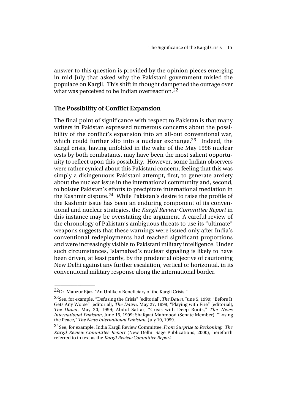answer to this question is provided by the opinion pieces emerging in mid-July that asked why the Pakistani government misled the populace on Kargil. This shift in thought dampened the outrage over what was perceived to be Indian overreaction.<sup>22</sup>

#### **The Possibility of Conflict Expansion**

The final point of significance with respect to Pakistan is that many writers in Pakistan expressed numerous concerns about the possibility of the conflict's expansion into an all-out conventional war, which could further slip into a nuclear exchange.<sup>23</sup> Indeed, the Kargil crisis, having unfolded in the wake of the May 1998 nuclear tests by both combatants, may have been the most salient opportunity to reflect upon this possibility. However, some Indian observers were rather cynical about this Pakistani concern, feeling that this was simply a disingenuous Pakistani attempt, first, to generate anxiety about the nuclear issue in the international community and, second, to bolster Pakistan's efforts to precipitate international mediation in the Kashmir dispute.24 While Pakistan's desire to raise the profile of the Kashmir issue has been an enduring component of its conventional and nuclear strategies, the *Kargil Review Committee Report* in this instance may be overstating the argument. A careful review of the chronology of Pakistan's ambiguous threats to use its "ultimate" weapons suggests that these warnings were issued only after India's conventional redeployments had reached significant proportions and were increasingly visible to Pakistani military intelligence. Under such circumstances, Islamabad's nuclear signaling is likely to have been driven, at least partly, by the prudential objective of cautioning New Delhi against any further escalation, vertical or horizontal, in its conventional military response along the international border.

 $\overline{\phantom{a}}$ 

<sup>22</sup>Dr. Manzur Ejaz, "An Unlikely Beneficiary of the Kargil Crisis."

<sup>23</sup>See, for example, "Defusing the Crisis" [editorial], *The Dawn*, June 5, 1999; "Before It Gets Any Worse" [editorial], *The Dawn*, May 27, 1999; "Playing with Fire" [editorial]. *The Dawn*, May 30, 1999; Abdul Sattar, "Crisis with Deep Roots," *The News International Pakistan,* June 13, 1999; Shafqaat Mahmood (Senate Member), "Losing the Peace," *The News International Pakistan,* July 10, 1999.

<sup>24</sup>See, for example, India Kargil Review Committee, *From Surprise to Reckoning: The Kargil Review Committee Report* (New Delhi: Sage Publications, 2000), hereforth referred to in text as the *Kargil Review Committee Report.*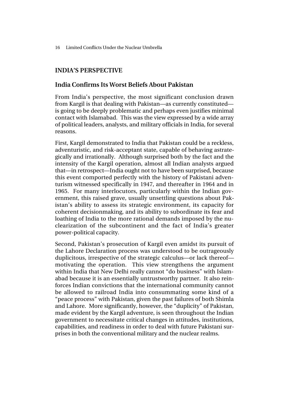# **INDIA'S PERSPECTIVE**

#### **India Confirms Its Worst Beliefs About Pakistan**

From India's perspective, the most significant conclusion drawn from Kargil is that dealing with Pakistan—as currently constituted is going to be deeply problematic and perhaps even justifies minimal contact with Islamabad. This was the view expressed by a wide array of political leaders, analysts, and military officials in India, for several reasons.

First, Kargil demonstrated to India that Pakistan could be a reckless, adventuristic, and risk-acceptant state, capable of behaving astrategically and irrationally. Although surprised both by the fact and the intensity of the Kargil operation, almost all Indian analysts argued that—in retrospect—India ought not to have been surprised, because this event comported perfectly with the history of Pakistani adventurism witnessed specifically in 1947, and thereafter in 1964 and in 1965. For many interlocutors, particularly within the Indian government, this raised grave, usually unsettling questions about Pakistan's ability to assess its strategic environment, its capacity for coherent decisionmaking, and its ability to subordinate its fear and loathing of India to the more rational demands imposed by the nuclearization of the subcontinent and the fact of India's greater power-political capacity.

Second, Pakistan's prosecution of Kargil even amidst its pursuit of the Lahore Declaration process was understood to be outrageously duplicitous, irrespective of the strategic calculus—or lack thereof motivating the operation. This view strengthens the argument within India that New Delhi really cannot "do business" with Islamabad because it is an essentially untrustworthy partner. It also reinforces Indian convictions that the international community cannot be allowed to railroad India into consummating some kind of a "peace process" with Pakistan, given the past failures of both Shimla and Lahore. More significantly, however, the "duplicity" of Pakistan, made evident by the Kargil adventure, is seen throughout the Indian government to necessitate critical changes in attitudes, institutions, capabilities, and readiness in order to deal with future Pakistani surprises in both the conventional military and the nuclear realms.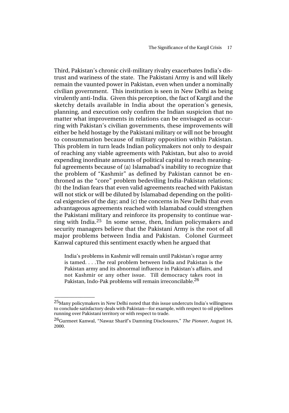Third, Pakistan's chronic civil-military rivalry exacerbates India's distrust and wariness of the state. The Pakistani Army is and will likely remain the vaunted power in Pakistan, even when under a nominally civilian government. This institution is seen in New Delhi as being virulently anti-India. Given this perception, the fact of Kargil and the sketchy details available in India about the operation's genesis, planning, and execution only confirm the Indian suspicion that no matter what improvements in relations can be envisaged as occurring with Pakistan's civilian governments, these improvements will either be held hostage by the Pakistani military or will not be brought to consummation because of military opposition within Pakistan. This problem in turn leads Indian policymakers not only to despair of reaching any viable agreements with Pakistan, but also to avoid expending inordinate amounts of political capital to reach meaningful agreements because of (a) Islamabad's inability to recognize that the problem of "Kashmir" as defined by Pakistan cannot be enthroned as the "core" problem bedeviling India-Pakistan relations; (b) the Indian fears that even valid agreements reached with Pakistan will not stick or will be diluted by Islamabad depending on the political exigencies of the day; and (c) the concerns in New Delhi that even advantageous agreements reached with Islamabad could strengthen the Pakistani military and reinforce its propensity to continue warring with India.25 In some sense, then, Indian policymakers and security managers believe that the Pakistani Army is the root of all major problems between India and Pakistan. Colonel Gurmeet Kanwal captured this sentiment exactly when he argued that

India's problems in Kashmir will remain until Pakistan's rogue army is tamed. . . .The real problem between India and Pakistan is the Pakistan army and its abnormal influence in Pakistan's affairs, and not Kashmir or any other issue. Till democracy takes root in Pakistan, Indo-Pak problems will remain irreconcilable.26

 $\overline{\phantom{a}}$ 

<sup>25</sup>Many policymakers in New Delhi noted that this issue undercuts India's willingness to conclude satisfactory deals with Pakistan—for example, with respect to oil pipelines running over Pakistani territory or with respect to trade.

<sup>26</sup>Gurmeet Kanwal, "Nawaz Sharif's Damning Disclosures," *The Pioneer*, August 16, 2000.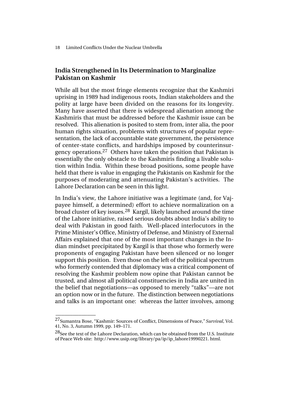#### **India Strengthened in Its Determination to Marginalize Pakistan on Kashmir**

While all but the most fringe elements recognize that the Kashmiri uprising in 1989 had indigenous roots, Indian stakeholders and the polity at large have been divided on the reasons for its longevity. Many have asserted that there is widespread alienation among the Kashmiris that must be addressed before the Kashmir issue can be resolved. This alienation is posited to stem from, inter alia, the poor human rights situation, problems with structures of popular representation, the lack of accountable state government, the persistence of center-state conflicts, and hardships imposed by counterinsurgency operations.27 Others have taken the position that Pakistan is essentially the only obstacle to the Kashmiris finding a livable solution within India. Within these broad positions, some people have held that there is value in engaging the Pakistanis on Kashmir for the purposes of moderating and attenuating Pakistan's activities. The Lahore Declaration can be seen in this light.

In India's view, the Lahore initiative was a legitimate (and, for Vajpayee himself, a determined) effort to achieve normalization on a broad cluster of key issues.28 Kargil, likely launched around the time of the Lahore initiative, raised serious doubts about India's ability to deal with Pakistan in good faith. Well-placed interlocutors in the Prime Minister's Office, Ministry of Defense, and Ministry of External Affairs explained that one of the most important changes in the Indian mindset precipitated by Kargil is that those who formerly were proponents of engaging Pakistan have been silenced or no longer support this position. Even those on the left of the political spectrum who formerly contended that diplomacy was a critical component of resolving the Kashmir problem now opine that Pakistan cannot be trusted, and almost all political constituencies in India are united in the belief that negotiations—as opposed to merely "talks"—are not an option now or in the future. The distinction between negotiations and talks is an important one: whereas the latter involves, among

<sup>27</sup>Sumantra Bose, "Kashmir: Sources of Conflict, Dimensions of Peace," *Survival*, Vol. 41, No. 3, Autumn 1999, pp. 149–171.

 $28$ See the text of the Lahore Declaration, which can be obtained from the U.S. Institute of Peace Web site: http://www.usip.org/library/pa/ip/ip\_lahore19990221. html.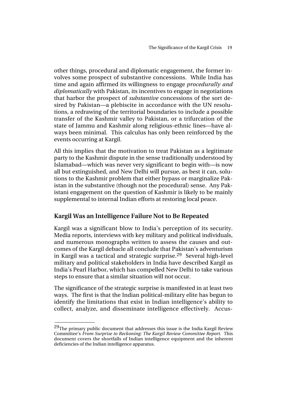other things, procedural and diplomatic engagement, the former involves some prospect of substantive concessions. While India has time and again affirmed its willingness to engage *procedurally and diplomatically* with Pakistan, its incentives to engage in negotiations that harbor the prospect of *substantive* concessions of the sort desired by Pakistan—a plebiscite in accordance with the UN resolutions, a redrawing of the territorial boundaries to include a possible transfer of the Kashmir valley to Pakistan, or a trifurcation of the state of Jammu and Kashmir along religious-ethnic lines—have always been minimal. This calculus has only been reinforced by the events occurring at Kargil.

All this implies that the motivation to treat Pakistan as a legitimate party to the Kashmir dispute in the sense traditionally understood by Islamabad—which was never very significant to begin with—is now all but extinguished, and New Delhi will pursue, as best it can, solutions to the Kashmir problem that either bypass or marginalize Pakistan in the substantive (though not the procedural) sense. Any Pakistani engagement on the question of Kashmir is likely to be mainly supplemental to internal Indian efforts at restoring local peace.

#### **Kargil Was an Intelligence Failure Not to Be Repeated**

Kargil was a significant blow to India's perception of its security. Media reports, interviews with key military and political individuals, and numerous monographs written to assess the causes and outcomes of the Kargil debacle all conclude that Pakistan's adventurism in Kargil was a tactical and strategic surprise.29 Several high-level military and political stakeholders in India have described Kargil as India's Pearl Harbor, which has compelled New Delhi to take various steps to ensure that a similar situation will not occur.

The significance of the strategic surprise is manifested in at least two ways. The first is that the Indian political-military elite has begun to identify the limitations that exist in Indian intelligence's ability to collect, analyze, and disseminate intelligence effectively. Accus-

 $^{29}$ The primary public document that addresses this issue is the India Kargil Review Committee's *From Surprise to Reckoning: The Kargil Review Committee Report*. This document covers the shortfalls of Indian intelligence equipment and the inherent deficiencies of the Indian intelligence apparatus.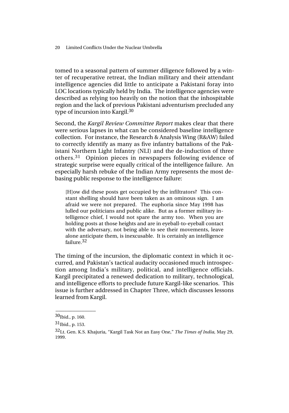tomed to a seasonal pattern of summer diligence followed by a winter of recuperative retreat, the Indian military and their attendant intelligence agencies did little to anticipate a Pakistani foray into LOC locations typically held by India. The intelligence agencies were described as relying too heavily on the notion that the inhospitable region and the lack of previous Pakistani adventurism precluded any type of incursion into Kargil.30

Second, the *Kargil Review Committee Report* makes clear that there were serious lapses in what can be considered baseline intelligence collection. For instance, the Research & Analysis Wing (R&AW) failed to correctly identify as many as five infantry battalions of the Pakistani Northern Light Infantry (NLI) and the de-induction of three others.31 Opinion pieces in newspapers following evidence of strategic surprise were equally critical of the intelligence failure. An especially harsh rebuke of the Indian Army represents the most debasing public response to the intelligence failure:

[H]ow did these posts get occupied by the infiltrators? This constant shelling should have been taken as an ominous sign. I am afraid we were not prepared. The euphoria since May 1998 has lulled our politicians and public alike. But as a former military intelligence chief, I would not spare the army too. When you are holding posts at those heights and are in eyeball-to-eyeball contact with the adversary, not being able to see their movements, leave alone anticipate them, is inexcusable. It is certainly an intelligence failure.<sup>32</sup>

The timing of the incursion, the diplomatic context in which it occurred, and Pakistan's tactical audacity occasioned much introspection among India's military, political, and intelligence officials. Kargil precipitated a renewed dedication to military, technological, and intelligence efforts to preclude future Kargil-like scenarios. This issue is further addressed in Chapter Three, which discusses lessons learned from Kargil.

<sup>30</sup>Ibid., p. 160.

 $31$ Ibid., p. 153.

<sup>32</sup>Lt. Gen. K.S. Khajuria, "Kargil Task Not an Easy One," *The Times of India,* May 29, 1999.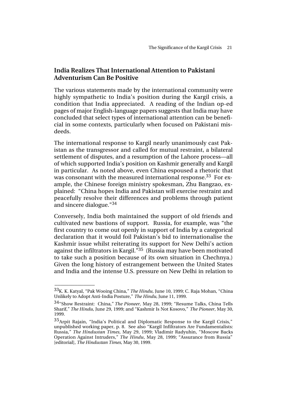# **India Realizes That International Attention to Pakistani Adventurism Can Be Positive**

The various statements made by the international community were highly sympathetic to India's position during the Kargil crisis, a condition that India appreciated. A reading of the Indian op-ed pages of major English-language papers suggests that India may have concluded that select types of international attention can be beneficial in some contexts, particularly when focused on Pakistani misdeeds.

The international response to Kargil nearly unanimously cast Pakistan as the transgressor and called for mutual restraint, a bilateral settlement of disputes, and a resumption of the Lahore process—all of which supported India's position on Kashmir generally and Kargil in particular. As noted above, even China espoused a rhetoric that was consonant with the measured international response.<sup>33</sup> For example, the Chinese foreign ministry spokesman, Zhu Bangzao, explained: "China hopes India and Pakistan will exercise restraint and peacefully resolve their differences and problems through patient and sincere dialogue."<sup>34</sup>

Conversely, India both maintained the support of old friends and cultivated new bastions of support. Russia, for example, was "the first country to come out openly in support of India by a categorical declaration that it would foil Pakistan's bid to internationalise the Kashmir issue whilst reiterating its support for New Delhi's action against the infiltrators in Kargil. $^{935}$  (Russia may have been motivated to take such a position because of its own situation in Chechnya.) Given the long history of estrangement between the United States and India and the intense U.S. pressure on New Delhi in relation to

<sup>33</sup>K. K. Katyal, "Pak Wooing China," *The Hindu,* June 10, 1999; C. Raja Mohan, "China Unlikely to Adopt Anti-India Posture," *The Hindu,* June 11, 1999.

<sup>34&</sup>quot;Show Restraint: China," *The Pioneer,* May 28, 1999; "Resume Talks, China Tells Sharif," *The Hindu,* June 29, 1999; and "Kashmir Is Not Kosovo," *The Pioneer*, May 30, 1999.

<sup>35</sup>Arpit Rajain, "India's Political and Diplomatic Response to the Kargil Crisis," unpublished working paper, p. 8. See also "Kargil Infiltrators Are Fundamentalists: Russia," *The Hindustan Times*, May 29, 1999; Vladimir Radyuhin, "Moscow Backs Operation Against Intruders," *The Hindu*, May 28, 1999; "Assurance from Russia" [editorial], *The Hindustan Times,* May 30, 1999.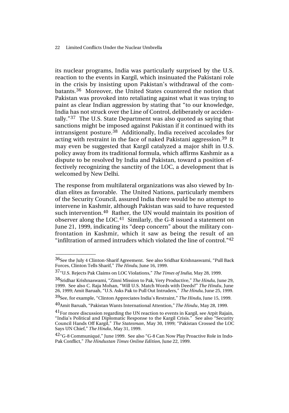its nuclear programs, India was particularly surprised by the U.S. reaction to the events in Kargil, which insinuated the Pakistani role in the crisis by insisting upon Pakistan's withdrawal of the combatants.36 Moreover, the United States countered the notion that Pakistan was provoked into retaliating against what it was trying to paint as clear Indian aggression by stating that "to our knowledge, India has not struck over the Line of Control, deliberately or accidentally."37 The U.S. State Department was also quoted as saying that sanctions might be imposed against Pakistan if it continued with its  $intransigent$  posture.<sup>38</sup> Additionally, India received accolades for acting with restraint in the face of naked Pakistani aggression. 39 It may even be suggested that Kargil catalyzed a major shift in U.S. policy away from its traditional formula, which affirms Kashmir as a dispute to be resolved by India and Pakistan, toward a position effectively recognizing the sanctity of the LOC, a development that is welcomed by New Delhi.

The response from multilateral organizations was also viewed by Indian elites as favorable. The United Nations, particularly members of the Security Council, assured India there would be no attempt to intervene in Kashmir, although Pakistan was said to have requested such intervention.40 Rather, the UN would maintain its position of observer along the LOC.41 Similarly, the G-8 issued a statement on June 21, 1999, indicating its "deep concern" about the military confrontation in Kashmir, which it saw as being the result of an "infiltration of armed intruders which violated the line of control." $42$ 

<sup>36</sup>See the July 4 Clinton-Sharif Agreement. See also Sridhar Krishnaswami, "Pull Back Forces, Clinton Tells Sharif," *The Hindu,* June 16, 1999.

<sup>37&</sup>quot;U.S. Rejects Pak Claims on LOC Violations," *The Times of India,* May 28, 1999.

<sup>38</sup>Sridhar Krishnaswami, "Zinni Mission to Pak, Very Productive," *The Hindu,* June 29, 1999. See also C. Raja Mohan, "Will U.S. Match Words with Deeds?" *The Hindu*, June 26, 1999; Amit Baruah, "U.S. Asks Pak to Pull Out Intruders," *The Hindu,* June 25, 1999.

<sup>39</sup>See, for example, "Clinton Appreciates India's Restraint," *The Hindu,* June 15, 1999.

<sup>40</sup>Amit Baruah, "Pakistan Wants International Attention," *The Hindu*, May 28, 1999.

 $^{41}$ For more discussion regarding the UN reaction to events in Kargil, see Arpit Rajain, "India's Political and Diplomatic Response to the Kargil Crisis." See also "Security Council Hands Off Kargil," *The Statesman*, May 30, 1999; "Pakistan Crossed the LOC Says UN Chief," *The Hindu*, May 31, 1999.

 $42^{\circ}$ G-8 Communiqué," June 1999. See also "G-8 Can Now Play Proactive Role in Indo-Pak Conflict," *The Hindustan Times Online Edition,* June 22, 1999.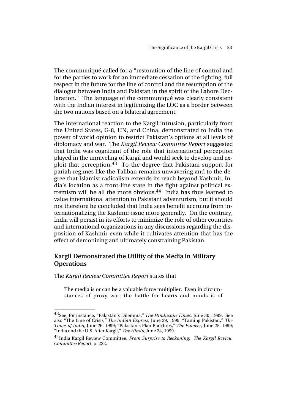The communiqué called for a "restoration of the line of control and for the parties to work for an immediate cessation of the fighting, full respect in the future for the line of control and the resumption of the dialogue between India and Pakistan in the spirit of the Lahore Declaration." The language of the communiqué was clearly consistent with the Indian interest in legitimizing the LOC as a border between the two nations based on a bilateral agreement.

The international reaction to the Kargil intrusion, particularly from the United States, G-8, UN, and China, demonstrated to India the power of world opinion to restrict Pakistan's options at all levels of diplomacy and war. The *Kargil Review Committee Report* suggested that India was cognizant of the role that international perception played in the unraveling of Kargil and would seek to develop and exploit that perception. $43$  To the degree that Pakistani support for pariah regimes like the Taliban remains unwavering and to the degree that Islamist radicalism extends its reach beyond Kashmir, India's location as a front-line state in the fight against political extremism will be all the more obvious. $44$  India has thus learned to value international attention to Pakistani adventurism, but it should not therefore be concluded that India sees benefit accruing from internationalizing the Kashmir issue more generally. On the contrary, India will persist in its efforts to minimize the role of other countries and international organizations in any discussions regarding the disposition of Kashmir even while it cultivates attention that has the effect of demonizing and ultimately constraining Pakistan.

#### **Kargil Demonstrated the Utility of the Media in Military Operations**

The *Kargil Review Committee Report* states that

 $\overline{\phantom{a}}$ 

The media is or can be a valuable force multiplier. Even in circumstances of proxy war, the battle for hearts and minds is of

<sup>43</sup>See, for instance, "Pakistan's Dilemma," *The Hindustan Times,* June 30, 1999. See also "The Line of Crisis*," The Indian Express,* June 29, 1999; "Taming Pakistan," *The Times of India,* June 26, 1999; "Pakistan's Plan Backfires," *The Pioneer,* June 25, 1999; "India and the U.S. After Kargil," *The Hindu,* June 24, 1999.

<sup>44</sup>India Kargil Review Committee*, From Surprise to Reckoning: The Kargil Review Committee Report*, p. 222.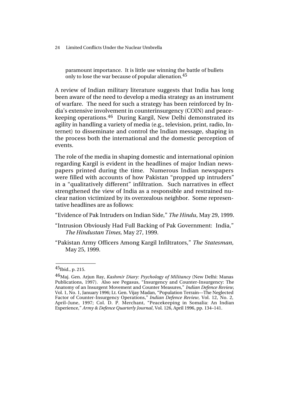paramount importance. It is little use winning the battle of bullets only to lose the war because of popular alienation.<sup>45</sup>

A review of Indian military literature suggests that India has long been aware of the need to develop a media strategy as an instrument of warfare. The need for such a strategy has been reinforced by India's extensive involvement in counterinsurgency (COIN) and peacekeeping operations.46 During Kargil, New Delhi demonstrated its agility in handling a variety of media (e.g., television, print, radio, Internet) to disseminate and control the Indian message, shaping in the process both the international and the domestic perception of events.

The role of the media in shaping domestic and international opinion regarding Kargil is evident in the headlines of major Indian newspapers printed during the time. Numerous Indian newspapers were filled with accounts of how Pakistan "propped up intruders" in a "qualitatively different" infiltration. Such narratives in effect strengthened the view of India as a responsible and restrained nuclear nation victimized by its overzealous neighbor. Some representative headlines are as follows:

"Evidence of Pak Intruders on Indian Side," *The Hindu*, May 29, 1999.

- "Intrusion Obviously Had Full Backing of Pak Government: India," *The Hindustan Times,* May 27, 1999.
- "Pakistan Army Officers Among Kargil Infiltrators," *The Statesman,* May 25, 1999.

 $45$ Ibid., p. 215.

<sup>46</sup>Maj. Gen. Arjun Ray, *Kashmir Diary: Psychology of Militancy* (New Delhi: Manas Publications, 1997). Also see Pegasus, "Insurgency and Counter-Insurgency: The Anatomy of an Insurgent Movement and Counter Measures," *Indian Defence Review*, Vol. 1, No. 1, January 1996; Lt. Gen. Vijay Madan, "Population Terrain—The Neglected Factor of Counter-Insurgency Operations," *Indian Defence Review*, Vol. 12, No. 2, April–June, 1997; Col. D. P. Merchant, "Peacekeeping in Somalia: An Indian Experience," *Army & Defence Quarterly Journal*, Vol. 126, April 1996, pp. 134–141.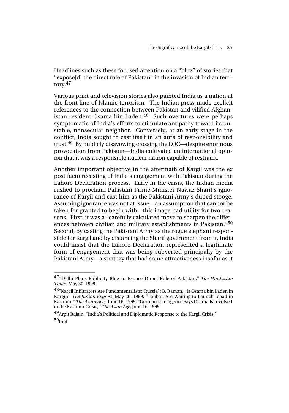Headlines such as these focused attention on a "blitz" of stories that "expose[d] the direct role of Pakistan" in the invasion of Indian territory.<sup>47</sup>

Various print and television stories also painted India as a nation at the front line of Islamic terrorism. The Indian press made explicit references to the connection between Pakistan and vilified Afghanistan resident Osama bin Laden. $48$  Such overtures were perhaps symptomatic of India's efforts to stimulate antipathy toward its unstable, nonsecular neighbor. Conversely, at an early stage in the conflict, India sought to cast itself in an aura of responsibility and trust.49 By publicly disavowing crossing the LOC—despite enormous provocation from Pakistan—India cultivated an international opinion that it was a responsible nuclear nation capable of restraint.

Another important objective in the aftermath of Kargil was the ex post facto recasting of India's engagement with Pakistan during the Lahore Declaration process. Early in the crisis, the Indian media rushed to proclaim Pakistani Prime Minister Nawaz Sharif's ignorance of Kargil and cast him as the Pakistani Army's duped stooge. Assuming ignorance was not at issue—an assumption that cannot be taken for granted to begin with—this image had utility for two reasons. First, it was a "carefully calculated move to sharpen the differences between civilian and military establishments in Pakistan."<sup>50</sup> Second, by casting the Pakistani Army as the rogue elephant responsible for Kargil and by distancing the Sharif government from it, India could insist that the Lahore Declaration represented a legitimate form of engagement that was being subverted principally by the Pakistani Army—a strategy that had some attractiveness insofar as it

<sup>47&</sup>quot;Delhi Plans Publicity Blitz to Expose Direct Role of Pakistan," *The Hindustan Times,* May 30, 1999.

<sup>48&</sup>quot;Kargil Infiltrators Are Fundamentalists: Russia"; B. Raman, "Is Osama bin Laden in Kargil?" *The Indian Express,* May 26, 1999; "Taliban Are Waiting to Launch Jehad in Kashmir," *The Asian Age,* June 16, 1999; "German Intelligence Says Osama Is Involved in the Kashmir Crisis," *The Asian Age,* June 16, 1999.

<sup>49</sup> Arpit Rajain, "India's Political and Diplomatic Response to the Kargil Crisis."  $50<sub>Ibid</sub>$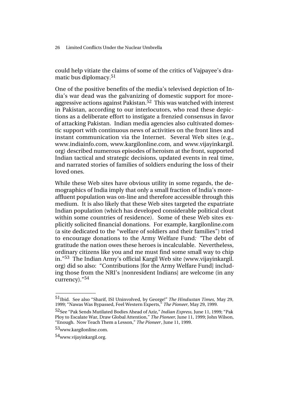could help vitiate the claims of some of the critics of Vajpayee's dramatic bus diplomacy.51

One of the positive benefits of the media's televised depiction of India's war dead was the galvanizing of domestic support for moreaggressive actions against Pakistan.<sup>52</sup> This was watched with interest in Pakistan, according to our interlocutors, who read these depictions as a deliberate effort to instigate a frenzied consensus in favor of attacking Pakistan. Indian media agencies also cultivated domestic support with continuous news of activities on the front lines and instant communication via the Internet. Several Web sites (e.g., www.indiainfo.com, www.kargilonline.com, and www.vijayinkargil. org) described numerous episodes of heroism at the front, supported Indian tactical and strategic decisions, updated events in real time, and narrated stories of families of soldiers enduring the loss of their loved ones.

While these Web sites have obvious utility in some regards, the demographics of India imply that only a small fraction of India's moreaffluent population was on-line and therefore accessible through this medium. It is also likely that these Web sites targeted the expatriate Indian population (which has developed considerable political clout within some countries of residence). Some of these Web sites explicitly solicited financial donations. For example, kargilonline.com (a site dedicated to the "welfare of soldiers and their families") tried to encourage donations to the Army Welfare Fund*: "*The debt of gratitude the nation owes these heroes is incalculable. Nevertheless, ordinary citizens like you and me must find some small way to chip in."53 The Indian Army's official Kargil Web site (www.vijayinkargil. org) did so also: "Contributions [for the Army Welfare Fund] including those from the NRI's [nonresident Indians] are welcome (in any currency)."<sup>54</sup>

<sup>51</sup>Ibid. See also "Sharif, ISI Uninvolved, by George!" *The Hindustan Times,* May 29, 1999; "Nawas Was Bypassed, Feel Western Experts," *The Pioneer,* May 29, 1999.

<sup>52</sup>See "Pak Sends Mutilated Bodies Ahead of Aziz," *Indian Express,* June 11, 1999; "Pak Ploy to Escalate War, Draw Global Attention," *The Pioneer*, June 11, 1999; John Wilson, "Enough. Now Teach Them a Lesson," *The Pioneer*, June 11, 1999.

<sup>53</sup>www.kargilonline.com.

<sup>54</sup>www.vijayinkargil.org.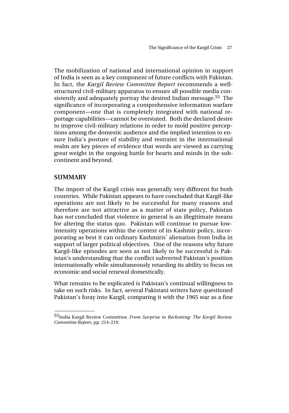The mobilization of national and international opinion in support of India is seen as a key component of future conflicts with Pakistan. In fact, the *Kargil Review Committee Report* recommends a wellstructured civil-military apparatus to ensure all possible media consistently and adequately portray the desired Indian message.<sup>55</sup> The significance of incorporating a comprehensive information warfare component—one that is completely integrated with national reportage capabilities—cannot be overstated. Both the declared desire to improve civil-military relations in order to mold positive perceptions among the domestic audience and the implied intention to ensure India's posture of stability and restraint in the international realm are key pieces of evidence that words are viewed as carrying great weight in the ongoing battle for hearts and minds in the subcontinent and beyond.

#### **SUMMARY**

 $\overline{\phantom{a}}$ 

The import of the Kargil crisis was generally very different for both countries. While Pakistan appears to have concluded that Kargil-like operations are not likely to be successful for many reasons and therefore are not attractive as a matter of state policy, Pakistan has *not* concluded that violence in general is an illegitimate means for altering the status quo. Pakistan will continue to pursue lowintensity operations within the context of its Kashmir policy, incorporating as best it can ordinary Kashmiris' alienation from India in support of larger political objectives. One of the reasons why future Kargil-like episodes are seen as not likely to be successful is Pakistan's understanding that the conflict subverted Pakistan's position internationally while simultaneously retarding its ability to focus on economic and social renewal domestically.

What remains to be explicated is Pakistan's continual willingness to take on such risks. In fact, several Pakistani writers have questioned Pakistan's foray into Kargil, comparing it with the 1965 war as a fine

<sup>55</sup>India Kargil Review Committee*, From Surprise to Reckoning: The Kargil Review Committee Report*, pp. 214–219.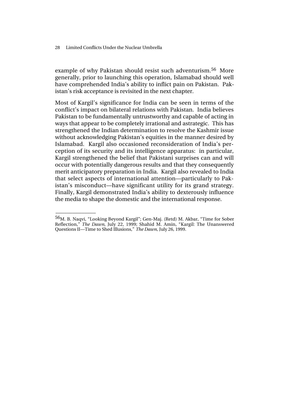\_\_\_\_\_\_\_\_\_\_\_\_\_\_

example of why Pakistan should resist such adventurism.<sup>56</sup> More generally, prior to launching this operation, Islamabad should well have comprehended India's ability to inflict pain on Pakistan. Pakistan's risk acceptance is revisited in the next chapter.

Most of Kargil's significance for India can be seen in terms of the conflict's impact on bilateral relations with Pakistan. India believes Pakistan to be fundamentally untrustworthy and capable of acting in ways that appear to be completely irrational and astrategic. This has strengthened the Indian determination to resolve the Kashmir issue without acknowledging Pakistan's equities in the manner desired by Islamabad. Kargil also occasioned reconsideration of India's perception of its security and its intelligence apparatus: in particular, Kargil strengthened the belief that Pakistani surprises can and will occur with potentially dangerous results and that they consequently merit anticipatory preparation in India. Kargil also revealed to India that select aspects of international attention—particularly to Pakistan's misconduct—have significant utility for its grand strategy. Finally, Kargil demonstrated India's ability to dexterously influence the media to shape the domestic and the international response.

<sup>&</sup>lt;sup>56</sup>M. B. Naqvi, "Looking Beyond Kargil"; Gen-Maj. (Retd) M. Akbar, "Time for Sober Reflection," *The Dawn*, July 22, 1999; Shahid M. Amin, "Kargil: The Unanswered Questions II—Time to Shed Illusions," *The Dawn,* July 26, 1999.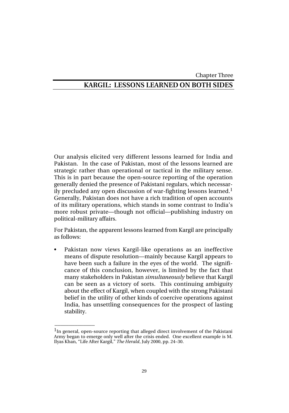#### Chapter Three

# **KARGIL: LESSONS LEARNED ON BOTH SIDES**

Our analysis elicited very different lessons learned for India and Pakistan. In the case of Pakistan, most of the lessons learned are strategic rather than operational or tactical in the military sense. This is in part because the open-source reporting of the operation generally denied the presence of Pakistani regulars, which necessarily precluded any open discussion of war-fighting lessons learned.<sup>1</sup> Generally, Pakistan does not have a rich tradition of open accounts of its military operations, which stands in some contrast to India's more robust private—though not official—publishing industry on political-military affairs.

For Pakistan, the apparent lessons learned from Kargil are principally as follows:

Pakistan now views Kargil-like operations as an ineffective means of dispute resolution—mainly because Kargil appears to have been such a failure in the eyes of the world. The significance of this conclusion, however, is limited by the fact that many stakeholders in Pakistan *simultaneously* believe that Kargil can be seen as a victory of sorts. This continuing ambiguity about the effect of Kargil, when coupled with the strong Pakistani belief in the utility of other kinds of coercive operations against India, has unsettling consequences for the prospect of lasting stability.

 $1$ In general, open-source reporting that alleged direct involvement of the Pakistani Army began to emerge only well after the crisis ended. One excellent example is M. Ilyas Khan, "Life After Kargil," *The Herald*, July 2000, pp. 24–30.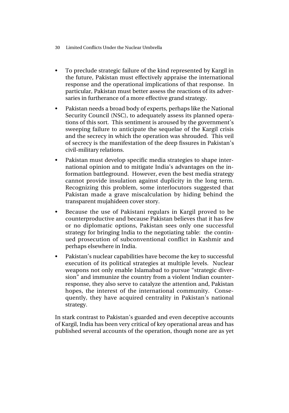- To preclude strategic failure of the kind represented by Kargil in the future, Pakistan must effectively appraise the international response and the operational implications of that response. In particular, Pakistan must better assess the reactions of its adversaries in furtherance of a more effective grand strategy.
- Pakistan needs a broad body of experts, perhaps like the National Security Council (NSC), to adequately assess its planned operations of this sort. This sentiment is aroused by the government's sweeping failure to anticipate the sequelae of the Kargil crisis and the secrecy in which the operation was shrouded. This veil of secrecy is the manifestation of the deep fissures in Pakistan's civil-military relations.
- Pakistan must develop specific media strategies to shape international opinion and to mitigate India's advantages on the information battleground. However, even the best media strategy cannot provide insulation against duplicity in the long term. Recognizing this problem, some interlocutors suggested that Pakistan made a grave miscalculation by hiding behind the transparent mujahideen cover story.
- Because the use of Pakistani regulars in Kargil proved to be counterproductive and because Pakistan believes that it has few or no diplomatic options, Pakistan sees only one successful strategy for bringing India to the negotiating table: the continued prosecution of subconventional conflict in Kashmir and perhaps elsewhere in India.
- Pakistan's nuclear capabilities have become the key to successful execution of its political strategies at multiple levels. Nuclear weapons not only enable Islamabad to pursue "strategic diversion" and immunize the country from a violent Indian counterresponse, they also serve to catalyze the attention and, Pakistan hopes, the interest of the international community. Consequently, they have acquired centrality in Pakistan's national strategy.

In stark contrast to Pakistan's guarded and even deceptive accounts of Kargil, India has been very critical of key operational areas and has published several accounts of the operation, though none are as yet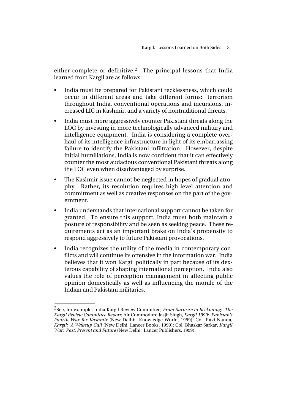either complete or definitive.<sup>2</sup> The principal lessons that India learned from Kargil are as follows:

- India must be prepared for Pakistani recklessness, which could occur in different areas and take different forms: terrorism throughout India, conventional operations and incursions, increased LIC in Kashmir, and a variety of nontraditional threats.
- India must more aggressively counter Pakistani threats along the LOC by investing in more technologically advanced military and intelligence equipment. India is considering a complete overhaul of its intelligence infrastructure in light of its embarrassing failure to identify the Pakistani infiltration. However, despite initial humiliations, India is now confident that it can effectively counter the most audacious conventional Pakistani threats along the LOC even when disadvantaged by surprise.
- The Kashmir issue cannot be neglected in hopes of gradual atrophy. Rather, its resolution requires high-level attention and commitment as well as creative responses on the part of the government.
- India understands that international support cannot be taken for granted. To ensure this support, India must both maintain a posture of responsibility and be seen as seeking peace. These requirements act as an important brake on India's propensity to respond aggressively to future Pakistani provocations.
- India recognizes the utility of the media in contemporary conflicts and will continue its offensive in the information war. India believes that it won Kargil politically in part because of its dexterous capability of shaping international perception. India also values the role of perception management in affecting public opinion domestically as well as influencing the morale of the Indian and Pakistani militaries.

<sup>2</sup>See, for example, India Kargil Review Committee*, From Surprise to Reckoning: The Kargil Review Committee Report*; Air Commodore Jasjit Singh, *Kargil 1999: Pakistan's Fourth War for Kashmir* (New Delhi: Knowledge World, 1999); Col. Ravi Nanda, *Kargil: A Wakeup Call* (New Delhi: Lancer Books, 1999); Col. Bhaskar Sarkar, *Kargil War: Past, Present and Future* (New Delhi: Lancer Publishers, 1999).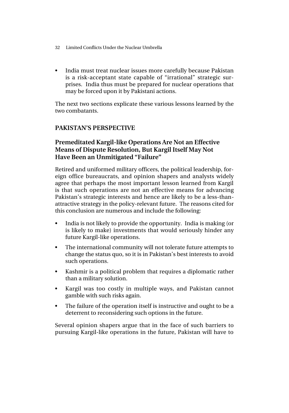• India must treat nuclear issues more carefully because Pakistan is a risk-acceptant state capable of "irrational" strategic surprises. India thus must be prepared for nuclear operations that may be forced upon it by Pakistani actions.

The next two sections explicate these various lessons learned by the two combatants.

# **PAKISTAN'S PERSPECTIVE**

## **Premeditated Kargil-like Operations Are Not an Effective Means of Dispute Resolution, But Kargil Itself May Not Have Been an Unmitigated "Failure"**

Retired and uniformed military officers, the political leadership, foreign office bureaucrats, and opinion shapers and analysts widely agree that perhaps the most important lesson learned from Kargil is that such operations are not an effective means for advancing Pakistan's strategic interests and hence are likely to be a less-thanattractive strategy in the policy-relevant future. The reasons cited for this conclusion are numerous and include the following:

- India is not likely to provide the opportunity. India is making (or is likely to make) investments that would seriously hinder any future Kargil-like operations.
- The international community will not tolerate future attempts to change the status quo, so it is in Pakistan's best interests to avoid such operations.
- Kashmir is a political problem that requires a diplomatic rather than a military solution.
- Kargil was too costly in multiple ways, and Pakistan cannot gamble with such risks again.
- The failure of the operation itself is instructive and ought to be a deterrent to reconsidering such options in the future.

Several opinion shapers argue that in the face of such barriers to pursuing Kargil-like operations in the future, Pakistan will have to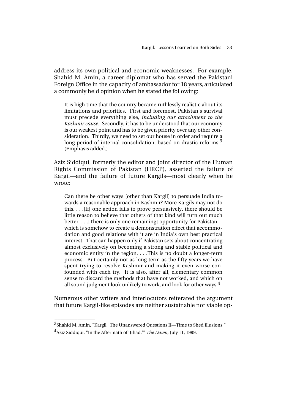address its own political and economic weaknesses. For example, Shahid M. Amin, a career diplomat who has served the Pakistani Foreign Office in the capacity of ambassador for 18 years, articulated a commonly held opinion when he stated the following:

It is high time that the country became ruthlessly realistic about its limitations and priorities. First and foremost, Pakistan's survival must precede everything else, *including our attachment to the Kashmir cause.* Secondly, it has to be understood that our economy is our weakest point and has to be given priority over any other consideration. Thirdly, we need to set our house in order and require a long period of internal consolidation, based on drastic reforms.<sup>3</sup> (Emphasis added.)

Aziz Siddiqui, formerly the editor and joint director of the Human Rights Commission of Pakistan (HRCP), asserted the failure of Kargil—and the failure of future Kargils—most clearly when he wrote:

Can there be other ways [other than Kargil] to persuade India towards a reasonable approach in Kashmir? More Kargils may not do this. . . .[If] one action fails to prove persuasively, there should be little reason to believe that others of that kind will turn out much better. . . .[There is only one remaining] opportunity for Pakistan which is somehow to create a demonstration effect that accommodation and good relations with it are in India's own best practical interest. That can happen only if Pakistan sets about concentrating almost exclusively on becoming a strong and stable political and economic entity in the region. . . .This is no doubt a longer-term process. But certainly not as long term as the fifty years we have spent trying to resolve Kashmir and making it even worse confounded with each try. It is also, after all, elementary common sense to discard the methods that have not worked, and which on all sound judgment look unlikely to work, and look for other ways. $4$ 

Numerous other writers and interlocutors reiterated the argument that future Kargil-like episodes are neither sustainable nor viable op-

<sup>3</sup>Shahid M. Amin, "Kargil: The Unanswered Questions II—Time to Shed Illusions."

<sup>4</sup>Aziz Siddiqui, "In the Aftermath of 'Jihad,'" *The Dawn,* July 11, 1999.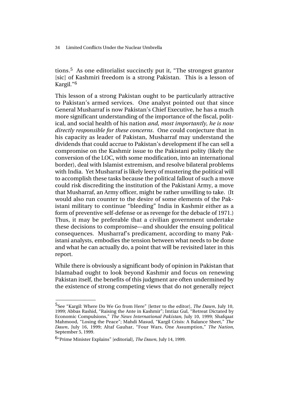tions.5 As one editorialist succinctly put it, "The strongest grantor [sic] of Kashmiri freedom is a strong Pakistan. This is a lesson of Kargil."<sup>6</sup>

This lesson of a strong Pakistan ought to be particularly attractive to Pakistan's armed services. One analyst pointed out that since General Musharraf is now Pakistan's Chief Executive, he has a much more significant understanding of the importance of the fiscal, political, and social health of his nation *and, most importantly, he is now directly responsible for these concerns*. One could conjecture that in his capacity as leader of Pakistan, Musharraf may understand the dividends that could accrue to Pakistan's development if he can sell a compromise on the Kashmir issue to the Pakistani polity (likely the conversion of the LOC, with some modification, into an international border), deal with Islamist extremism, and resolve bilateral problems with India. Yet Musharraf is likely leery of mustering the political will to accomplish these tasks because the political fallout of such a move could risk discrediting the institution of the Pakistani Army, a move that Musharraf, an Army officer, might be rather unwilling to take. (It would also run counter to the desire of some elements of the Pakistani military to continue "bleeding" India in Kashmir either as a form of preventive self-defense or as revenge for the debacle of 1971.) Thus, it may be preferable that a civilian government undertake these decisions to compromise—and shoulder the ensuing political consequences. Musharraf's predicament, according to many Pakistani analysts, embodies the tension between what needs to be done and what he can actually do, a point that will be revisited later in this report.

While there is obviously a significant body of opinion in Pakistan that Islamabad ought to look beyond Kashmir and focus on renewing Pakistan itself, the benefits of this judgment are often undermined by the existence of strong competing views that do not generally reject

<sup>5</sup>See "Kargil: Where Do We Go from Here" [letter to the editor], *The Dawn*, July 10, 1999; Abbas Rashid, "Raising the Ante in Kashmir"; Imtiaz Gul, "Retreat Dictated by Economic Compulsions," *The News International Pakistan*, July 10, 1999; Shafqaat Mahmood, "Losing the Peace"; Mahdi Masud, "Kargil Crisis: A Balance Sheet," *The Dawn*, July 16, 1999; Altaf Gauhar, "Four Wars, One Assumption," *The Nation*, September 5, 1999.

<sup>6&</sup>quot;Prime Minister Explains" [editorial], *The Dawn,* July 14, 1999.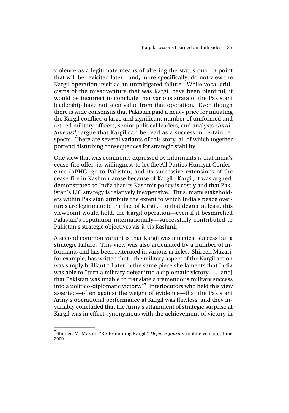violence as a legitimate means of altering the status quo—a point that will be revisited later—and, more specifically, do not view the Kargil operation itself as an unmitigated failure. While vocal criticisms of the misadventure that was Kargil have been plentiful, it would be incorrect to conclude that various strata of the Pakistani leadership have not seen value from that operation. Even though there is wide consensus that Pakistan paid a heavy price for initiating the Kargil conflict, a large and significant number of uniformed and retired military officers, senior political leaders, and analysts *simultaneously* argue that Kargil can be read as a success in certain respects. There are several variants of this story, all of which together portend disturbing consequences for strategic stability.

One view that was commonly expressed by informants is that India's cease-fire offer, its willingness to let the All Parties Hurriyat Conference (APHC) go to Pakistan, and its successive extensions of the cease-fire in Kashmir arose because of Kargil. Kargil, it was argued, demonstrated to India that its Kashmir policy is costly and that Pakistan's LIC strategy is relatively inexpensive. Thus, many stakeholders within Pakistan attribute the extent to which India's peace overtures are legitimate to the fact of Kargil. To that degree at least, this viewpoint would hold, the Kargil operation—even if it besmirched Pakistan's reputation internationally—successfully contributed to Pakistan's strategic objectives vis-à-vis Kashmir.

A second common variant is that Kargil was a tactical success but a strategic failure. This view was also articulated by a number of informants and has been reiterated in various articles. Shireen Mazari, for example, has written that "the military aspect of the Kargil action was simply brilliant." Later in the same piece she laments that India was able to "turn a military defeat into a diplomatic victory . . . [and] that Pakistan was unable to translate a tremendous military success into a politico-diplomatic victory."7 Interlocutors who held this view asserted—often against the weight of evidence—that the Pakistani Army's operational performance at Kargil was flawless, and they invariably concluded that the Army's attainment of strategic surprise at Kargil was in effect synonymous with the achievement of victory in

<sup>7</sup>Shireen M. Mazari, "Re-Examining Kargil," *Defence Journal* (online version), June 2000.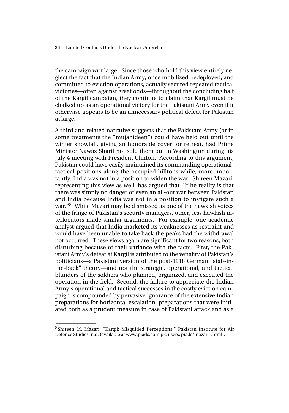the campaign writ large. Since those who hold this view entirely neglect the fact that the Indian Army, once mobilized, redeployed, and committed to eviction operations, actually secured repeated tactical victories—often against great odds—throughout the concluding half of the Kargil campaign, they continue to claim that Kargil must be chalked up as an operational victory for the Pakistani Army even if it otherwise appears to be an unnecessary political defeat for Pakistan at large.

A third and related narrative suggests that the Pakistani Army (or in some treatments the "mujahideen") could have held out until the winter snowfall, giving an honorable cover for retreat, had Prime Minister Nawaz Sharif not sold them out in Washington during his July 4 meeting with President Clinton. According to this argument, Pakistan could have easily maintained its commanding operationaltactical positions along the occupied hilltops while, more importantly, India was not in a position to widen the war. Shireen Mazari, representing this view as well, has argued that "[t]he reality is that there was simply no danger of even an all-out war between Pakistan and India because India was not in a position to instigate such a war."8 While Mazari may be dismissed as one of the hawkish voices of the fringe of Pakistan's security managers, other, less hawkish interlocutors made similar arguments. For example, one academic analyst argued that India marketed its weaknesses as restraint and would have been unable to take back the peaks had the withdrawal not occurred. These views again are significant for two reasons, both disturbing because of their variance with the facts. First, the Pakistani Army's defeat at Kargil is attributed to the venality of Pakistan's politicians—a Pakistani version of the post-1918 German "stab-inthe-back" theory—and not the strategic, operational, and tactical blunders of the soldiers who planned, organized, and executed the operation in the field. Second, the failure to appreciate the Indian Army's operational and tactical successes in the costly eviction campaign is compounded by pervasive ignorance of the extensive Indian preparations for horizontal escalation, preparations that were initiated both as a prudent measure in case of Pakistani attack and as a

<sup>8</sup>Shireen M. Mazari, "Kargil: Misguided Perceptions," Pakistan Institute for Air Defence Studies, n.d. (available at www.piads.com.pk/users/piads/mazari1.html).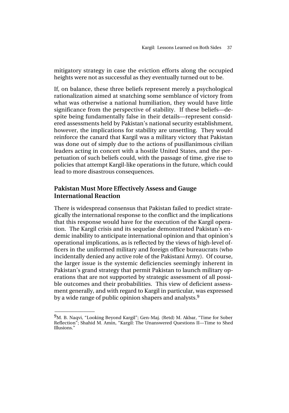mitigatory strategy in case the eviction efforts along the occupied heights were not as successful as they eventually turned out to be.

If, on balance, these three beliefs represent merely a psychological rationalization aimed at snatching some semblance of victory from what was otherwise a national humiliation, they would have little significance from the perspective of stability. If these beliefs—despite being fundamentally false in their details—represent considered assessments held by Pakistan's national security establishment, however, the implications for stability are unsettling. They would reinforce the canard that Kargil was a military victory that Pakistan was done out of simply due to the actions of pusillanimous civilian leaders acting in concert with a hostile United States, and the perpetuation of such beliefs could, with the passage of time, give rise to policies that attempt Kargil-like operations in the future, which could lead to more disastrous consequences.

# **Pakistan Must More Effectively Assess and Gauge International Reaction**

There is widespread consensus that Pakistan failed to predict strategically the international response to the conflict and the implications that this response would have for the execution of the Kargil operation. The Kargil crisis and its sequelae demonstrated Pakistan's endemic inability to anticipate international opinion and that opinion's operational implications, as is reflected by the views of high-level officers in the uniformed military and foreign office bureaucrats (who incidentally denied any active role of the Pakistani Army). Of course, the larger issue is the systemic deficiencies seemingly inherent in Pakistan's grand strategy that permit Pakistan to launch military operations that are not supported by strategic assessment of all possible outcomes and their probabilities. This view of deficient assessment generally, and with regard to Kargil in particular, was expressed by a wide range of public opinion shapers and analysts.<sup>9</sup>

<sup>&</sup>lt;sup>9</sup>M. B. Naqvi, "Looking Beyond Kargil"; Gen-Maj. (Retd) M. Akbar, "Time for Sober Reflection"; Shahid M. Amin, "Kargil: The Unanswered Questions II—Time to Shed Illusions."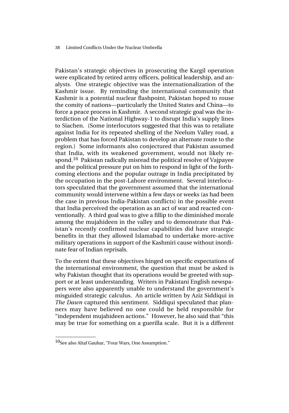Pakistan's strategic objectives in prosecuting the Kargil operation were explicated by retired army officers, political leadership, and analysts. One strategic objective was the internationalization of the Kashmir issue. By reminding the international community that Kashmir is a potential nuclear flashpoint, Pakistan hoped to rouse the comity of nations—particularly the United States and China—to force a peace process in Kashmir. A second strategic goal was the interdiction of the National Highway-1 to disrupt India's supply lines to Siachen. (Some interlocutors suggested that this was to retaliate against India for its repeated shelling of the Neelum Valley road, a problem that has forced Pakistan to develop an alternate route to the region.) Some informants also conjectured that Pakistan assumed that India, with its weakened government, would not likely respond.10 Pakistan radically misread the political resolve of Vajpayee and the political pressure put on him to respond in light of the forthcoming elections and the popular outrage in India precipitated by the occupation in the post-Lahore environment. Several interlocutors speculated that the government assumed that the international community would intervene within a few days or weeks (as had been the case in previous India-Pakistan conflicts) in the possible event that India perceived the operation as an act of war and reacted conventionally. A third goal was to give a fillip to the diminished morale among the mujahideen in the valley and to demonstrate that Pakistan's recently confirmed nuclear capabilities did have strategic benefits in that they allowed Islamabad to undertake more-active military operations in support of the Kashmiri cause without inordinate fear of Indian reprisals.

To the extent that these objectives hinged on specific expectations of the international environment, the question that must be asked is why Pakistan thought that its operations would be greeted with support or at least understanding. Writers in Pakistani English newspapers were also apparently unable to understand the government's misguided strategic calculus. An article written by Aziz Siddiqui in *The Dawn* captured this sentiment. Siddiqui speculated that planners may have believed no one could be held responsible for "independent mujahideen actions." However, he also said that "this may be true for something on a guerilla scale. But it is a different

 $10$ See also Altaf Gauhar, "Four Wars, One Assumption."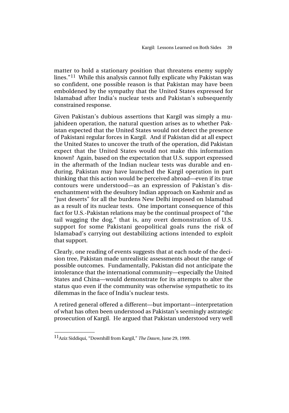matter to hold a stationary position that threatens enemy supply lines."11 While this analysis cannot fully explicate why Pakistan was so confident, one possible reason is that Pakistan may have been emboldened by the sympathy that the United States expressed for Islamabad after India's nuclear tests and Pakistan's subsequently constrained response.

Given Pakistan's dubious assertions that Kargil was simply a mujahideen operation, the natural question arises as to whether Pakistan expected that the United States would not detect the presence of Pakistani regular forces in Kargil. And if Pakistan did at all expect the United States to uncover the truth of the operation, did Pakistan expect that the United States would not make this information known? Again, based on the expectation that U.S. support expressed in the aftermath of the Indian nuclear tests was durable and enduring, Pakistan may have launched the Kargil operation in part thinking that this action would be perceived abroad—even if its true contours were understood—as an expression of Pakistan's disenchantment with the desultory Indian approach on Kashmir and as "just deserts" for all the burdens New Delhi imposed on Islamabad as a result of its nuclear tests. One important consequence of this fact for U.S.-Pakistan relations may be the continual prospect of "the tail wagging the dog," that is, any overt demonstration of U.S. support for some Pakistani geopolitical goals runs the risk of Islamabad's carrying out destabilizing actions intended to exploit that support.

Clearly, one reading of events suggests that at each node of the decision tree, Pakistan made unrealistic assessments about the range of possible outcomes. Fundamentally, Pakistan did not anticipate the intolerance that the international community—especially the United States and China—would demonstrate for its attempts to alter the status quo even if the community was otherwise sympathetic to its dilemmas in the face of India's nuclear tests.

A retired general offered a different—but important—interpretation of what has often been understood as Pakistan's seemingly astrategic prosecution of Kargil. He argued that Pakistan understood very well

<sup>11</sup>Aziz Siddiqui, "Downhill from Kargil," *The Dawn*, June 29, 1999.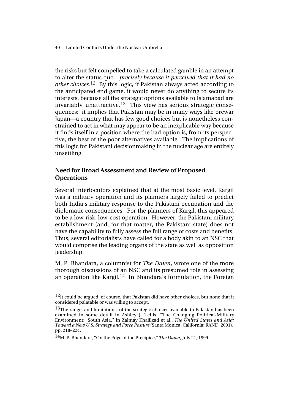the risks but felt compelled to take a calculated gamble in an attempt to alter the status quo—*precisely because it perceived that it had no other choices*. 12 By this logic, if Pakistan always acted according to the anticipated end game, it would never do anything to secure its interests, because all the strategic options available to Islamabad are invariably unattractive.<sup>13</sup> This view has serious strategic consequences: it implies that Pakistan may be in many ways like prewar Japan—a country that has few good choices but is nonetheless constrained to act in what may appear to be an inexplicable way because it finds itself in a position where the bad option is, from its perspective, the best of the poor alternatives available. The implications of this logic for Pakistani decisionmaking in the nuclear age are entirely unsettling.

# **Need for Broad Assessment and Review of Proposed Operations**

Several interlocutors explained that at the most basic level, Kargil was a military operation and its planners largely failed to predict both India's military response to the Pakistani occupation and the diplomatic consequences. For the planners of Kargil, this appeared to be a low-risk, low-cost operation. However, the Pakistani military establishment (and, for that matter, the Pakistani state) does not have the capability to fully assess the full range of costs and benefits. Thus, several editorialists have called for a body akin to an NSC that would comprise the leading organs of the state as well as opposition leadership.

M. P. Bhandara, a columnist for *The Dawn*, wrote one of the more thorough discussions of an NSC and its presumed role in assessing an operation like Kargil.<sup>14</sup> In Bhandara's formulation, the Foreign

 $12$ It could be argued, of course, that Pakistan did have other choices, but none that it considered palatable or was willing to accept.

<sup>&</sup>lt;sup>13</sup>The range, and limitations, of the strategic choices available to Pakistan has been examined in some detail in Ashley J. Tellis, "The Changing Political-Military Environment: South Asia," in Zalmay Khalilzad et al., *The United States and Asia: Toward a New U.S. Strategy and Force Posture* (Santa Monica, California: RAND, 2001), pp. 218–224.

<sup>14</sup>M. P. Bhandara, "On the Edge of the Precipice," *The Dawn*, July 21, 1999.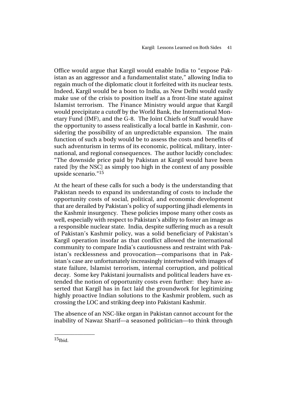Office would argue that Kargil would enable India to "expose Pakistan as an aggressor and a fundamentalist state," allowing India to regain much of the diplomatic clout it forfeited with its nuclear tests. Indeed, Kargil would be a boon to India, as New Delhi would easily make use of the crisis to position itself as a front-line state against Islamist terrorism. The Finance Ministry would argue that Kargil would precipitate a cutoff by the World Bank, the International Monetary Fund (IMF), and the G-8. The Joint Chiefs of Staff would have the opportunity to assess realistically a local battle in Kashmir, considering the possibility of an unpredictable expansion. The main function of such a body would be to assess the costs and benefits of such adventurism in terms of its economic, political, military, international, and regional consequences. The author lucidly concludes: "The downside price paid by Pakistan at Kargil would have been rated [by the NSC] as simply too high in the context of any possible upside scenario."15

At the heart of these calls for such a body is the understanding that Pakistan needs to expand its understanding of costs to include the opportunity costs of social, political, and economic development that are derailed by Pakistan's policy of supporting jihadi elements in the Kashmir insurgency. These policies impose many other costs as well, especially with respect to Pakistan's ability to foster an image as a responsible nuclear state. India, despite suffering much as a result of Pakistan's Kashmir policy, was a solid beneficiary of Pakistan's Kargil operation insofar as that conflict allowed the international community to compare India's cautiousness and restraint with Pakistan's recklessness and provocation—comparisons that in Pakistan's case are unfortunately increasingly intertwined with images of state failure, Islamist terrorism, internal corruption, and political decay. Some key Pakistani journalists and political leaders have extended the notion of opportunity costs even further: they have asserted that Kargil has in fact laid the groundwork for legitimizing highly proactive Indian solutions to the Kashmir problem, such as crossing the LOC and striking deep into Pakistani Kashmir.

The absence of an NSC-like organ in Pakistan cannot account for the inability of Nawaz Sharif—a seasoned politician—to think through

 $15<sub>Ibid</sub>$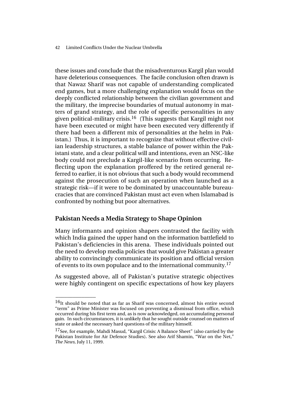these issues and conclude that the misadventurous Kargil plan would have deleterious consequences. The facile conclusion often drawn is that Nawaz Sharif was not capable of understanding complicated end games, but a more challenging explanation would focus on the deeply conflicted relationship between the civilian government and the military, the imprecise boundaries of mutual autonomy in matters of grand strategy, and the role of specific personalities in any given political-military crisis.<sup>16</sup> (This suggests that Kargil might not have been executed or might have been executed very differently if there had been a different mix of personalities at the helm in Pakistan.) Thus, it is important to recognize that without effective civilian leadership structures, a stable balance of power within the Pakistani state, and a clear political will and intentions, even an NSC-like body could not preclude a Kargil-like scenario from occurring. Reflecting upon the explanation proffered by the retired general referred to earlier, it is not obvious that such a body would recommend against the prosecution of such an operation when launched as a strategic risk—if it were to be dominated by unaccountable bureaucracies that are convinced Pakistan must act even when Islamabad is confronted by nothing but poor alternatives.

## **Pakistan Needs a Media Strategy to Shape Opinion**

\_\_\_\_\_\_\_\_\_\_\_\_\_\_

Many informants and opinion shapers contrasted the facility with which India gained the upper hand on the information battlefield to Pakistan's deficiencies in this arena. These individuals pointed out the need to develop media policies that would give Pakistan a greater ability to convincingly communicate its position and official version of events to its own populace and to the international community.<sup>17</sup>

As suggested above, all of Pakistan's putative strategic objectives were highly contingent on specific expectations of how key players

 $16$ It should be noted that as far as Sharif was concerned, almost his entire second "term" as Prime Minister was focused on preventing a dismissal from office, which occurred during his first term and, as is now acknowledged, on accumulating personal gain. In such circumstances, it is unlikely that he sought outside counsel on matters of state or asked the necessary hard questions of the military himself.

<sup>&</sup>lt;sup>17</sup>See, for example, Mahdi Masud, "Kargil Crisis: A Balance Sheet" (also carried by the Pakistan Institute for Air Defence Studies)**.** See also Arif Shamin, "War on the Net," *The News,* July 11, 1999.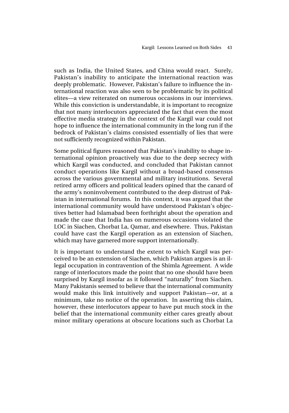such as India, the United States, and China would react. Surely, Pakistan's inability to anticipate the international reaction was deeply problematic. However, Pakistan's failure to influence the international reaction was also seen to be problematic by its political elites—a view reiterated on numerous occasions in our interviews. While this conviction is understandable, it is important to recognize that not many interlocutors appreciated the fact that even the most effective media strategy in the context of the Kargil war could not hope to influence the international community in the long run if the bedrock of Pakistan's claims consisted essentially of lies that were not sufficiently recognized within Pakistan.

Some political figures reasoned that Pakistan's inability to shape international opinion proactively was due to the deep secrecy with which Kargil was conducted, and concluded that Pakistan cannot conduct operations like Kargil without a broad-based consensus across the various governmental and military institutions. Several retired army officers and political leaders opined that the canard of the army's noninvolvement contributed to the deep distrust of Pakistan in international forums. In this context, it was argued that the international community would have understood Pakistan's objectives better had Islamabad been forthright about the operation and made the case that India has on numerous occasions violated the LOC in Siachen, Chorbat La, Qamar, and elsewhere. Thus, Pakistan could have cast the Kargil operation as an extension of Siachen, which may have garnered more support internationally.

It is important to understand the extent to which Kargil was perceived to be an extension of Siachen, which Pakistan argues is an illegal occupation in contravention of the Shimla Agreement. A wide range of interlocutors made the point that no one should have been surprised by Kargil insofar as it followed "naturally" from Siachen. Many Pakistanis seemed to believe that the international community would make this link intuitively and support Pakistan—or, at a minimum, take no notice of the operation. In asserting this claim, however, these interlocutors appear to have put much stock in the belief that the international community either cares greatly about minor military operations at obscure locations such as Chorbat La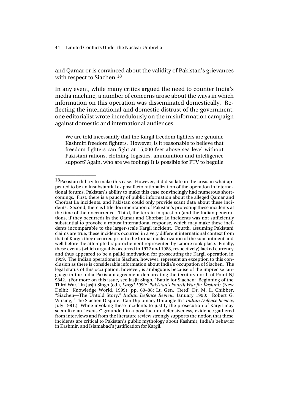$\overline{\phantom{a}}$ 

and Qamar or is convinced about the validity of Pakistan's grievances with respect to Siachen.<sup>18</sup>

In any event, while many critics argued the need to counter India's media machine, a number of concerns arose about the ways in which information on this operation was disseminated domestically. Reflecting the international and domestic distrust of the government, one editorialist wrote incredulously on the misinformation campaign against domestic and international audiences:

We are told incessantly that the Kargil freedom fighters are genuine Kashmiri freedom fighters. However, is it reasonable to believe that freedom fighters can fight at 15,000 feet above sea level without Pakistani rations, clothing, logistics, ammunition and intelligence support? Again, who are we fooling? It is possible for PTV to beguile

 $18$ Pakistan did try to make this case. However, it did so late in the crisis in what appeared to be an insubstantial ex post facto rationalization of the operation in international forums. Pakistan's ability to make this case convincingly had numerous shortcomings. First, there is a paucity of public information about the alleged Qamar and Chorbat La incidents, and Pakistan could only provide scant data about these incidents. Second, there is little documentation of Pakistan's protesting these incidents at the time of their occurrence. Third, the terrain in question (and the Indian penetrations, if they occurred) in the Qamar and Chorbat La incidents was not sufficiently substantial to provoke a robust international response, which may make these incidents incomparable to the larger-scale Kargil incident. Fourth, assuming Pakistani claims are true, these incidents occurred in a very different international context from that of Kargil; they occurred prior to the formal nuclearization of the subcontinent and well before the attempted rapprochement represented by Lahore took place. Finally, these events (which arguably occurred in 1972 and 1988, respectively) lacked currency and thus appeared to be a pallid motivation for prosecuting the Kargil operation in 1999. The Indian operations in Siachen, however, represent an exception to this conclusion as there is considerable information about India's occupation of Siachen. The legal status of this occupation, however, is ambiguous because of the imprecise language in the India-Pakistani agreement demarcating the territory north of Point NJ 9842. (For more on this issue, see Jasjit Singh, "Battle for Siachen: Beginning of the Third War," in Jasjit Singh (ed.), *Kargil 1999: Pakistan's Fourth War for Kashmir* (New Delhi: Knowledge World, 1999), pp. 60–88; Lt. Gen. (Retd) Dr. M. L. Chibber, "Siachen—The Untold Story," *Indian Defence Review,* January 1990; Robert G. Wirsing, "The Siachen Dispute: Can Diplomacy Untangle It?" *Indian Defence Review*, July 1991.) While invoking these incidents to justify the prosecution of Kargil may seem like an "excuse" grounded in a post factum defensiveness, evidence gathered from interviews and from the literature review strongly supports the notion that these incidents are critical to Pakistan's public mythology about Kashmir, India's behavior in Kashmir, and Islamabad's justification for Kargil.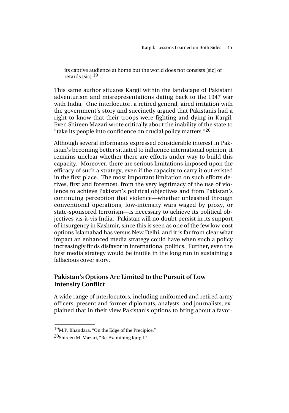its captive audience at home but the world does not consists [sic] of retards [sic].<sup>19</sup>

This same author situates Kargil within the landscape of Pakistani adventurism and misrepresentations dating back to the 1947 war with India. One interlocutor, a retired general, aired irritation with the government's story and succinctly argued that Pakistanis had a right to know that their troops were fighting and dying in Kargil. Even Shireen Mazari wrote critically about the inability of the state to "take its people into confidence on crucial policy matters."20

Although several informants expressed considerable interest in Pakistan's becoming better situated to influence international opinion, it remains unclear whether there are efforts under way to build this capacity. Moreover, there are serious limitations imposed upon the efficacy of such a strategy, even if the capacity to carry it out existed in the first place. The most important limitation on such efforts derives, first and foremost, from the very legitimacy of the use of violence to achieve Pakistan's political objectives and from Pakistan's continuing perception that violence—whether unleashed through conventional operations, low-intensity wars waged by proxy, or state-sponsored terrorism—is necessary to achieve its political objectives vis-à-vis India. Pakistan will no doubt persist in its support of insurgency in Kashmir, since this is seen as one of the few low-cost options Islamabad has versus New Delhi, and it is far from clear what impact an enhanced media strategy could have when such a policy increasingly finds disfavor in international politics. Further, even the best media strategy would be inutile in the long run in sustaining a fallacious cover story.

## **Pakistan's Options Are Limited to the Pursuit of Low Intensity Conflict**

A wide range of interlocutors, including uniformed and retired army officers, present and former diplomats, analysts, and journalists, explained that in their view Pakistan's options to bring about a favor-

<sup>19</sup>M.P. Bhandara, "On the Edge of the Precipice."

<sup>20</sup>Shireen M. Mazari, "Re-Examining Kargil."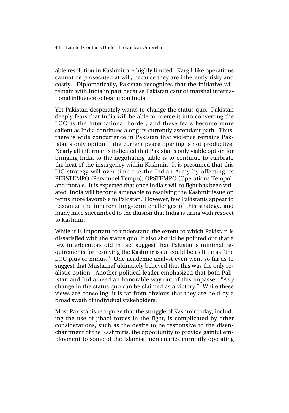able resolution in Kashmir are highly limited. Kargil-like operations cannot be prosecuted at will, because they are inherently risky and costly. Diplomatically, Pakistan recognizes that the initiative will remain with India in part because Pakistan cannot marshal international influence to bear upon India.

Yet Pakistan desperately wants to change the status quo. Pakistan deeply fears that India will be able to coerce it into converting the LOC as the international border, and these fears become more salient as India continues along its currently ascendant path. Thus, there is wide concurrence in Pakistan that violence remains Pakistan's only option if the current peace opening is not productive. Nearly all informants indicated that Pakistan's only viable option for bringing India to the negotiating table is to continue to calibrate the heat of the insurgency within Kashmir. It is presumed that this LIC strategy will over time tire the Indian Army by affecting its PERSTEMPO (Personnel Tempo), OPSTEMPO (Operations Tempo), and morale. It is expected that once India's will to fight has been vitiated, India will become amenable to resolving the Kashmir issue on terms more favorable to Pakistan. However, few Pakistanis appear to recognize the inherent long-term challenges of this strategy, and many have succumbed to the illusion that India is tiring with respect to Kashmir.

While it is important to understand the extent to which Pakistan is dissatisfied with the status quo, it also should be pointed out that a few interlocutors did in fact suggest that Pakistan's minimal requirements for resolving the Kashmir issue could be as little as "the LOC plus or minus." One academic analyst even went so far as to suggest that Musharraf ultimately believed that this was the only realistic option. Another political leader emphasized that both Pakistan and India need an honorable way out of this impasse: "*Any* change in the status quo can be claimed as a victory." While these views are consoling, it is far from obvious that they are held by a broad swath of individual stakeholders.

Most Pakistanis recognize that the struggle of Kashmir today, including the use of jihadi forces in the fight, is complicated by other considerations, such as the desire to be responsive to the disenchantment of the Kashmiris, the opportunity to provide gainful employment to some of the Islamist mercenaries currently operating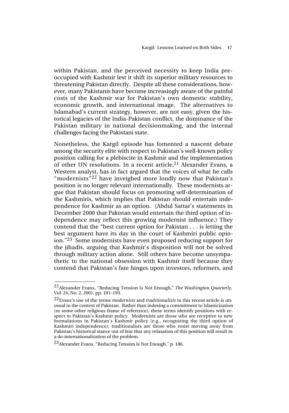within Pakistan, and the perceived necessity to keep India preoccupied with Kashmir lest it shift its superior military resources to threatening Pakistan directly. Despite all these considerations, however, many Pakistanis have become increasingly aware of the painful costs of the Kashmir war for Pakistan's own domestic stability, economic growth, and international image. The alternatives to Islamabad's current strategy, however, are not easy, given the historical legacies of the India-Pakistan conflict, the dominance of the Pakistan military in national decisionmaking, and the internal challenges facing the Pakistani state.

Nonetheless, the Kargil episode has fomented a nascent debate among the security elite with respect to Pakistan's well-known policy position calling for a plebiscite in Kashmir and the implementation of other UN resolutions. In a recent article,<sup>21</sup> Alexander Evans, a Western analyst, has in fact argued that the voices of what he calls "modernists<sup>"22</sup> have inveighed more loudly now that Pakistan's position is no longer relevant internationally. These modernists argue that Pakistan should focus on promoting self-determination of the Kashmiris, which implies that Pakistan should entertain independence for Kashmir as an option. (Abdul Sattar's statements in December 2000 that Pakistan would entertain the third option of independence may reflect this growing modernist influence.) They contend that the "best current option for Pakistan . . . is letting the best argument have its day in the court of Kashmiri public opinion."23 Some modernists have even proposed reducing support for the jihadis, arguing that Kashmir's disposition will not be solved through military action alone. Still others have become unsympathetic to the national obsession with Kashmir itself because they contend that Pakistan's fate hinges upon investors, reformers, and

<sup>21</sup>Alexander Evans, "Reducing Tension Is Not Enough," *The Washington Quarterly,* Vol. 24, No. 2, 2001, pp. 181–193.

<sup>22</sup>Evans's use of the terms *modernists* and *traditionalists* in this recent article is unusual in the context of Pakistan. Rather than indexing a commitment to Islamicization (or some other religious frame of reference), these terms identify positions with respect to Pakistan's Kashmir policy. Modernists are those who are receptive to new formulations in Pakistan's Kashmir policy (e.g., recognizing the third option of Kashmiri independence); traditionalists are those who resist moving away from Pakistan's historical stance out of fear that any relaxation of this position will result in a de-internationalization of the problem.

<sup>23</sup>Alexander Evans, "Reducing Tension Is Not Enough," p. 186.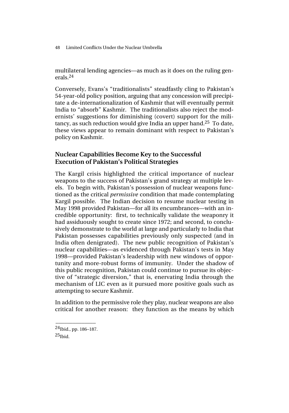multilateral lending agencies—as much as it does on the ruling generals.24

Conversely, Evans's "traditionalists" steadfastly cling to Pakistan's 54-year-old policy position, arguing that any concession will precipitate a de-internationalization of Kashmir that will eventually permit India to "absorb" Kashmir. The traditionalists also reject the modernists' suggestions for diminishing (covert) support for the militancy, as such reduction would give India an upper hand.25 To date, these views appear to remain dominant with respect to Pakistan's policy on Kashmir.

## **Nuclear Capabilities Become Key to the Successful Execution of Pakistan's Political Strategies**

The Kargil crisis highlighted the critical importance of nuclear weapons to the success of Pakistan's grand strategy at multiple levels. To begin with, Pakistan's possession of nuclear weapons functioned as the critical *permissive* condition that made contemplating Kargil possible. The Indian decision to resume nuclear testing in May 1998 provided Pakistan—for all its encumbrances—with an incredible opportunity: first, to technically validate the weaponry it had assiduously sought to create since 1972; and second, to conclusively demonstrate to the world at large and particularly to India that Pakistan possesses capabilities previously only suspected (and in India often denigrated). The new public recognition of Pakistan's nuclear capabilities—as evidenced through Pakistan's tests in May 1998—provided Pakistan's leadership with new windows of opportunity and more-robust forms of immunity. Under the shadow of this public recognition, Pakistan could continue to pursue its objective of "strategic diversion," that is, enervating India through the mechanism of LIC even as it pursued more positive goals such as attempting to secure Kashmir.

In addition to the permissive role they play, nuclear weapons are also critical for another reason: they function as the means by which

\_\_\_\_\_\_\_\_\_\_\_\_\_\_ 24Ibid., pp. 186–187.  $^{25}$ Ibid.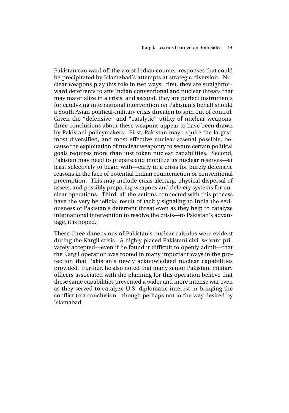Pakistan can ward off the worst Indian counter-responses that could be precipitated by Islamabad's attempts at strategic diversion. Nuclear weapons play this role in two ways: first, they are straightforward deterrents to any Indian conventional and nuclear threats that may materialize in a crisis, and second, they are perfect instruments for catalyzing international intervention on Pakistan's behalf should a South Asian political-military crisis threaten to spin out of control. Given the "defensive" and "catalytic" utility of nuclear weapons, three conclusions about these weapons appear to have been drawn by Pakistani policymakers. First, Pakistan may require the largest, most diversified, and most effective nuclear arsenal possible, because the exploitation of nuclear weaponry to secure certain political goals requires more than just token nuclear capabilities. Second, Pakistan may need to prepare and mobilize its nuclear reserves—at least selectively to begin with—early in a crisis for purely defensive reasons in the face of potential Indian counteraction or conventional preemption. This may include crisis alerting, physical dispersal of assets, and possibly preparing weapons and delivery systems for nuclear operations. Third, all the actions connected with this process have the very beneficial result of tacitly signaling to India the seriousness of Pakistan's deterrent threat even as they help to catalyze international intervention to resolve the crisis—to Pakistan's advantage, it is hoped.

These three dimensions of Pakistan's nuclear calculus were evident during the Kargil crisis. A highly placed Pakistani civil servant privately accepted—even if he found it difficult to openly admit—that the Kargil operation was rooted in many important ways in the protection that Pakistan's newly acknowledged nuclear capabilities provided. Further, he also noted that many senior Pakistani military officers associated with the planning for this operation believe that these same capabilities prevented a wider and more intense war even as they served to catalyze U.S. diplomatic interest in bringing the conflict to a conclusion—though perhaps not in the way desired by Islamabad.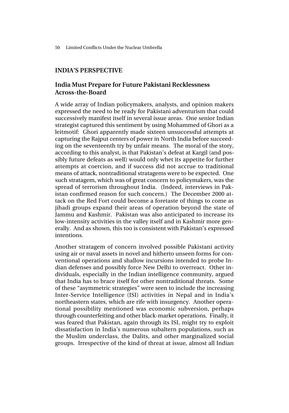# **INDIA'S PERSPECTIVE**

## **India Must Prepare for Future Pakistani Recklessness Across-the-Board**

A wide array of Indian policymakers, analysts, and opinion makers expressed the need to be ready for Pakistani adventurism that could successively manifest itself in several issue areas. One senior Indian strategist captured this sentiment by using Mohammed of Ghori as a leitmotif: Ghori apparently made sixteen unsuccessful attempts at capturing the Rajput centers of power in North India before succeeding on the seventeenth try by unfair means. The moral of the story, according to this analyst, is that Pakistan's defeat at Kargil (and possibly future defeats as well) would only whet its appetite for further attempts at coercion, and if success did not accrue to traditional means of attack, nontraditional stratagems were to be expected. One such stratagem, which was of great concern to policymakers, was the spread of terrorism throughout India. (Indeed, interviews in Pakistan confirmed reason for such concern.) The December 2000 attack on the Red Fort could become a foretaste of things to come as jihadi groups expand their areas of operation beyond the state of Jammu and Kashmir. Pakistan was also anticipated to increase its low-intensity activities in the valley itself and in Kashmir more generally. And as shown, this too is consistent with Pakistan's expressed intentions.

Another stratagem of concern involved possible Pakistani activity using air or naval assets in novel and hitherto unseen forms for conventional operations and shallow incursions intended to probe Indian defenses and possibly force New Delhi to overreact. Other individuals, especially in the Indian intelligence community, argued that India has to brace itself for other nontraditional threats. Some of these "asymmetric strategies" were seen to include the increasing Inter-Service Intelligence (ISI) activities in Nepal and in India's northeastern states, which are rife with insurgency. Another operational possibility mentioned was economic subversion, perhaps through counterfeiting and other black-market operations. Finally, it was feared that Pakistan, again through its ISI, might try to exploit dissatisfaction in India's numerous subaltern populations, such as the Muslim underclass, the Dalits, and other marginalized social groups. Irrespective of the kind of threat at issue, almost all Indian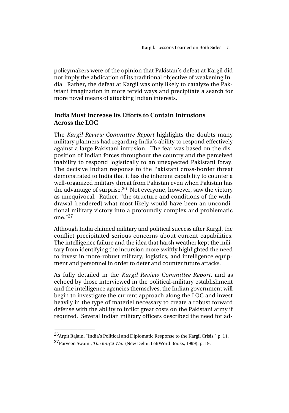policymakers were of the opinion that Pakistan's defeat at Kargil did not imply the abdication of its traditional objective of weakening India. Rather, the defeat at Kargil was only likely to catalyze the Pakistani imagination in more fervid ways and precipitate a search for more novel means of attacking Indian interests.

## **India Must Increase Its Efforts to Contain Intrusions Across the LOC**

The *Kargil Review Committee Report* highlights the doubts many military planners had regarding India's ability to respond effectively against a large Pakistani intrusion. The fear was based on the disposition of Indian forces throughout the country and the perceived inability to respond logistically to an unexpected Pakistani foray. The decisive Indian response to the Pakistani cross-border threat demonstrated to India that it has the inherent capability to counter a well-organized military threat from Pakistan even when Pakistan has the advantage of surprise.26 Not everyone, however, saw the victory as unequivocal. Rather, "the structure and conditions of the withdrawal [rendered] what most likely would have been an unconditional military victory into a profoundly complex and problematic one."27

Although India claimed military and political success after Kargil, the conflict precipitated serious concerns about current capabilities. The intelligence failure and the idea that harsh weather kept the military from identifying the incursion more swiftly highlighted the need to invest in more-robust military, logistics, and intelligence equipment and personnel in order to deter and counter future attacks.

As fully detailed in the *Kargil Review Committee Report,* and as echoed by those interviewed in the political-military establishment and the intelligence agencies themselves, the Indian government will begin to investigate the current approach along the LOC and invest heavily in the type of materiel necessary to create a robust forward defense with the ability to inflict great costs on the Pakistani army if required. Several Indian military officers described the need for ad-

 $^{26}\!$  Arpit Rajain, "India's Political and Diplomatic Response to the Kargil Crisis," p. 11.

<sup>27</sup>Parveen Swami, *The Kargil War* (New Delhi: LeftWord Books, 1999), p. 19.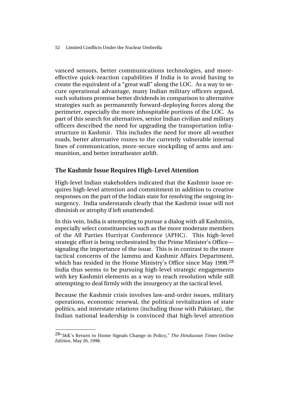vanced sensors, better communications technologies, and moreeffective quick-reaction capabilities if India is to avoid having to create the equivalent of a "great wall" along the LOC. As a way to secure operational advantage, many Indian military officers argued, such solutions promise better dividends in comparison to alternative strategies such as permanently forward-deploying forces along the perimeter, especially the more inhospitable portions of the LOC. As part of this search for alternatives, senior Indian civilian and military officers described the need for upgrading the transportation infrastructure in Kashmir. This includes the need for more all-weather roads, better alternative routes to the currently vulnerable internal lines of communication, more-secure stockpiling of arms and ammunition, and better intratheater airlift.

# **The Kashmir Issue Requires High-Level Attention**

High-level Indian stakeholders indicated that the Kashmir issue requires high-level attention and commitment in addition to creative responses on the part of the Indian state for resolving the ongoing insurgency. India understands clearly that the Kashmir issue will not diminish or atrophy if left unattended.

In this vein, India is attempting to pursue a dialog with all Kashmiris, especially select constituencies such as the more moderate members of the All Parties Hurriyat Conference (APHC). This high-level strategic effort is being orchestrated by the Prime Minister's Office signaling the importance of the issue. This is in contrast to the more tactical concerns of the Jammu and Kashmir Affairs Department, which has resided in the Home Ministry's Office since May 1998.<sup>28</sup> India thus seems to be pursuing high-level strategic engagements with key Kashmiri elements as a way to reach resolution while still attempting to deal firmly with the insurgency at the tactical level.

Because the Kashmir crisis involves law-and-order issues, military operations, economic renewal, the political revitalization of state politics, and interstate relations (including those with Pakistan), the Indian national leadership is convinced that high-level attention

<sup>28&</sup>quot;J&K's Return to Home Signals Change in Policy," *The Hindustan Times Online Edition*, May 26, 1998.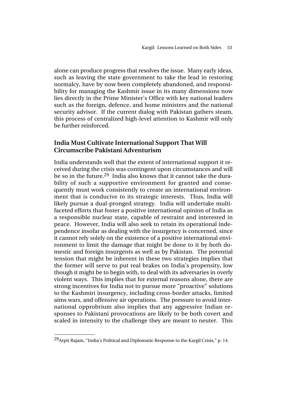alone can produce progress that resolves the issue. Many early ideas, such as leaving the state government to take the lead in restoring normalcy, have by now been completely abandoned, and responsibility for managing the Kashmir issue in its many dimensions now lies directly in the Prime Minister's Office with key national leaders such as the foreign, defence, and home ministers and the national security advisor. If the current dialog with Pakistan gathers steam, this process of centralized high-level attention to Kashmir will only be further reinforced.

## **India Must Cultivate International Support That Will Circumscribe Pakistani Adventurism**

India understands well that the extent of international support it received during the crisis was contingent upon circumstances and will be so in the future.29 India also knows that it cannot take the durability of such a supportive environment for granted and consequently must work consistently to create an international environment that is conducive to its strategic interests. Thus, India will likely pursue a dual-pronged strategy. India will undertake multifaceted efforts that foster a positive international opinion of India as a responsible nuclear state, capable of restraint and interested in peace. However, India will also seek to retain its operational independence insofar as dealing with the insurgency is concerned, since it cannot rely solely on the existence of a positive international environment to limit the damage that might be done to it by both domestic and foreign insurgents as well as by Pakistan. The potential tension that might be inherent in these two strategies implies that the former will serve to put real brakes on India's propensity, low though it might be to begin with, to deal with its adversaries in overly violent ways. This implies that for external reasons alone, there are strong incentives for India not to pursue more "proactive" solutions to the Kashmiri insurgency, including cross-border attacks, limited aims wars, and offensive air operations. The pressure to avoid international opprobrium also implies that any aggressive Indian responses to Pakistani provocations are likely to be both covert and scaled in intensity to the challenge they are meant to neuter. This

 $^{29}$ Arpit Rajain, "India's Political and Diplomatic Response to the Kargil Crisis," p. 14.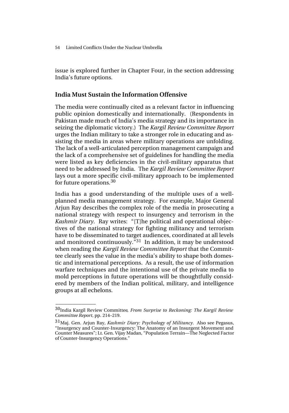issue is explored further in Chapter Four, in the section addressing India's future options.

#### **India Must Sustain the Information Offensive**

The media were continually cited as a relevant factor in influencing public opinion domestically and internationally. (Respondents in Pakistan made much of India's media strategy and its importance in seizing the diplomatic victory.) The *Kargil Review Committee Report* urges the Indian military to take a stronger role in educating and assisting the media in areas where military operations are unfolding. The lack of a well-articulated perception management campaign and the lack of a comprehensive set of guidelines for handling the media were listed as key deficiencies in the civil-military apparatus that need to be addressed by India. The *Kargil Review Committee Report* lays out a more specific civil-military approach to be implemented for future operations.<sup>30</sup>

India has a good understanding of the multiple uses of a wellplanned media management strategy. For example, Major General Arjun Ray describes the complex role of the media in prosecuting a national strategy with respect to insurgency and terrorism in the *Kashmir Diary*. Ray writes: "[T]he political and operational objectives of the national strategy for fighting militancy and terrorism have to be disseminated to target audiences, coordinated at all levels and monitored continuously."<sup>31</sup> In addition, it may be understood when reading the *Kargil Review Committee Report* that the Committee clearly sees the value in the media's ability to shape both domestic and international perceptions. As a result, the use of information warfare techniques and the intentional use of the private media to mold perceptions in future operations will be thoughtfully considered by members of the Indian political, military, and intelligence groups at all echelons.

<sup>30</sup>India Kargil Review Committee*, From Surprise to Reckoning: The Kargil Review Committee Report*, pp. 214–219.

<sup>31</sup>Maj. Gen. Arjun Ray, *Kashmir Diary: Psychology of Militancy*. Also see Pegasus, "Insurgency and Counter-Insurgency: The Anatomy of an Insurgent Movement and Counter Measures"; Lt. Gen. Vijay Madan, "Population Terrain—The Neglected Factor of Counter-Insurgency Operations."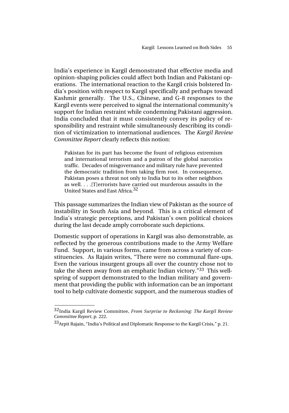India's experience in Kargil demonstrated that effective media and opinion-shaping policies could affect both Indian and Pakistani operations. The international reaction to the Kargil crisis bolstered India's position with respect to Kargil specifically and perhaps toward Kashmir generally. The U.S., Chinese, and G-8 responses to the Kargil events were perceived to signal the international community's support for Indian restraint while condemning Pakistani aggression. India concluded that it must consistently convey its policy of responsibility and restraint while simultaneously describing its condition of victimization to international audiences. The *Kargil Review Committee Report* clearly reflects this notion:

Pakistan for its part has become the fount of religious extremism and international terrorism and a patron of the global narcotics traffic. Decades of misgovernance and military rule have prevented the democratic tradition from taking firm root. In consequence, Pakistan poses a threat not only to India but to its other neighbors as well. . . .[T]errorists have carried out murderous assaults in the United States and East Africa.32

This passage summarizes the Indian view of Pakistan as the source of instability in South Asia and beyond. This is a critical element of India's strategic perceptions, and Pakistan's own political choices during the last decade amply corroborate such depictions.

Domestic support of operations in Kargil was also demonstrable, as reflected by the generous contributions made to the Army Welfare Fund. Support, in various forms, came from across a variety of constituencies. As Rajain writes, "There were no communal flare-ups. Even the various insurgent groups all over the country chose not to take the sheen away from an emphatic Indian victory."33 This wellspring of support demonstrated to the Indian military and government that providing the public with information can be an important tool to help cultivate domestic support, and the numerous studies of

<sup>32</sup>India Kargil Review Committee, *From Surprise to Reckoning: The Kargil Review Committee Report*, p. 222.

<sup>33</sup>Arpit Rajain, "India's Political and Diplomatic Response to the Kargil Crisis," p. 21.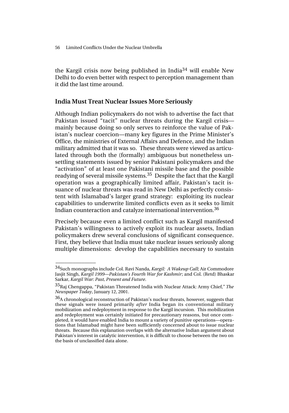the Kargil crisis now being published in India<sup>34</sup> will enable New Delhi to do even better with respect to perception management than it did the last time around.

#### **India Must Treat Nuclear Issues More Seriously**

Although Indian policymakers do not wish to advertise the fact that Pakistan issued "tacit" nuclear threats during the Kargil crisis mainly because doing so only serves to reinforce the value of Pakistan's nuclear coercion—many key figures in the Prime Minister's Office, the ministries of External Affairs and Defence, and the Indian military admitted that it was so. These threats were viewed as articulated through both the (formally) ambiguous but nonetheless unsettling statements issued by senior Pakistani policymakers and the "activation" of at least one Pakistani missile base and the possible readying of several missile systems.35 Despite the fact that the Kargil operation was a geographically limited affair, Pakistan's tacit issuance of nuclear threats was read in New Delhi as perfectly consistent with Islamabad's larger grand strategy: exploiting its nuclear capabilities to underwrite limited conflicts even as it seeks to limit Indian counteraction and catalyze international intervention.36

Precisely because even a limited conflict such as Kargil manifested Pakistan's willingness to actively exploit its nuclear assets, Indian policymakers drew several conclusions of significant consequence. First, they believe that India must take nuclear issues seriously along multiple dimensions: develop the capabilities necessary to sustain

<sup>34</sup>Such monographs include Col. Ravi Nanda, *Kargil: A Wakeup Call*; Air Commodore Jasjit Singh, *Kargil 1999—Pakistan's Fourth War for Kashmir*; and Col. (Retd) Bhaskar Sarkar, *Kargil War: Past, Present and Future*.

<sup>35</sup>Raj Chengappa, "Pakistan Threatened India with Nuclear Attack: Army Chief," *The Newspaper Today*, January 12, 2001.

<sup>36</sup>A chronological reconstruction of Pakistan's nuclear threats, however, suggests that these signals were issued primarily *after* India began its conventional military mobilization and redeployment in response to the Kargil incursion. This mobilization and redeployment was certainly initiated for precautionary reasons, but once completed, it would have enabled India to mount a variety of punitive operations—operations that Islamabad might have been sufficiently concerned about to issue nuclear threats. Because this explanation overlaps with the alternative Indian argument about Pakistan's interest in catalytic intervention, it is difficult to choose between the two on the basis of unclassified data alone.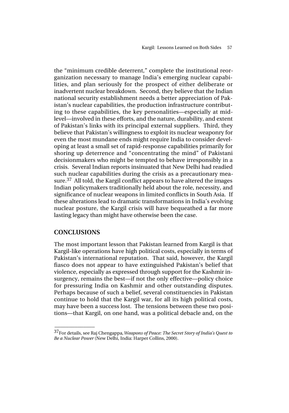the "minimum credible deterrent," complete the institutional reorganization necessary to manage India's emerging nuclear capabilities, and plan seriously for the prospect of either deliberate or inadvertent nuclear breakdown. Second, they believe that the Indian national security establishment needs a better appreciation of Pakistan's nuclear capabilities, the production infrastructure contributing to these capabilities, the key personalities—especially at midlevel—involved in these efforts, and the nature, durability, and extent of Pakistan's links with its principal external suppliers. Third, they believe that Pakistan's willingness to exploit its nuclear weaponry for even the most mundane ends might require India to consider developing at least a small set of rapid-response capabilities primarily for shoring up deterrence and "concentrating the mind" of Pakistani decisionmakers who might be tempted to behave irresponsibly in a crisis. Several Indian reports insinuated that New Delhi had readied such nuclear capabilities during the crisis as a precautionary measure.37 All told, the Kargil conflict appears to have altered the images Indian policymakers traditionally held about the role, necessity, and significance of nuclear weapons in limited conflicts in South Asia. If these alterations lead to dramatic transformations in India's evolving nuclear posture, the Kargil crisis will have bequeathed a far more lasting legacy than might have otherwise been the case.

#### **CONCLUSIONS**

 $\overline{\phantom{a}}$ 

The most important lesson that Pakistan learned from Kargil is that Kargil-like operations have high political costs, especially in terms of Pakistan's international reputation. That said, however, the Kargil fiasco does not appear to have extinguished Pakistan's belief that violence, especially as expressed through support for the Kashmir insurgency, remains the best—if not the only effective—policy choice for pressuring India on Kashmir and other outstanding disputes. Perhaps because of such a belief, several constituencies in Pakistan continue to hold that the Kargil war, for all its high political costs, may have been a success lost. The tensions between these two positions—that Kargil, on one hand, was a political debacle and, on the

<sup>37</sup>For details, see Raj Chengappa, *Weapons of Peace: The Secret Story of India's Quest to Be a Nuclear Power* (New Delhi, India: Harper Collins, 2000).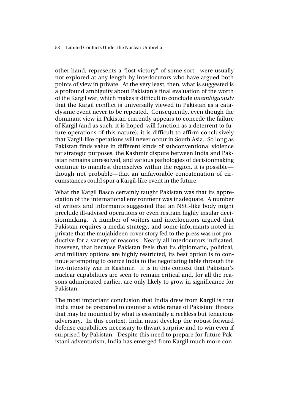other hand, represents a "lost victory" of some sort—were usually not explored at any length by interlocutors who have argued both points of view in private. At the very least, then, what is suggested is a profound ambiguity about Pakistan's final evaluation of the worth of the Kargil war, which makes it difficult to conclude *unambiguously* that the Kargil conflict is universally viewed in Pakistan as a cataclysmic event never to be repeated. Consequently, even though the dominant view in Pakistan currently appears to concede the failure of Kargil (and as such, it is hoped, will function as a deterrent to future operations of this nature), it is difficult to affirm conclusively that Kargil-like operations will never occur in South Asia. So long as Pakistan finds value in different kinds of subconventional violence for strategic purposes, the Kashmir dispute between India and Pakistan remains unresolved, and various pathologies of decisionmaking continue to manifest themselves within the region, it is possible though not probable—that an unfavorable concatenation of circumstances could spur a Kargil-like event in the future.

What the Kargil fiasco certainly taught Pakistan was that its appreciation of the international environment was inadequate. A number of writers and informants suggested that an NSC-like body might preclude ill-advised operations or even restrain highly insular decisionmaking. A number of writers and interlocutors argued that Pakistan requires a media strategy, and some informants noted in private that the mujahideen cover story fed to the press was not productive for a variety of reasons. Nearly all interlocutors indicated, however, that because Pakistan feels that its diplomatic, political, and military options are highly restricted, its best option is to continue attempting to coerce India to the negotiating table through the low-intensity war in Kashmir. It is in this context that Pakistan's nuclear capabilities are seen to remain critical and, for all the reasons adumbrated earlier, are only likely to grow in significance for Pakistan.

The most important conclusion that India drew from Kargil is that India must be prepared to counter a wide range of Pakistani threats that may be mounted by what is essentially a reckless but tenacious adversary. In this context, India must develop the robust forward defense capabilities necessary to thwart surprise and to win even if surprised by Pakistan. Despite this need to prepare for future Pakistani adventurism, India has emerged from Kargil much more con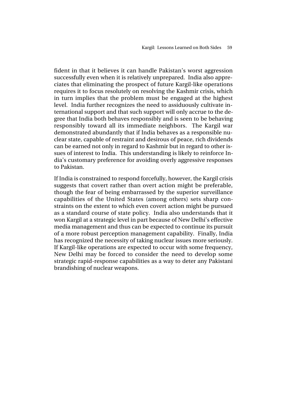fident in that it believes it can handle Pakistan's worst aggression successfully even when it is relatively unprepared. India also appreciates that eliminating the prospect of future Kargil-like operations requires it to focus resolutely on resolving the Kashmir crisis, which in turn implies that the problem must be engaged at the highest level. India further recognizes the need to assiduously cultivate international support and that such support will only accrue to the degree that India both behaves responsibly and is seen to be behaving responsibly toward all its immediate neighbors. The Kargil war demonstrated abundantly that if India behaves as a responsible nuclear state, capable of restraint and desirous of peace, rich dividends can be earned not only in regard to Kashmir but in regard to other issues of interest to India. This understanding is likely to reinforce India's customary preference for avoiding overly aggressive responses to Pakistan.

If India is constrained to respond forcefully, however, the Kargil crisis suggests that covert rather than overt action might be preferable, though the fear of being embarrassed by the superior surveillance capabilities of the United States (among others) sets sharp constraints on the extent to which even covert action might be pursued as a standard course of state policy. India also understands that it won Kargil at a strategic level in part because of New Delhi's effective media management and thus can be expected to continue its pursuit of a more robust perception management capability. Finally, India has recognized the necessity of taking nuclear issues more seriously. If Kargil-like operations are expected to occur with some frequency, New Delhi may be forced to consider the need to develop some strategic rapid-response capabilities as a way to deter any Pakistani brandishing of nuclear weapons.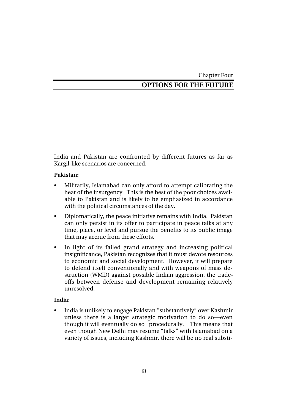Chapter Four

# **OPTIONS FOR THE FUTURE**

India and Pakistan are confronted by different futures as far as Kargil-like scenarios are concerned.

#### **Pakistan:**

- Militarily, Islamabad can only afford to attempt calibrating the heat of the insurgency. This is the best of the poor choices available to Pakistan and is likely to be emphasized in accordance with the political circumstances of the day.
- Diplomatically, the peace initiative remains with India. Pakistan can only persist in its offer to participate in peace talks at any time, place, or level and pursue the benefits to its public image that may accrue from these efforts.
- In light of its failed grand strategy and increasing political insignificance, Pakistan recognizes that it must devote resources to economic and social development. However, it will prepare to defend itself conventionally and with weapons of mass destruction (WMD) against possible Indian aggression, the tradeoffs between defense and development remaining relatively unresolved.

#### **India:**

• India is unlikely to engage Pakistan "substantively" over Kashmir unless there is a larger strategic motivation to do so—even though it will eventually do so "procedurally." This means that even though New Delhi may resume "talks" with Islamabad on a variety of issues, including Kashmir, there will be no real substi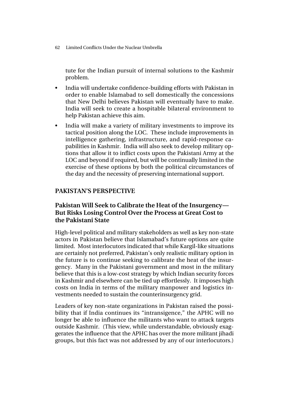tute for the Indian pursuit of internal solutions to the Kashmir problem.

- India will undertake confidence-building efforts with Pakistan in order to enable Islamabad to sell domestically the concessions that New Delhi believes Pakistan will eventually have to make. India will seek to create a hospitable bilateral environment to help Pakistan achieve this aim.
- India will make a variety of military investments to improve its tactical position along the LOC. These include improvements in intelligence gathering, infrastructure, and rapid-response capabilities in Kashmir. India will also seek to develop military options that allow it to inflict costs upon the Pakistani Army at the LOC and beyond if required, but will be continually limited in the exercise of these options by both the political circumstances of the day and the necessity of preserving international support.

#### **PAKISTAN'S PERSPECTIVE**

## **Pakistan Will Seek to Calibrate the Heat of the Insurgency— But Risks Losing Control Over the Process at Great Cost to the Pakistani State**

High-level political and military stakeholders as well as key non-state actors in Pakistan believe that Islamabad's future options are quite limited. Most interlocutors indicated that while Kargil-like situations are certainly not preferred, Pakistan's only realistic military option in the future is to continue seeking to calibrate the heat of the insurgency. Many in the Pakistani government and most in the military believe that this is a low-cost strategy by which Indian security forces in Kashmir and elsewhere can be tied up effortlessly. It imposes high costs on India in terms of the military manpower and logistics investments needed to sustain the counterinsurgency grid.

Leaders of key non-state organizations in Pakistan raised the possibility that if India continues its "intransigence," the APHC will no longer be able to influence the militants who want to attack targets outside Kashmir. (This view, while understandable, obviously exaggerates the influence that the APHC has over the more militant jihadi groups, but this fact was not addressed by any of our interlocutors.)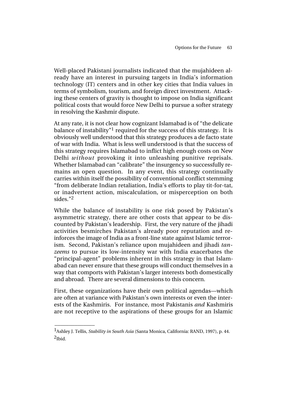Well-placed Pakistani journalists indicated that the mujahideen already have an interest in pursuing targets in India's information technology (IT) centers and in other key cities that India values in terms of symbolism, tourism, and foreign direct investment. Attacking these centers of gravity is thought to impose on India significant political costs that would force New Delhi to pursue a softer strategy in resolving the Kashmir dispute.

At any rate, it is not clear how cognizant Islamabad is of "the delicate balance of instability"<sup>1</sup> required for the success of this strategy. It is obviously well understood that this strategy produces a de facto state of war with India. What is less well understood is that the success of this strategy requires Islamabad to inflict high enough costs on New Delhi *without* provoking it into unleashing punitive reprisals. Whether Islamabad can "calibrate" the insurgency so successfully remains an open question. In any event, this strategy continually carries within itself the possibility of conventional conflict stemming "from deliberate Indian retaliation, India's efforts to play tit-for-tat, or inadvertent action, miscalculation, or misperception on both sides<sup>"2</sup>

While the balance of instability is one risk posed by Pakistan's asymmetric strategy, there are other costs that appear to be discounted by Pakistan's leadership. First, the very nature of the jihadi activities besmirches Pakistan's already poor reputation and reinforces the image of India as a front-line state against Islamic terrorism. Second, Pakistan's reliance upon mujahideen and jihadi *tanzeems* to pursue its low-intensity war with India exacerbates the "principal-agent" problems inherent in this strategy in that Islamabad can never ensure that these groups will conduct themselves in a way that comports with Pakistan's larger interests both domestically and abroad. There are several dimensions to this concern.

First, these organizations have their own political agendas—which are often at variance with Pakistan's own interests or even the interests of the Kashmiris. For instance, most Pakistanis *and* Kashmiris are not receptive to the aspirations of these groups for an Islamic

<sup>1</sup>Ashley J. Tellis, *Stability in South Asia* (Santa Monica, California: RAND, 1997), p. 44.  $2<sub>Ibid</sub>$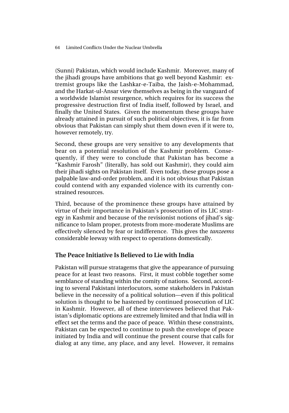(Sunni) Pakistan, which would include Kashmir. Moreover, many of the jihadi groups have ambitions that go well beyond Kashmir: extremist groups like the Lashkar-e-Taiba, the Jaish-e-Mohammad, and the Harkat-ul-Ansar view themselves as being in the vanguard of a worldwide Islamist resurgence, which requires for its success the progressive destruction first of India itself, followed by Israel, and finally the United States. Given the momentum these groups have already attained in pursuit of such political objectives, it is far from obvious that Pakistan can simply shut them down even if it were to, however remotely, try.

Second, these groups are very sensitive to any developments that bear on a potential resolution of the Kashmir problem. Consequently, if they were to conclude that Pakistan has become a "Kashmir Farosh" (literally, has sold out Kashmir), they could aim their jihadi sights on Pakistan itself. Even today, these groups pose a palpable law-and-order problem, and it is not obvious that Pakistan could contend with any expanded violence with its currently constrained resources.

Third, because of the prominence these groups have attained by virtue of their importance in Pakistan's prosecution of its LIC strategy in Kashmir and because of the revisionist notions of jihad's significance to Islam proper, protests from more-moderate Muslims are effectively silenced by fear or indifference. This gives the *tanzeems* considerable leeway with respect to operations domestically.

# **The Peace Initiative Is Believed to Lie with India**

Pakistan will pursue stratagems that give the appearance of pursuing peace for at least two reasons. First, it must cobble together some semblance of standing within the comity of nations. Second, according to several Pakistani interlocutors, some stakeholders in Pakistan believe in the necessity of a political solution—even if this political solution is thought to be hastened by continued prosecution of LIC in Kashmir. However, all of these interviewees believed that Pakistan's diplomatic options are extremely limited and that India will in effect set the terms and the pace of peace. Within these constraints, Pakistan can be expected to continue to push the envelope of peace initiated by India and will continue the present course that calls for dialog at any time, any place, and any level. However, it remains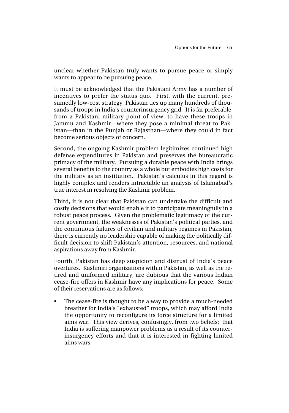unclear whether Pakistan truly wants to pursue peace or simply wants to appear to be pursuing peace.

It must be acknowledged that the Pakistani Army has a number of incentives to prefer the status quo. First, with the current, presumedly low-cost strategy, Pakistan ties up many hundreds of thousands of troops in India's counterinsurgency grid. It is far preferable, from a Pakistani military point of view, to have these troops in Jammu and Kashmir—where they pose a minimal threat to Pakistan—than in the Punjab or Rajasthan—where they could in fact become serious objects of concern.

Second, the ongoing Kashmir problem legitimizes continued high defense expenditures in Pakistan and preserves the bureaucratic primacy of the military. Pursuing a durable peace with India brings several benefits to the country as a whole but embodies high costs for the military as an institution. Pakistan's calculus in this regard is highly complex and renders intractable an analysis of Islamabad's true interest in resolving the Kashmir problem.

Third, it is not clear that Pakistan can undertake the difficult and costly decisions that would enable it to participate meaningfully in a robust peace process. Given the problematic legitimacy of the current government, the weaknesses of Pakistan's political parties, and the continuous failures of civilian and military regimes in Pakistan, there is currently no leadership capable of making the politically difficult decision to shift Pakistan's attention, resources, and national aspirations away from Kashmir.

Fourth, Pakistan has deep suspicion and distrust of India's peace overtures. Kashmiri organizations within Pakistan, as well as the retired and uniformed military, are dubious that the various Indian cease-fire offers in Kashmir have any implications for peace. Some of their reservations are as follows:

• The cease-fire is thought to be a way to provide a much-needed breather for India's "exhausted" troops, which may afford India the opportunity to reconfigure its force structure for a limited aims war. This view derives, confusingly, from two beliefs: that India is suffering manpower problems as a result of its counterinsurgency efforts and that it is interested in fighting limited aims wars.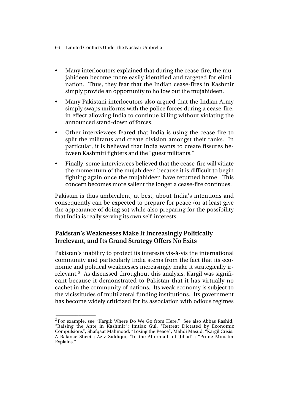- Many interlocutors explained that during the cease-fire, the mujahideen become more easily identified and targeted for elimination. Thus, they fear that the Indian cease-fires in Kashmir simply provide an opportunity to hollow out the mujahideen.
- Many Pakistani interlocutors also argued that the Indian Army simply swaps uniforms with the police forces during a cease-fire, in effect allowing India to continue killing without violating the announced stand-down of forces.
- Other interviewees feared that India is using the cease-fire to split the militants and create division amongst their ranks. In particular, it is believed that India wants to create fissures between Kashmiri fighters and the "guest militants."
- Finally, some interviewees believed that the cease-fire will vitiate the momentum of the mujahideen because it is difficult to begin fighting again once the mujahideen have returned home. This concern becomes more salient the longer a cease-fire continues.

Pakistan is thus ambivalent, at best, about India's intentions and consequently can be expected to prepare for peace (or at least give the appearance of doing so) while also preparing for the possibility that India is really serving its own self-interests.

## **Pakistan's Weaknesses Make It Increasingly Politically Irrelevant, and Its Grand Strategy Offers No Exits**

Pakistan's inability to protect its interests vis-à-vis the international community and particularly India stems from the fact that its economic and political weaknesses increasingly make it strategically irrelevant.3 As discussed throughout this analysis, Kargil was significant because it demonstrated to Pakistan that it has virtually no cachet in the community of nations. Its weak economy is subject to the vicissitudes of multilateral funding institutions. Its government has become widely criticized for its association with odious regimes

\_\_\_\_\_\_\_\_\_\_\_\_\_\_

 $3$ For example, see "Kargil: Where Do We Go from Here." See also Abbas Rashid, "Raising the Ante in Kashmir"; Imtiaz Gul, "Retreat Dictated by Economic Compulsions"; Shafqaat Mahmood, "Losing the Peace"; Mahdi Masud, "Kargil Crisis: A Balance Sheet"; Aziz Siddiqui, "In the Aftermath of 'Jihad'"; "Prime Minister Explains."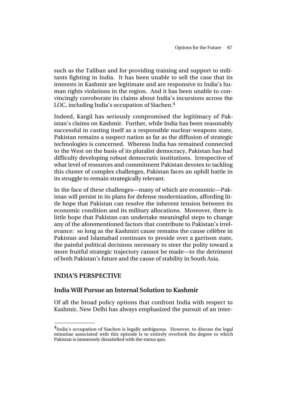such as the Taliban and for providing training and support to militants fighting in India. It has been unable to sell the case that its interests in Kashmir are legitimate and are responsive to India's human rights violations in the region. And it has been unable to convincingly corroborate its claims about India's incursions across the LOC, including India's occupation of Siachen.<sup>4</sup>

Indeed, Kargil has seriously compromised the legitimacy of Pakistan's claims on Kashmir. Further, while India has been reasonably successful in casting itself as a responsible nuclear-weapons state, Pakistan remains a suspect nation as far as the diffusion of strategic technologies is concerned. Whereas India has remained connected to the West on the basis of its pluralist democracy, Pakistan has had difficulty developing robust democratic institutions. Irrespective of what level of resources and commitment Pakistan devotes to tackling this cluster of complex challenges, Pakistan faces an uphill battle in its struggle to remain strategically relevant.

In the face of these challenges—many of which are economic—Pakistan will persist in its plans for defense modernization, affording little hope that Pakistan can resolve the inherent tension between its economic condition and its military allocations. Moreover, there is little hope that Pakistan can undertake meaningful steps to change any of the aforementioned factors that contribute to Pakistan's irrelevance: so long as the Kashmiri cause remains the cause célèbre in Pakistan and Islamabad continues to preside over a garrison state, the painful political decisions necessary to steer the polity toward a more fruitful strategic trajectory cannot be made—to the detriment of both Pakistan's future and the cause of stability in South Asia.

#### **INDIA'S PERSPECTIVE**

 $\overline{\phantom{a}}$ 

#### **India Will Pursue an Internal Solution to Kashmir**

Of all the broad policy options that confront India with respect to Kashmir, New Delhi has always emphasized the pursuit of an inter-

<sup>&</sup>lt;sup>4</sup>India's occupation of Siachen is legally ambiguous. However, to discuss the legal minutiae associated with this episode is to entirely overlook the degree to which Pakistan is immensely dissatisfied with the status quo.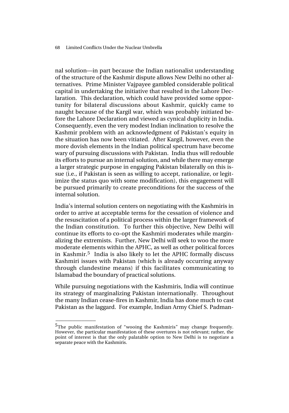nal solution—in part because the Indian nationalist understanding of the structure of the Kashmir dispute allows New Delhi no other alternatives. Prime Minister Vajpayee gambled considerable political capital in undertaking the initiative that resulted in the Lahore Declaration. This declaration, which could have provided some opportunity for bilateral discussions about Kashmir, quickly came to naught because of the Kargil war, which was probably initiated before the Lahore Declaration and viewed as cynical duplicity in India. Consequently, even the very modest Indian inclination to resolve the Kashmir problem with an acknowledgment of Pakistan's equity in the situation has now been vitiated. After Kargil, however, even the more dovish elements in the Indian political spectrum have become wary of pursuing discussions with Pakistan. India thus will redouble its efforts to pursue an internal solution, and while there may emerge a larger strategic purpose in engaging Pakistan bilaterally on this issue (i.e., if Pakistan is seen as willing to accept, rationalize, or legitimize the status quo with some modification), this engagement will be pursued primarily to create preconditions for the success of the internal solution.

India's internal solution centers on negotiating with the Kashmiris in order to arrive at acceptable terms for the cessation of violence and the resuscitation of a political process within the larger framework of the Indian constitution. To further this objective, New Delhi will continue its efforts to co-opt the Kashmiri moderates while marginalizing the extremists. Further, New Delhi will seek to woo the more moderate elements within the APHC, as well as other political forces in Kashmir.5 India is also likely to let the APHC formally discuss Kashmiri issues with Pakistan (which is already occurring anyway through clandestine means) if this facilitates communicating to Islamabad the boundary of practical solutions.

While pursuing negotiations with the Kashmiris, India will continue its strategy of marginalizing Pakistan internationally. Throughout the many Indian cease-fires in Kashmir, India has done much to cast Pakistan as the laggard. For example, Indian Army Chief S. Padman-

<sup>&</sup>lt;sup>5</sup>The public manifestation of "wooing the Kashmiris" may change frequently. However, the particular manifestation of these overtures is not relevant; rather, the point of interest is that the only palatable option to New Delhi is to negotiate a separate peace with the Kashmiris.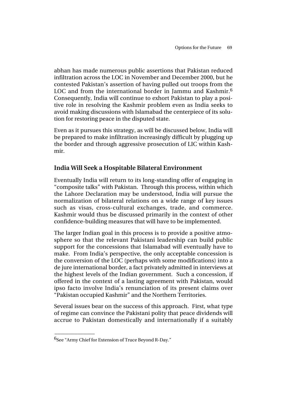abhan has made numerous public assertions that Pakistan reduced infiltration across the LOC in November and December 2000, but he contested Pakistan's assertion of having pulled out troops from the LOC and from the international border in Jammu and Kashmir.<sup>6</sup> Consequently, India will continue to exhort Pakistan to play a positive role in resolving the Kashmir problem even as India seeks to avoid making discussions with Islamabad the centerpiece of its solution for restoring peace in the disputed state.

Even as it pursues this strategy, as will be discussed below, India will be prepared to make infiltration increasingly difficult by plugging up the border and through aggressive prosecution of LIC within Kashmir.

## **India Will Seek a Hospitable Bilateral Environment**

Eventually India will return to its long-standing offer of engaging in "composite talks" with Pakistan. Through this process, within which the Lahore Declaration may be understood, India will pursue the normalization of bilateral relations on a wide range of key issues such as visas, cross-cultural exchanges, trade, and commerce. Kashmir would thus be discussed primarily in the context of other confidence-building measures that will have to be implemented.

The larger Indian goal in this process is to provide a positive atmosphere so that the relevant Pakistani leadership can build public support for the concessions that Islamabad will eventually have to make. From India's perspective, the only acceptable concession is the conversion of the LOC (perhaps with some modifications) into a de jure international border, a fact privately admitted in interviews at the highest levels of the Indian government. Such a concession, if offered in the context of a lasting agreement with Pakistan, would ipso facto involve India's renunciation of its present claims over "Pakistan occupied Kashmir" and the Northern Territories.

Several issues bear on the success of this approach. First, what type of regime can convince the Pakistani polity that peace dividends will accrue to Pakistan domestically and internationally if a suitably

<sup>6</sup>See "Army Chief for Extension of Truce Beyond R-Day."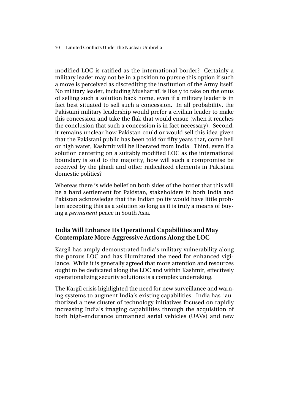modified LOC is ratified as the international border? Certainly a military leader may not be in a position to pursue this option if such a move is perceived as discrediting the institution of the Army itself. No military leader, including Musharraf, is likely to take on the onus of selling such a solution back home, even if a military leader is in fact best situated to sell such a concession. In all probability, the Pakistani military leadership would prefer a civilian leader to make this concession and take the flak that would ensue (when it reaches the conclusion that such a concession is in fact necessary). Second, it remains unclear how Pakistan could or would sell this idea given that the Pakistani public has been told for fifty years that, come hell or high water, Kashmir will be liberated from India. Third, even if a solution centering on a suitably modified LOC as the international boundary is sold to the majority, how will such a compromise be received by the jihadi and other radicalized elements in Pakistani domestic politics?

Whereas there is wide belief on both sides of the border that this will be a hard settlement for Pakistan, stakeholders in both India and Pakistan acknowledge that the Indian polity would have little problem accepting this as a solution so long as it is truly a means of buying a *permanent* peace in South Asia.

## **India Will Enhance Its Operational Capabilities and May Contemplate More-Aggressive Actions Along the LOC**

Kargil has amply demonstrated India's military vulnerability along the porous LOC and has illuminated the need for enhanced vigilance. While it is generally agreed that more attention and resources ought to be dedicated along the LOC and within Kashmir, effectively operationalizing security solutions is a complex undertaking.

The Kargil crisis highlighted the need for new surveillance and warning systems to augment India's existing capabilities. India has "authorized a new cluster of technology initiatives focused on rapidly increasing India's imaging capabilities through the acquisition of both high-endurance unmanned aerial vehicles (UAVs) and new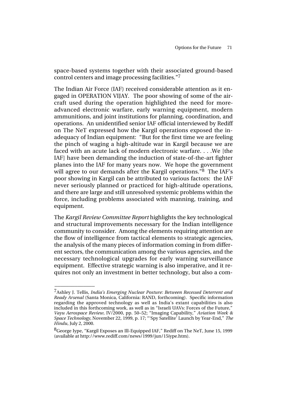space-based systems together with their associated ground-based control centers and image processing facilities."7

The Indian Air Force (IAF) received considerable attention as it engaged in OPERATION VIJAY*.* The poor showing of some of the aircraft used during the operation highlighted the need for moreadvanced electronic warfare, early warning equipment, modern ammunitions, and joint institutions for planning, coordination, and operations. An unidentified senior IAF official interviewed by Rediff on The NeT expressed how the Kargil operations exposed the inadequacy of Indian equipment: "But for the first time we are feeling the pinch of waging a high-altitude war in Kargil because we are faced with an acute lack of modern electronic warfare. . . .We [the IAF] have been demanding the induction of state-of-the-art fighter planes into the IAF for many years now. We hope the government will agree to our demands after the Kargil operations."<sup>8</sup> The IAF's poor showing in Kargil can be attributed to various factors: the IAF never seriously planned or practiced for high-altitude operations, and there are large and still unresolved systemic problems within the force, including problems associated with manning, training, and equipment.

The *Kargil Review Committee Report* highlights the key technological and structural improvements necessary for the Indian intelligence community to consider. Among the elements requiring attention are the flow of intelligence from tactical elements to strategic agencies, the analysis of the many pieces of information coming in from different sectors, the communication among the various agencies, and the necessary technological upgrades for early warning surveillance equipment. Effective strategic warning is also imperative, and it requires not only an investment in better technology, but also a com-

\_\_\_\_\_\_\_\_\_\_\_\_\_\_

<sup>7</sup>Ashley J. Tellis, *India's Emerging Nuclear Posture: Between Recessed Deterrent and Ready Arsenal* (Santa Monica, California: RAND, forthcoming). Specific information regarding the approved technology as well as India's extant capabilities is also included in this forthcoming work, as well as in "Israeli UAVs: Forces of the Future," *Vayu Aerospace Review,* IV/2000, pp. 50–52; "Imaging Capability," *Aviation Week & Space Technology,* November 22, 1999, p. 17; "'Spy Satellite' Launch by Year-End," *The Hindu*, July 2, 2000.

<sup>8</sup>George Iype, "Kargil Exposes an Ill-Equipped IAF," Rediff on The NeT, June 15, 1999 (available at http://www.rediff.com/news/1999/jun/15iype.htm).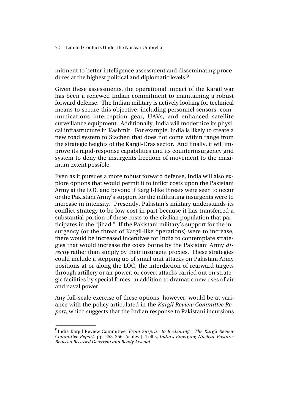mitment to better intelligence assessment and disseminating procedures at the highest political and diplomatic levels.<sup>9</sup>

Given these assessments, the operational impact of the Kargil war has been a renewed Indian commitment to maintaining a robust forward defense. The Indian military is actively looking for technical means to secure this objective, including personnel sensors, communications interception gear, UAVs, and enhanced satellite surveillance equipment. Additionally, India will modernize its physical infrastructure in Kashmir. For example, India is likely to create a new road system to Siachen that does not come within range from the strategic heights of the Kargil-Dras sector. And finally, it will improve its rapid-response capabilities and its counterinsurgency grid system to deny the insurgents freedom of movement to the maximum extent possible.

Even as it pursues a more robust forward defense, India will also explore options that would permit it to inflict costs upon the Pakistani Army at the LOC and beyond if Kargil-like threats were seen to occur or the Pakistani Army's support for the infiltrating insurgents were to increase in intensity. Presently, Pakistan's military understands its conflict strategy to be low cost in part because it has transferred a substantial portion of these costs to the civilian population that participates in the "jihad." If the Pakistani military's support for the insurgency (or the threat of Kargil-like operations) were to increase, there would be increased incentives for India to contemplate strategies that would increase the costs borne by the Pakistani Army *directly* rather than simply by their insurgent proxies. These strategies could include a stepping up of small unit attacks on Pakistani Army positions at or along the LOC, the interdiction of rearward targets through artillery or air power, or covert attacks carried out on strategic facilities by special forces, in addition to dramatic new uses of air and naval power.

Any full-scale exercise of these options, however, would be at variance with the policy articulated in the *Kargil Review Committee Report*, which suggests that the Indian response to Pakistani incursions

<sup>9</sup>India Kargil Review Committee*, From Surprise to Reckoning: The Kargil Review Committee Report,* pp. 253–256; Ashley J. Tellis, *India's Emerging Nuclear Posture: Between Recessed Deterrent and Ready Arsenal*.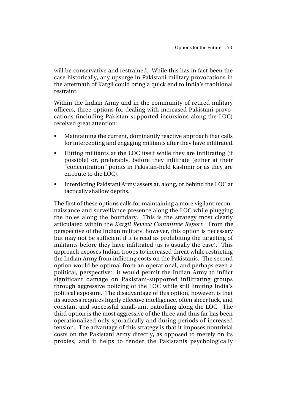will be conservative and restrained. While this has in fact been the case historically, any upsurge in Pakistani military provocations in the aftermath of Kargil could bring a quick end to India's traditional restraint.

Within the Indian Army and in the community of retired military officers, three options for dealing with increased Pakistani provocations (including Pakistan-supported incursions along the LOC) received great attention:

- Maintaining the current, dominantly reactive approach that calls for intercepting and engaging militants after they have infiltrated.
- Hitting militants at the LOC itself while they are infiltrating (if possible) or, preferably, before they infiltrate (either at their "concentration" points in Pakistan-held Kashmir or as they are en route to the LOC).
- Interdicting Pakistani Army assets at, along, or behind the LOC at tactically shallow depths.

The first of these options calls for maintaining a more vigilant reconnaissance and surveillance presence along the LOC while plugging the holes along the boundary. This is the strategy most clearly articulated within the *Kargil Review Committee Report.* From the perspective of the Indian military, however, this option is necessary but may not be sufficient if it is read as prohibiting the targeting of militants before they have infiltrated (as is usually the case). This approach exposes Indian troops to increased threat while restricting the Indian Army from inflicting costs on the Pakistanis. The second option would be optimal from an operational, and perhaps even a political, perspective: it would permit the Indian Army to inflict significant damage on Pakistani-supported infiltrating groups through aggressive policing of the LOC while still limiting India's political exposure. The disadvantage of this option, however, is that its success requires highly effective intelligence, often sheer luck, and constant and successful small-unit patrolling along the LOC. The third option is the most aggressive of the three and thus far has been operationalized only sporadically and during periods of increased tension. The advantage of this strategy is that it imposes nontrivial costs on the Pakistani Army directly, as opposed to merely on its proxies, and it helps to render the Pakistanis psychologically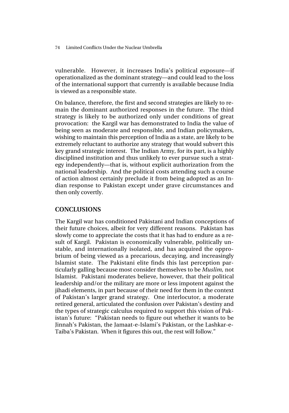vulnerable. However, it increases India's political exposure—if operationalized as the dominant strategy—and could lead to the loss of the international support that currently is available because India is viewed as a responsible state.

On balance, therefore, the first and second strategies are likely to remain the dominant authorized responses in the future. The third strategy is likely to be authorized only under conditions of great provocation: the Kargil war has demonstrated to India the value of being seen as moderate and responsible, and Indian policymakers, wishing to maintain this perception of India as a state, are likely to be extremely reluctant to authorize any strategy that would subvert this key grand strategic interest. The Indian Army, for its part, is a highly disciplined institution and thus unlikely to ever pursue such a strategy independently—that is, without explicit authorization from the national leadership. And the political costs attending such a course of action almost certainly preclude it from being adopted as an Indian response to Pakistan except under grave circumstances and then only covertly.

# **CONCLUSIONS**

The Kargil war has conditioned Pakistani and Indian conceptions of their future choices, albeit for very different reasons. Pakistan has slowly come to appreciate the costs that it has had to endure as a result of Kargil. Pakistan is economically vulnerable, politically unstable, and internationally isolated, and has acquired the opprobrium of being viewed as a precarious, decaying, and increasingly Islamist state. The Pakistani elite finds this last perception particularly galling because most consider themselves to be *Muslim,* not Islamist. Pakistani moderates believe, however, that their political leadership and/or the military are more or less impotent against the jihadi elements, in part because of their need for them in the context of Pakistan's larger grand strategy. One interlocutor, a moderate retired general, articulated the confusion over Pakistan's destiny and the types of strategic calculus required to support this vision of Pakistan's future: "Pakistan needs to figure out whether it wants to be Jinnah's Pakistan, the Jamaat-e-Islami's Pakistan, or the Lashkar-e-Taiba's Pakistan. When it figures this out, the rest will follow."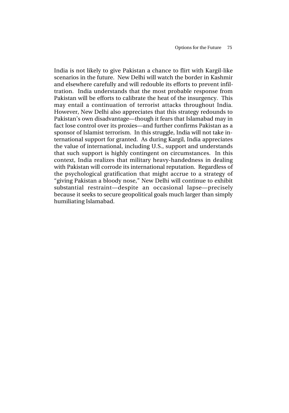India is not likely to give Pakistan a chance to flirt with Kargil-like scenarios in the future. New Delhi will watch the border in Kashmir and elsewhere carefully and will redouble its efforts to prevent infiltration. India understands that the most probable response from Pakistan will be efforts to calibrate the heat of the insurgency. This may entail a continuation of terrorist attacks throughout India. However, New Delhi also appreciates that this strategy redounds to Pakistan's own disadvantage—though it fears that Islamabad may in fact lose control over its proxies—and further confirms Pakistan as a sponsor of Islamist terrorism. In this struggle, India will not take international support for granted. As during Kargil, India appreciates the value of international, including U.S., support and understands that such support is highly contingent on circumstances. In this context, India realizes that military heavy-handedness in dealing with Pakistan will corrode its international reputation. Regardless of the psychological gratification that might accrue to a strategy of "giving Pakistan a bloody nose," New Delhi will continue to exhibit substantial restraint—despite an occasional lapse—precisely because it seeks to secure geopolitical goals much larger than simply humiliating Islamabad.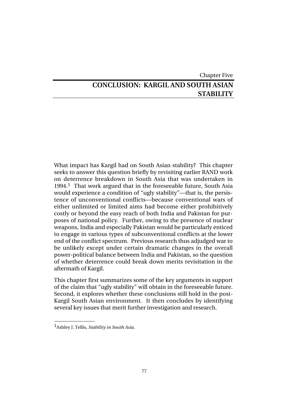# Chapter Five **CONCLUSION: KARGIL AND SOUTH ASIAN STABILITY**

What impact has Kargil had on South Asian stability? This chapter seeks to answer this question briefly by revisiting earlier RAND work on deterrence breakdown in South Asia that was undertaken in  $1994<sup>1</sup>$  That work argued that in the foreseeable future, South Asia would experience a condition of "ugly stability"—that is, the persistence of unconventional conflicts—because conventional wars of either unlimited or limited aims had become either prohibitively costly or beyond the easy reach of both India and Pakistan for purposes of national policy. Further, owing to the presence of nuclear weapons, India and especially Pakistan would be particularly enticed to engage in various types of subconventional conflicts at the lower end of the conflict spectrum. Previous research thus adjudged war to be unlikely except under certain dramatic changes in the overall power-political balance between India and Pakistan, so the question of whether deterrence could break down merits revisitation in the aftermath of Kargil.

This chapter first summarizes some of the key arguments in support of the claim that "ugly stability" will obtain in the foreseeable future. Second, it explores whether these conclusions still hold in the post-Kargil South Asian environment. It then concludes by identifying several key issues that merit further investigation and research.

<sup>1</sup>Ashley J. Tellis, *Stability in South Asia*.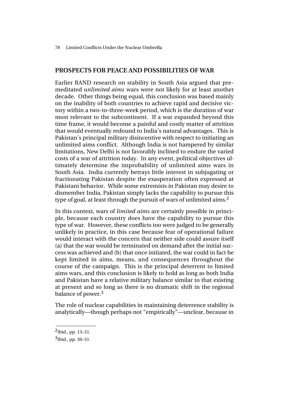#### **PROSPECTS FOR PEACE AND POSSIBILITIES OF WAR**

Earlier RAND research on stability in South Asia argued that premeditated *unlimited aims* wars were not likely for at least another decade. Other things being equal, this conclusion was based mainly on the inability of both countries to achieve rapid and decisive victory within a two-to-three-week period, which is the duration of war most relevant to the subcontinent. If a war expanded beyond this time frame, it would become a painful and costly matter of attrition that would eventually redound to India's natural advantages. This is Pakistan's principal military disincentive with respect to initiating an unlimited aims conflict. Although India is not hampered by similar limitations, New Delhi is not favorably inclined to endure the varied costs of a war of attrition today. In any event, political objectives ultimately determine the improbability of unlimited aims wars in South Asia. India currently betrays little interest in subjugating or fractionating Pakistan despite the exasperation often expressed at Pakistani behavior. While some extremists in Pakistan may desire to dismember India, Pakistan simply lacks the capability to pursue this type of goal, at least through the pursuit of wars of unlimited aims.<sup>2</sup>

In this context, wars of *limited aims* are certainly possible in principle, because each country does have the capability to pursue this type of war. However, these conflicts too were judged to be generally unlikely in practice, in this case because fear of operational failure would interact with the concern that neither side could assure itself (a) that the war would be terminated on demand after the initial success was achieved and (b) that once initiated, the war could in fact be kept limited in aims, means, and consequences throughout the course of the campaign. This is the principal deterrent to limited aims wars, and this conclusion is likely to hold as long as both India and Pakistan have a relative military balance similar to that existing at present and so long as there is no dramatic shift in the regional balance of power.<sup>3</sup>

The role of nuclear capabilities in maintaining deterrence stability is analytically—though perhaps not "empirically"—unclear, because in

 $\overline{\phantom{a}}$  $^{2}$ Ibid., pp. 13–31.

 $3$ Ibid., pp. 30–31.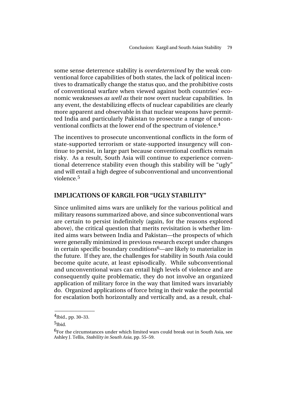some sense deterrence stability is *overdetermined* by the weak conventional force capabilities of both states, the lack of political incentives to dramatically change the status quo, and the prohibitive costs of conventional warfare when viewed against both countries' economic weaknesses *as well as* their now overt nuclear capabilities. In any event, the destabilizing effects of nuclear capabilities are clearly more apparent and observable in that nuclear weapons have permitted India and particularly Pakistan to prosecute a range of unconventional conflicts at the lower end of the spectrum of violence.<sup>4</sup>

The incentives to prosecute unconventional conflicts in the form of state-supported terrorism or state-supported insurgency will continue to persist, in large part because conventional conflicts remain risky. As a result, South Asia will continue to experience conventional deterrence stability even though this stability will be "ugly" and will entail a high degree of subconventional and unconventional violence.<sup>5</sup>

#### **IMPLICATIONS OF KARGIL FOR "UGLY STABILITY"**

Since unlimited aims wars are unlikely for the various political and military reasons summarized above, and since subconventional wars are certain to persist indefinitely (again, for the reasons explored above), the critical question that merits revisitation is whether limited aims wars between India and Pakistan—the prospects of which were generally minimized in previous research except under changes in certain specific boundary conditions6—are likely to materialize in the future. If they are, the challenges for stability in South Asia could become quite acute, at least episodically. While subconventional and unconventional wars can entail high levels of violence and are consequently quite problematic, they do not involve an organized application of military force in the way that limited wars invariably do. Organized applications of force bring in their wake the potential for escalation both horizontally and vertically and, as a result, chal-

 $\overline{\phantom{a}}$  $^{4}$ Ibid., pp. 30–33.

<sup>5</sup>Ibid.

 $6$ For the circumstances under which limited wars could break out in South Asia, see Ashley J. Tellis, *Stability in South Asia*, pp. 55–59.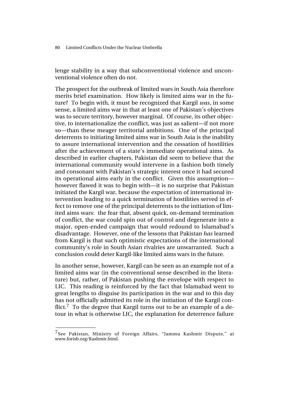lenge stability in a way that subconventional violence and unconventional violence often do not.

The prospect for the outbreak of limited wars in South Asia therefore merits brief examination. How likely is limited aims war in the future? To begin with, it must be recognized that Kargil *was*, in some sense, a limited aims war in that at least one of Pakistan's objectives was to secure territory, however marginal. Of course, its other objective, to internationalize the conflict, was just as salient—if not more so—than these meager territorial ambitions. One of the principal deterrents to initiating limited aims war in South Asia is the inability to assure international intervention and the cessation of hostilities after the achievement of a state's immediate operational aims. As described in earlier chapters, Pakistan did seem to believe that the international community would intervene in a fashion both timely and consonant with Pakistan's strategic interest once it had secured its operational aims early in the conflict. Given this assumption however flawed it was to begin with—it is no surprise that Pakistan initiated the Kargil war, because the expectation of international intervention leading to a quick termination of hostilities served in effect to remove one of the principal deterrents to the initiation of limited aims wars: the fear that, absent quick, on-demand termination of conflict, the war could spin out of control and degenerate into a major, open-ended campaign that would redound to Islamabad's disadvantage. However, one of the lessons that Pakistan *has* learned from Kargil is that such optimistic expectations of the international community's role in South Asian rivalries are unwarranted. Such a conclusion could deter Kargil-like limited aims wars in the future.

In another sense, however, Kargil can be seen as an example not of a limited aims war (in the conventional sense described in the literature) but, rather, of Pakistan pushing the envelope with respect to LIC. This reading is reinforced by the fact that Islamabad went to great lengths to disguise its participation in the war and to this day has not officially admitted its role in the initiation of the Kargil conflict.<sup>7</sup> To the degree that Kargil turns out to be an example of a detour in what is otherwise LIC, the explanation for deterrence failure

\_\_\_\_\_\_\_\_\_\_\_\_\_\_

<sup>7</sup>See Pakistan, Ministry of Foreign Affairs, "Jammu Kashmir Dispute," at www.forisb.org/Kashmir.html.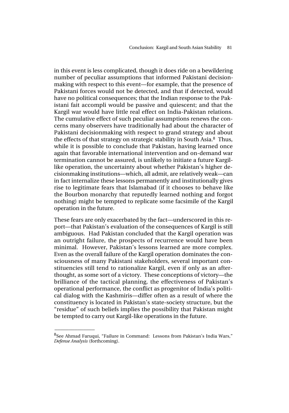in this event is less complicated, though it does ride on a bewildering number of peculiar assumptions that informed Pakistani decisionmaking with respect to this event—for example, that the presence of Pakistani forces would not be detected, and that if detected, would have no political consequences; that the Indian response to the Pakistani fait accompli would be passive and quiescent; and that the Kargil war would have little real effect on India-Pakistan relations. The cumulative effect of such peculiar assumptions renews the concerns many observers have traditionally had about the character of Pakistani decisionmaking with respect to grand strategy and about the effects of that strategy on strategic stability in South Asia.8 Thus, while it is possible to conclude that Pakistan, having learned once again that favorable international intervention and on-demand war termination cannot be assured, is unlikely to initiate a future Kargillike operation, the uncertainty about whether Pakistan's higher decisionmaking institutions—which, all admit, are relatively weak—can in fact internalize these lessons permanently and institutionally gives rise to legitimate fears that Islamabad (if it chooses to behave like the Bourbon monarchy that reputedly learned nothing and forgot nothing) might be tempted to replicate some facsimile of the Kargil operation in the future.

These fears are only exacerbated by the fact—underscored in this report—that Pakistan's evaluation of the consequences of Kargil is still ambiguous. Had Pakistan concluded that the Kargil operation was an outright failure, the prospects of recurrence would have been minimal. However, Pakistan's lessons learned are more complex. Even as the overall failure of the Kargil operation dominates the consciousness of many Pakistani stakeholders, several important constituencies still tend to rationalize Kargil, even if only as an afterthought, as some sort of a victory. These conceptions of victory—the brilliance of the tactical planning, the effectiveness of Pakistan's operational performance, the conflict as progenitor of India's political dialog with the Kashmiris—differ often as a result of where the constituency is located in Pakistan's state-society structure, but the "residue" of such beliefs implies the possibility that Pakistan might be tempted to carry out Kargil-like operations in the future.

<sup>8</sup>See Ahmad Faruqui, "Failure in Command: Lessons from Pakistan's India Wars," *Defense Analysis* (forthcoming).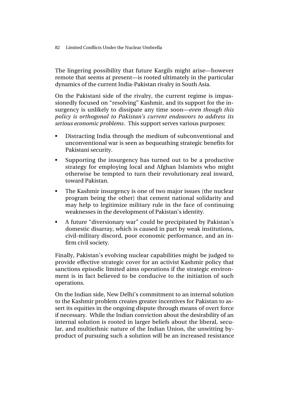The lingering possibility that future Kargils might arise—however remote that seems at present—is rooted ultimately in the particular dynamics of the current India-Pakistan rivalry in South Asia.

On the Pakistani side of the rivalry, the current regime is impassionedly focused on "resolving" Kashmir, and its support for the insurgency is unlikely to dissipate any time soon—*even though this policy is orthogonal to Pakistan's current endeavors to address its serious economic problems*. This support serves various purposes:

- Distracting India through the medium of subconventional and unconventional war is seen as bequeathing strategic benefits for Pakistani security.
- Supporting the insurgency has turned out to be a productive strategy for employing local and Afghan Islamists who might otherwise be tempted to turn their revolutionary zeal inward, toward Pakistan.
- The Kashmir insurgency is one of two major issues (the nuclear program being the other) that cement national solidarity and may help to legitimize military rule in the face of continuing weaknesses in the development of Pakistan's identity.
- A future "diversionary war" could be precipitated by Pakistan's domestic disarray, which is caused in part by weak institutions, civil-military discord, poor economic performance, and an infirm civil society.

Finally, Pakistan's evolving nuclear capabilities might be judged to provide effective strategic cover for an activist Kashmir policy that sanctions episodic limited aims operations if the strategic environment is in fact believed to be conducive to the initiation of such operations.

On the Indian side, New Delhi's commitment to an internal solution to the Kashmir problem creates greater incentives for Pakistan to assert its equities in the ongoing dispute through means of overt force if necessary. While the Indian conviction about the desirability of an internal solution is rooted in larger beliefs about the liberal, secular, and multiethnic nature of the Indian Union, the unwitting byproduct of pursuing such a solution will be an increased resistance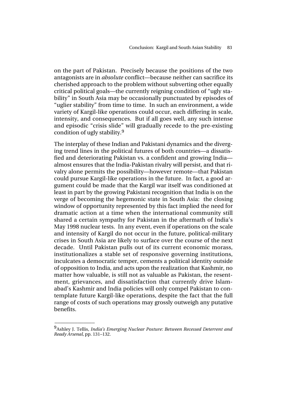on the part of Pakistan. Precisely because the positions of the two antagonists are in *absolute* conflict—because neither can sacrifice its cherished approach to the problem without subverting other equally critical political goals—the currently reigning condition of "ugly stability" in South Asia may be occasionally punctuated by episodes of "uglier stability" from time to time. In such an environment, a wide variety of Kargil-like operations could occur, each differing in scale, intensity, and consequences. But if all goes well, any such intense and episodic "crisis slide" will gradually recede to the pre-existing condition of ugly stability.<sup>9</sup>

The interplay of these Indian and Pakistani dynamics and the diverging trend lines in the political futures of both countries—a dissatisfied and deteriorating Pakistan vs. a confident and growing India almost ensures that the India-Pakistan rivalry will persist, and that rivalry alone permits the possibility—however remote—that Pakistan could pursue Kargil-like operations in the future. In fact, a good argument could be made that the Kargil war itself was conditioned at least in part by the growing Pakistani recognition that India is on the verge of becoming the hegemonic state in South Asia: the closing window of opportunity represented by this fact implied the need for dramatic action at a time when the international community still shared a certain sympathy for Pakistan in the aftermath of India's May 1998 nuclear tests. In any event, even if operations on the scale and intensity of Kargil do not occur in the future, political-military crises in South Asia are likely to surface over the course of the next decade. Until Pakistan pulls out of its current economic morass, institutionalizes a stable set of responsive governing institutions, inculcates a democratic temper, cements a political identity outside of opposition to India, and acts upon the realization that Kashmir, no matter how valuable, is still not as valuable as Pakistan, the resentment, grievances, and dissatisfaction that currently drive Islamabad's Kashmir and India policies will only compel Pakistan to contemplate future Kargil-like operations, despite the fact that the full range of costs of such operations may grossly outweigh any putative benefits.

<sup>9</sup>Ashley J. Tellis, *India's Emerging Nuclear Posture: Between Recessed Deterrent and Ready Arsenal*, pp. 131–132.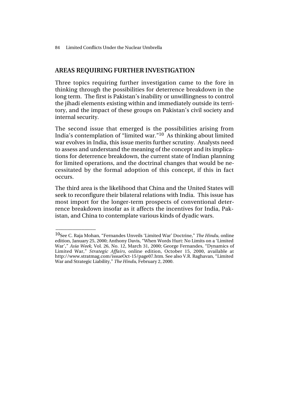$\overline{\phantom{a}}$ 

#### **AREAS REQUIRING FURTHER INVESTIGATION**

Three topics requiring further investigation came to the fore in thinking through the possibilities for deterrence breakdown in the long term. The first is Pakistan's inability or unwillingness to control the jihadi elements existing within and immediately outside its territory, and the impact of these groups on Pakistan's civil society and internal security.

The second issue that emerged is the possibilities arising from India's contemplation of "limited war."10 As thinking about limited war evolves in India, this issue merits further scrutiny. Analysts need to assess and understand the meaning of the concept and its implications for deterrence breakdown, the current state of Indian planning for limited operations, and the doctrinal changes that would be necessitated by the formal adoption of this concept, if this in fact occurs.

The third area is the likelihood that China and the United States will seek to reconfigure their bilateral relations with India. This issue has most import for the longer-term prospects of conventional deterrence breakdown insofar as it affects the incentives for India, Pakistan, and China to contemplate various kinds of dyadic wars.

<sup>10</sup>See C. Raja Mohan, "Fernandes Unveils 'Limited War' Doctrine," *The Hindu,* online edition, January 25, 2000; Anthony Davis, "When Words Hurt: No Limits on a 'Limited War'," *Asia Week*, Vol. 26, No. 12, March 31, 2000; George Fernandes, "Dynamics of Limited War," *Strategic Affairs,* online edition, October 15, 2000, available at http://www.stratmag.com/issueOct-15/page07.htm. See also V.R. Raghavan, "Limited War and Strategic Liability," *The Hindu,* February 2, 2000.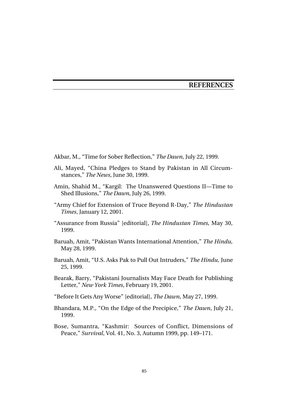# **REFERENCES**

- Akbar, M., "Time for Sober Reflection," *The Dawn*, July 22, 1999.
- Ali, Mayed, "China Pledges to Stand by Pakistan in All Circumstances," *The News*, June 30, 1999.
- Amin, Shahid M., "Kargil: The Unanswered Questions II—Time to Shed Illusions," *The Dawn*, July 26, 1999.
- "Army Chief for Extension of Truce Beyond R-Day," *The Hindustan Times*, January 12, 2001.
- "Assurance from Russia" [editorial], *The Hindustan Times,* May 30, 1999.
- Baruah, Amit, "Pakistan Wants International Attention," *The Hindu,* May 28, 1999.
- Baruah, Amit, "U.S. Asks Pak to Pull Out Intruders," *The Hindu,* June 25, 1999.
- Bearak, Barry, "Pakistani Journalists May Face Death for Publishing Letter," *New York Times*, February 19, 2001.
- "Before It Gets Any Worse" [editorial], *The Dawn*, May 27, 1999.
- Bhandara, M.P., "On the Edge of the Precipice," *The Dawn*, July 21, 1999.
- Bose, Sumantra, "Kashmir: Sources of Conflict, Dimensions of Peace," *Survival*, Vol. 41, No. 3, Autumn 1999, pp. 149–171.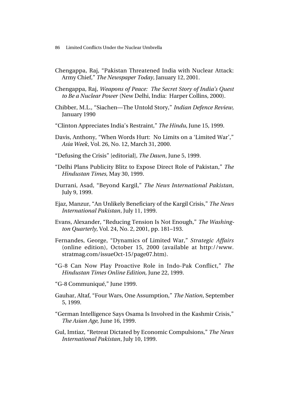- Chengappa, Raj, "Pakistan Threatened India with Nuclear Attack: Army Chief," *The Newspaper Today*, January 12, 2001.
- Chengappa, Raj, *Weapons of Peace: The Secret Story of India's Quest to Be a Nuclear Power* (New Delhi, India: Harper Collins, 2000).
- Chibber, M.L., "Siachen—The Untold Story," *Indian Defence Review,* January 1990
- "Clinton Appreciates India's Restraint," *The Hindu,* June 15, 1999.
- Davis, Anthony, "When Words Hurt: No Limits on a 'Limited War'," *Asia Week*, Vol. 26, No. 12, March 31, 2000.
- "Defusing the Crisis" [editorial], *The Dawn*, June 5, 1999.
- "Delhi Plans Publicity Blitz to Expose Direct Role of Pakistan," *The Hindustan Times,* May 30, 1999.
- Durrani, Asad, "Beyond Kargil," *The News International Pakistan*, July 9, 1999.
- Ejaz, Manzur, "An Unlikely Beneficiary of the Kargil Crisis," *The News International Pakistan*, July 11, 1999.
- Evans, Alexander, "Reducing Tension Is Not Enough," *The Washington Quarterly,* Vol. 24, No. 2, 2001, pp. 181–193.
- Fernandes, George, "Dynamics of Limited War," *Strategic Affairs* (online edition), October 15, 2000 (available at http://www. stratmag.com/issueOct-15/page07.htm).
- "G-8 Can Now Play Proactive Role in Indo-Pak Conflict," *The Hindustan Times Online Edition,* June 22, 1999.
- "G-8 Communiqué," June 1999.
- Gauhar, Altaf, "Four Wars, One Assumption," *The Nation*, September 5, 1999.
- "German Intelligence Says Osama Is Involved in the Kashmir Crisis," *The Asian Age,* June 16, 1999.
- Gul, Imtiaz, "Retreat Dictated by Economic Compulsions," *The News International Pakistan*, July 10, 1999.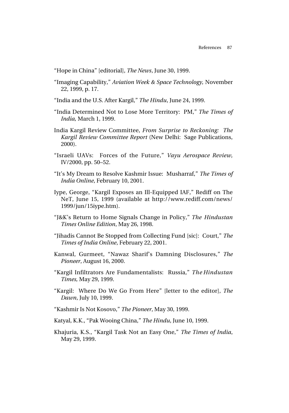"Hope in China" [editorial], *The News*, June 30, 1999.

- "Imaging Capability," *Aviation Week & Space Technology,* November 22, 1999, p. 17.
- "India and the U.S. After Kargil," *The Hindu*, June 24, 1999.
- "India Determined Not to Lose More Territory: PM," *The Times of India,* March 1, 1999.
- India Kargil Review Committee, *From Surprise to Reckoning: The Kargil Review Committee Report* (New Delhi: Sage Publications, 2000).
- "Israeli UAVs: Forces of the Future," *Vayu Aerospace Review,* IV/2000, pp. 50–52.
- "It's My Dream to Resolve Kashmir Issue: Musharraf," *The Times of India Online*, February 10, 2001.
- Iype, George, "Kargil Exposes an Ill-Equipped IAF," Rediff on The NeT, June 15, 1999 (available at http://www.rediff.com/news/ 1999/jun/15iype.htm).
- "J&K's Return to Home Signals Change in Policy," *The Hindustan Times Online Edition*, May 26, 1998.
- "Jihadis Cannot Be Stopped from Collecting Fund [sic]: Court," *The Times of India Online*, February 22, 2001.
- Kanwal, Gurmeet, "Nawaz Sharif's Damning Disclosures," *The Pioneer*, August 16, 2000.
- "Kargil Infiltrators Are Fundamentalists: Russia," *The Hindustan Times,* May 29, 1999.
- "Kargil: Where Do We Go From Here" [letter to the editor], *The Dawn*, July 10, 1999.
- "Kashmir Is Not Kosovo," *The Pioneer*, May 30, 1999.
- Katyal, K.K., "Pak Wooing China," *The Hindu*, June 10, 1999.
- Khajuria, K.S., "Kargil Task Not an Easy One," *The Times of India*, May 29, 1999.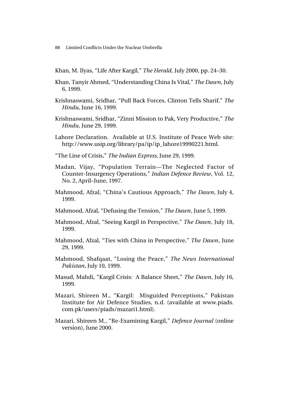Khan, M. Ilyas, "Life After Kargil," *The Herald,* July 2000, pp. 24–30.

- Khan, Tanyir Ahmed, "Understanding China Is Vital," *The Dawn*, July 6, 1999.
- Krishnaswami, Sridhar, "Pull Back Forces, Clinton Tells Sharif," *The Hindu,* June 16, 1999.
- Krishnaswami, Sridhar, "Zinni Mission to Pak, Very Productive," *The Hindu,* June 29, 1999.
- Lahore Declaration. Available at U.S. Institute of Peace Web site: http://www.usip.org/library/pa/ip/ip\_lahore19990221.html.
- "The Line of Crisis," *The Indian Express*, June 29, 1999.
- Madan, Vijay, "Population Terrain—The Neglected Factor of Counter-Insurgency Operations," *Indian Defence Review*, Vol. 12, No. 2, April–June, 1997.
- Mahmood, Afzal, "China's Cautious Approach," *The Dawn*, July 4, 1999.
- Mahmood, Afzal, "Defusing the Tension," *The Dawn*, June 5, 1999.
- Mahmood, Afzal, "Seeing Kargil in Perspective," *The Dawn*, July 18, 1999.
- Mahmood, Afzal, "Ties with China in Perspective," *The Dawn*, June 29, 1999.
- Mahmood, Shafqaat, "Losing the Peace," *The News International Pakistan*, July 10, 1999.
- Masud, Mahdi, "Kargil Crisis: A Balance Sheet," *The Dawn*, July 16, 1999.
- Mazari, Shireen M., "Kargil: Misguided Perceptions," Pakistan Institute for Air Defence Studies, n.d. (available at www.piads. com.pk/users/piads/mazari1.html).
- Mazari, Shireen M., "Re-Examining Kargil," *Defence Journal* (online version), June 2000.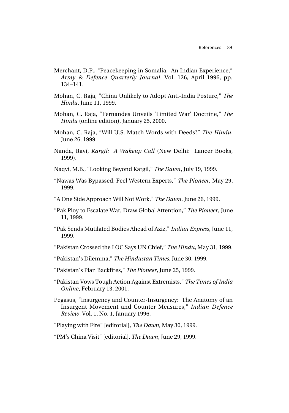- Merchant, D.P., "Peacekeeping in Somalia: An Indian Experience," *Army & Defence Quarterly Journal*, Vol. 126, April 1996, pp. 134–141.
- Mohan, C. Raja, "China Unlikely to Adopt Anti-India Posture," *The Hindu*, June 11, 1999.
- Mohan, C. Raja, "Fernandes Unveils 'Limited War' Doctrine," *The Hindu* (online edition), January 25, 2000.
- Mohan, C. Raja, "Will U.S. Match Words with Deeds?" *The Hindu*, June 26, 1999.
- Nanda, Ravi, *Kargil: A Wakeup Call* (New Delhi: Lancer Books, 1999).
- Naqvi, M.B., "Looking Beyond Kargil," *The Dawn*, July 19, 1999.
- "Nawas Was Bypassed, Feel Western Experts," *The Pioneer,* May 29, 1999.
- "A One Side Approach Will Not Work," *The Dawn*, June 26, 1999.
- "Pak Ploy to Escalate War, Draw Global Attention," *The Pioneer*, June 11, 1999.
- "Pak Sends Mutilated Bodies Ahead of Aziz," *Indian Express*, June 11, 1999.
- "Pakistan Crossed the LOC Says UN Chief," *The Hindu*, May 31, 1999.
- "Pakistan's Dilemma," *The Hindustan Times*, June 30, 1999.
- "Pakistan's Plan Backfires," *The Pioneer*, June 25, 1999.
- "Pakistan Vows Tough Action Against Extremists," *The Times of India Online*, February 13, 2001.
- Pegasus, "Insurgency and Counter-Insurgency: The Anatomy of an Insurgent Movement and Counter Measures," *Indian Defence Review*, Vol. 1, No. 1, January 1996.
- "Playing with Fire" [editorial], *The Dawn*, May 30, 1999.
- "PM's China Visit" [editorial], *The Dawn*, June 29, 1999.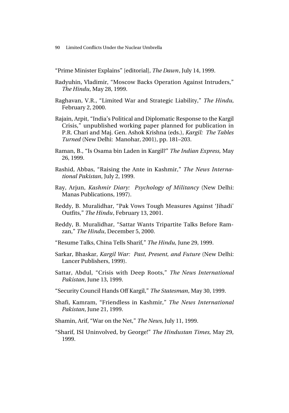"Prime Minister Explains" [editorial], *The Dawn*, July 14, 1999.

- Radyuhin, Vladimir, "Moscow Backs Operation Against Intruders," *The Hindu*, May 28, 1999.
- Raghavan, V.R., "Limited War and Strategic Liability," *The Hindu,* February 2, 2000.
- Rajain, Arpit, "India's Political and Diplomatic Response to the Kargil Crisis," unpublished working paper planned for publication in P.R. Chari and Maj. Gen. Ashok Krishna (eds.), *Kargil: The Tables Turned* (New Delhi: Manohar, 2001), pp. 181–203.
- Raman, B., "Is Osama bin Laden in Kargil?" *The Indian Express,* May 26, 1999.
- Rashid, Abbas, "Raising the Ante in Kashmir," *The News International Pakistan*, July 2, 1999.
- Ray, Arjun, *Kashmir Diary: Psychology of Militancy* (New Delhi: Manas Publications, 1997).
- Reddy, B. Muralidhar, "Pak Vows Tough Measures Against 'Jihadi' Outfits," *The Hindu*, February 13, 2001.
- Reddy, B. Muralidhar, "Sattar Wants Tripartite Talks Before Ramzan," *The Hindu*, December 5, 2000.
- "Resume Talks, China Tells Sharif," *The Hindu,* June 29, 1999.
- Sarkar, Bhaskar, *Kargil War: Past, Present, and Future* (New Delhi: Lancer Publishers, 1999).
- Sattar, Abdul, "Crisis with Deep Roots," *The News International Pakistan*, June 13, 1999.
- "Security Council Hands Off Kargil," *The Statesman*, May 30, 1999.
- Shafi, Kamram, "Friendless in Kashmir," *The News International Pakistan*, June 21, 1999.
- Shamin, Arif, "War on the Net," *The News,* July 11, 1999.
- "Sharif, ISI Uninvolved, by George!" *The Hindustan Times,* May 29, 1999.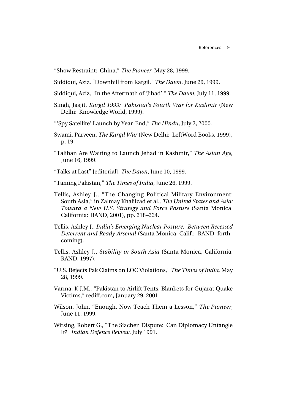- "Show Restraint: China," *The Pioneer,* May 28, 1999.
- Siddiqui, Aziz, "Downhill from Kargil," *The Dawn*, June 29, 1999.
- Siddiqui, Aziz, "In the Aftermath of 'Jihad'," *The Dawn*, July 11, 1999.
- Singh, Jasjit, *Kargil 1999: Pakistan's Fourth War for Kashmir* (New Delhi: Knowledge World, 1999).
- "'Spy Satellite' Launch by Year-End," *The Hindu*, July 2, 2000.
- Swami, Parveen, *The Kargil War* (New Delhi: LeftWord Books, 1999), p. 19.
- "Taliban Are Waiting to Launch Jehad in Kashmir," *The Asian Age,* June 16, 1999.
- "Talks at Last" [editorial], *The Dawn*, June 10, 1999.

"Taming Pakistan," *The Times of India*, June 26, 1999.

- Tellis, Ashley J., "The Changing Political-Military Environment: South Asia," in Zalmay Khalilzad et al., *The United States and Asia: Toward a New U.S. Strategy and Force Posture* (Santa Monica, California: RAND, 2001), pp. 218–224.
- Tellis, Ashley J., *India's Emerging Nuclear Posture: Between Recessed Deterrent and Ready Arsenal* (Santa Monica, Calif.: RAND, forthcoming).
- Tellis, Ashley J., *Stability in South Asia* (Santa Monica, California: RAND, 1997).
- "U.S. Rejects Pak Claims on LOC Violations," *The Times of India,* May 28, 1999.
- Varma, K.J.M., "Pakistan to Airlift Tents, Blankets for Gujarat Quake Victims," rediff.com, January 29, 2001.
- Wilson, John, "Enough. Now Teach Them a Lesson," *The Pioneer*, June 11, 1999.
- Wirsing, Robert G., "The Siachen Dispute: Can Diplomacy Untangle It?" *Indian Defence Review*, July 1991.